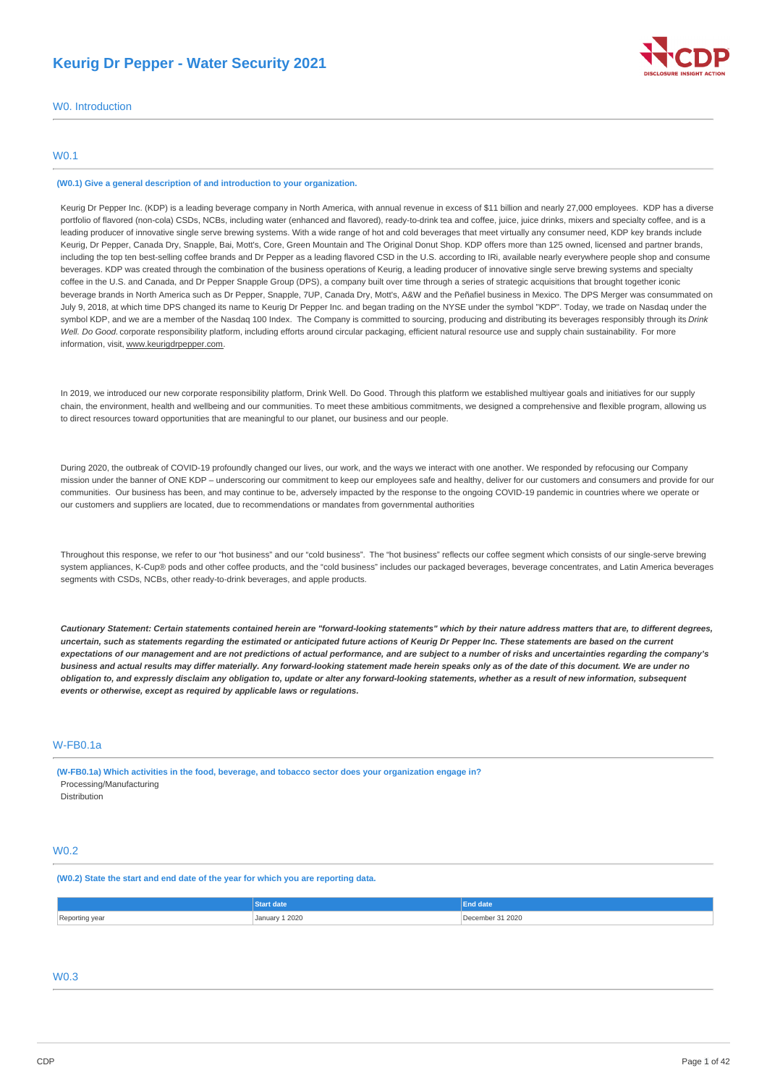# **Keurig Dr Pepper - Water Security 2021**



W0. Introduction

## W0.1

## **(W0.1) Give a general description of and introduction to your organization.**

Keurig Dr Pepper Inc. (KDP) is a leading beverage company in North America, with annual revenue in excess of \$11 billion and nearly 27,000 employees. KDP has a diverse portfolio of flavored (non-cola) CSDs, NCBs, including water (enhanced and flavored), ready-to-drink tea and coffee, juice, juice drinks, mixers and specialty coffee, and is a leading producer of innovative single serve brewing systems. With a wide range of hot and cold beverages that meet virtually any consumer need, KDP key brands include Keurig, Dr Pepper, Canada Dry, Snapple, Bai, Mott's, Core, Green Mountain and The Original Donut Shop. KDP offers more than 125 owned, licensed and partner brands, including the top ten best-selling coffee brands and Dr Pepper as a leading flavored CSD in the U.S. according to IRi, available nearly everywhere people shop and consume beverages. KDP was created through the combination of the business operations of Keurig, a leading producer of innovative single serve brewing systems and specialty coffee in the U.S. and Canada, and Dr Pepper Snapple Group (DPS), a company built over time through a series of strategic acquisitions that brought together iconic beverage brands in North America such as Dr Pepper, Snapple, 7UP, Canada Dry, Mott's, A&W and the Peñafiel business in Mexico. The DPS Merger was consummated on July 9, 2018, at which time DPS changed its name to Keurig Dr Pepper Inc. and began trading on the NYSE under the symbol "KDP". Today, we trade on Nasdaq under the symbol KDP, and we are a member of the Nasdaq 100 Index. The Company is committed to sourcing, producing and distributing its beverages responsibly through its *Drink Well. Do Good.* corporate responsibility platform, including efforts around circular packaging, efficient natural resource use and supply chain sustainability. For more information, visit, www.keurigdrpepper.com.

In 2019, we introduced our new corporate responsibility platform, Drink Well. Do Good. Through this platform we established multiyear goals and initiatives for our supply chain, the environment, health and wellbeing and our communities. To meet these ambitious commitments, we designed a comprehensive and flexible program, allowing us to direct resources toward opportunities that are meaningful to our planet, our business and our people.

During 2020, the outbreak of COVID-19 profoundly changed our lives, our work, and the ways we interact with one another. We responded by refocusing our Company mission under the banner of ONE KDP – underscoring our commitment to keep our employees safe and healthy, deliver for our customers and consumers and provide for our communities. Our business has been, and may continue to be, adversely impacted by the response to the ongoing COVID-19 pandemic in countries where we operate or our customers and suppliers are located, due to recommendations or mandates from governmental authorities

Throughout this response, we refer to our "hot business" and our "cold business". The "hot business" reflects our coffee segment which consists of our single-serve brewing system appliances, K-Cup® pods and other coffee products, and the "cold business" includes our packaged beverages, beverage concentrates, and Latin America beverages segments with CSDs, NCBs, other ready-to-drink beverages, and apple products.

Cautionary Statement: Certain statements contained herein are "forward-looking statements" which by their nature address matters that are, to different degrees, uncertain, such as statements regarding the estimated or anticipated future actions of Keurig Dr Pepper Inc. These statements are based on the current expectations of our management and are not predictions of actual performance, and are subject to a number of risks and uncertainties regarding the company's business and actual results may differ materially. Any forward-looking statement made herein speaks only as of the date of this document. We are under no obligation to, and expressly disclaim any obligation to, update or alter any forward-looking statements, whether as a result of new information, subsequent *events or otherwise, except as required by applicable laws or regulations.*

## W-FB0.1a

**(W-FB0.1a) Which activities in the food, beverage, and tobacco sector does your organization engage in?** Processing/Manufacturing Distribution

## W0.2

**(W0.2) State the start and end date of the year for which you are reporting data.**

|                | <b>Start date</b> | <b>End date</b>  |
|----------------|-------------------|------------------|
| Reporting year | January 1 2020    | December 31 2020 |

# W0.3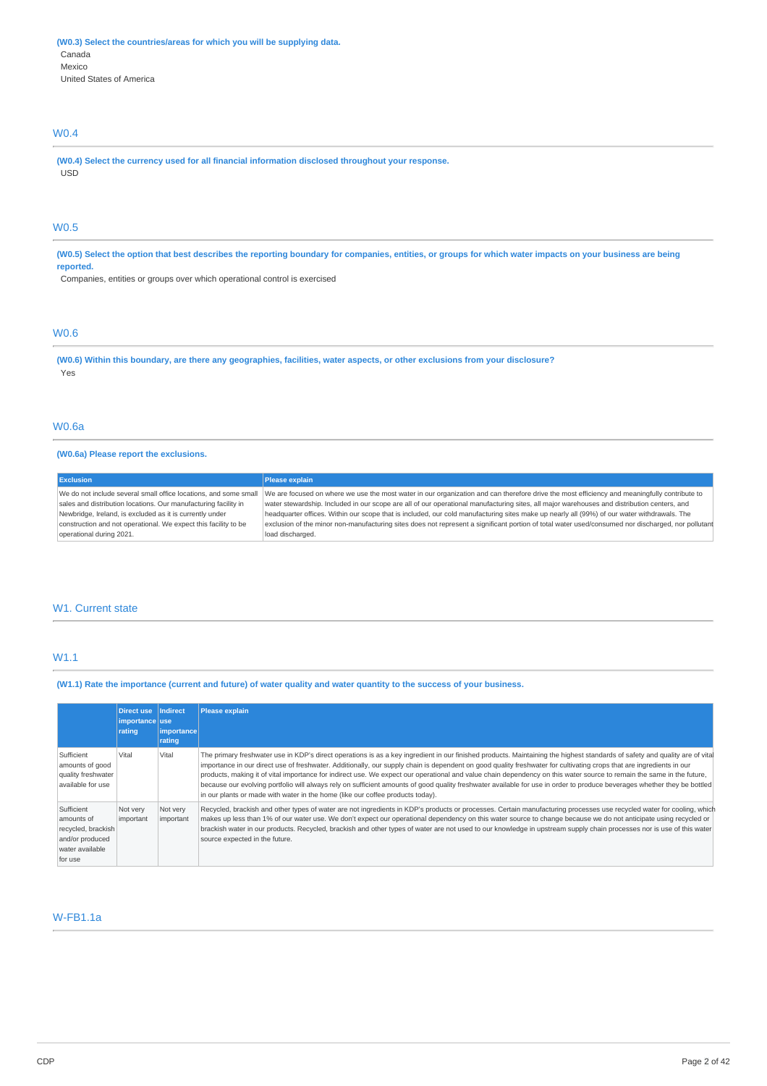# W0.4

**(W0.4) Select the currency used for all financial information disclosed throughout your response.** USD

# W0.5

(W0.5) Select the option that best describes the reporting boundary for companies, entities, or groups for which water impacts on your business are being **reported.**

Companies, entities or groups over which operational control is exercised

# W0.6

(W0.6) Within this boundary, are there any geographies, facilities, water aspects, or other exclusions from your disclosure? Yes

## W0.6a

## **(W0.6a) Please report the exclusions.**

| <b>Exclusion</b>                                                 | Please explain                                                                                                                                     |
|------------------------------------------------------------------|----------------------------------------------------------------------------------------------------------------------------------------------------|
| We do not include several small office locations, and some small | We are focused on where we use the most water in our organization and can therefore drive the most efficiency and meaningfully contribute to       |
| sales and distribution locations. Our manufacturing facility in  | water stewardship. Included in our scope are all of our operational manufacturing sites, all major warehouses and distribution centers, and        |
| Newbridge, Ireland, is excluded as it is currently under         | headquarter offices. Within our scope that is included, our cold manufacturing sites make up nearly all (99%) of our water withdrawals. The        |
| construction and not operational. We expect this facility to be  | exclusion of the minor non-manufacturing sites does not represent a significant portion of total water used/consumed nor discharged, nor pollutant |
| operational during 2021.                                         | load discharged.                                                                                                                                   |

## W1. Current state

# W1.1

(W1.1) Rate the importance (current and future) of water quality and water quantity to the success of your business.

|                                                                                                 | <b>Direct use</b><br>importance use<br>rating | Indirect<br><i>importance</i><br>rating | <b>Please explain</b>                                                                                                                                                                                                                                                                                                                                                                                                                                                                                                                                                                                                                                                                                                                                                                     |
|-------------------------------------------------------------------------------------------------|-----------------------------------------------|-----------------------------------------|-------------------------------------------------------------------------------------------------------------------------------------------------------------------------------------------------------------------------------------------------------------------------------------------------------------------------------------------------------------------------------------------------------------------------------------------------------------------------------------------------------------------------------------------------------------------------------------------------------------------------------------------------------------------------------------------------------------------------------------------------------------------------------------------|
| Sufficient<br>amounts of good<br>quality freshwater<br>available for use                        | Vital                                         | Vital                                   | The primary freshwater use in KDP's direct operations is as a key ingredient in our finished products. Maintaining the highest standards of safety and quality are of vita<br>importance in our direct use of freshwater. Additionally, our supply chain is dependent on good quality freshwater for cultivating crops that are ingredients in our<br>products, making it of vital importance for indirect use. We expect our operational and value chain dependency on this water source to remain the same in the future,<br>because our evolving portfolio will always rely on sufficient amounts of good quality freshwater available for use in order to produce beverages whether they be bottled<br>in our plants or made with water in the home (like our coffee products today). |
| Sufficient<br>amounts of<br>recycled, brackish<br>and/or produced<br>water available<br>for use | Not very<br>important                         | Not very<br>important                   | Recycled, brackish and other types of water are not ingredients in KDP's products or processes. Certain manufacturing processes use recycled water for cooling, which<br>makes up less than 1% of our water use. We don't expect our operational dependency on this water source to change because we do not anticipate using recycled or<br>brackish water in our products. Recycled, brackish and other types of water are not used to our knowledge in upstream supply chain processes nor is use of this water<br>source expected in the future.                                                                                                                                                                                                                                      |

# W-FB1.1a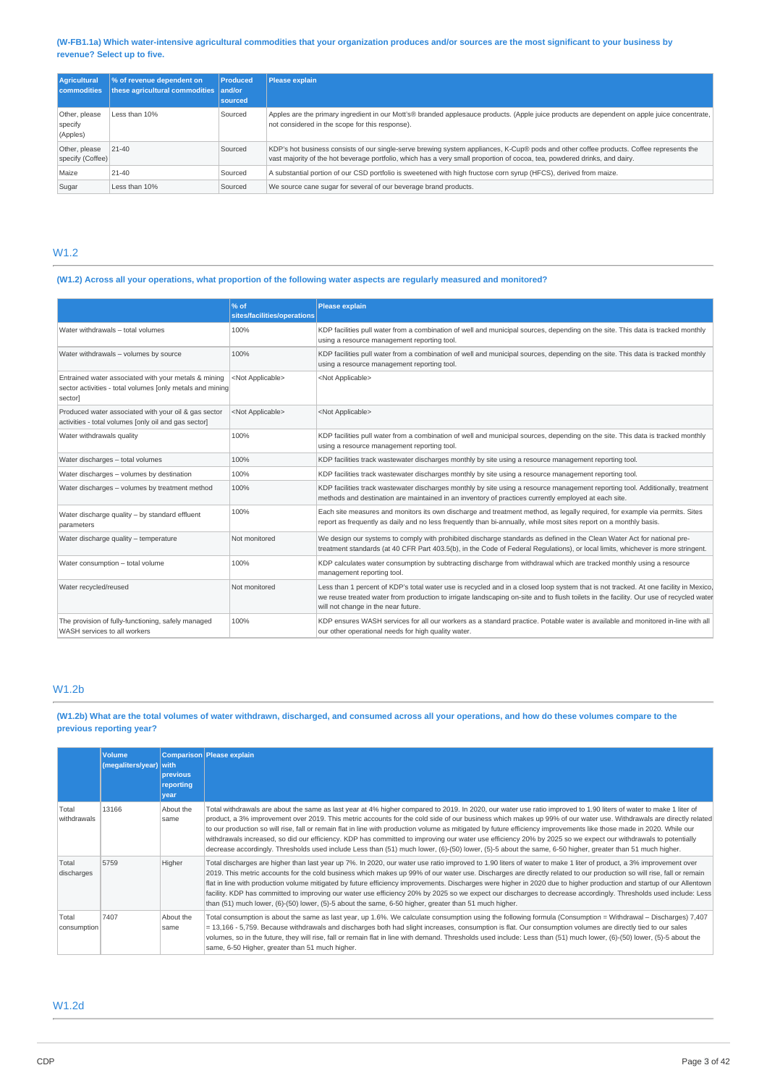## (W-FB1.1a) Which water-intensive agricultural commodities that your organization produces and/or sources are the most significant to your business by **revenue? Select up to five.**

| Agricultural<br><b>commodities</b>   | % of revenue dependent on<br>these agricultural commodities and/or | <b>Produced</b><br>sourced | <b>Please explain</b>                                                                                                                                                                                                                                                |
|--------------------------------------|--------------------------------------------------------------------|----------------------------|----------------------------------------------------------------------------------------------------------------------------------------------------------------------------------------------------------------------------------------------------------------------|
| Other, please<br>specify<br>(Apples) | Less than 10%                                                      | Sourced                    | Apples are the primary ingredient in our Mott's® branded applesauce products. (Apple juice products are dependent on apple juice concentrate,  <br>not considered in the scope for this response).                                                                   |
| Other, please<br>specify (Coffee)    | $21 - 40$                                                          | Sourced                    | KDP's hot business consists of our single-serve brewing system appliances, K-Cup® pods and other coffee products. Coffee represents the<br>vast majority of the hot beverage portfolio, which has a very small proportion of cocoa, tea, powdered drinks, and dairy. |
| Maize                                | $21 - 40$                                                          | Sourced                    | A substantial portion of our CSD portfolio is sweetened with high fructose corn syrup (HFCS), derived from maize.                                                                                                                                                    |
| Sugar                                | Less than 10%                                                      | Sourced                    | We source cane sugar for several of our beverage brand products.                                                                                                                                                                                                     |

# W1.2

# (W1.2) Across all your operations, what proportion of the following water aspects are regularly measured and monitored?

|                                                                                                                               | % of<br>sites/facilities/operations | <b>Please explain</b>                                                                                                                                                                                                                                                                                                 |  |
|-------------------------------------------------------------------------------------------------------------------------------|-------------------------------------|-----------------------------------------------------------------------------------------------------------------------------------------------------------------------------------------------------------------------------------------------------------------------------------------------------------------------|--|
| Water withdrawals - total volumes                                                                                             | 100%                                | KDP facilities pull water from a combination of well and municipal sources, depending on the site. This data is tracked monthly<br>using a resource management reporting tool.                                                                                                                                        |  |
| Water withdrawals - volumes by source                                                                                         | 100%                                | KDP facilities pull water from a combination of well and municipal sources, depending on the site. This data is tracked monthly<br>using a resource management reporting tool.                                                                                                                                        |  |
| Entrained water associated with your metals & mining<br>sector activities - total volumes [only metals and mining]<br>sector] | <not applicable=""></not>           | <not applicable=""></not>                                                                                                                                                                                                                                                                                             |  |
| Produced water associated with your oil & gas sector<br>activities - total volumes [only oil and gas sector]                  | <not applicable=""></not>           | <not applicable=""></not>                                                                                                                                                                                                                                                                                             |  |
| Water withdrawals quality                                                                                                     | 100%                                | KDP facilities pull water from a combination of well and municipal sources, depending on the site. This data is tracked monthly<br>using a resource management reporting tool.                                                                                                                                        |  |
| Water discharges - total volumes                                                                                              | 100%                                | KDP facilities track wastewater discharges monthly by site using a resource management reporting tool.                                                                                                                                                                                                                |  |
| Water discharges - volumes by destination                                                                                     | 100%                                | KDP facilities track wastewater discharges monthly by site using a resource management reporting tool.                                                                                                                                                                                                                |  |
| Water discharges - volumes by treatment method                                                                                | 100%                                | KDP facilities track wastewater discharges monthly by site using a resource management reporting tool. Additionally, treatment<br>methods and destination are maintained in an inventory of practices currently employed at each site.                                                                                |  |
| Water discharge quality - by standard effluent<br>parameters                                                                  | 100%                                | Each site measures and monitors its own discharge and treatment method, as legally required, for example via permits. Sites<br>report as frequently as daily and no less frequently than bi-annually, while most sites report on a monthly basis.                                                                     |  |
| Water discharge quality - temperature                                                                                         | Not monitored                       | We design our systems to comply with prohibited discharge standards as defined in the Clean Water Act for national pre-<br>treatment standards (at 40 CFR Part 403.5(b), in the Code of Federal Regulations), or local limits, whichever is more stringent.                                                           |  |
| Water consumption - total volume                                                                                              | 100%                                | KDP calculates water consumption by subtracting discharge from withdrawal which are tracked monthly using a resource<br>management reporting tool.                                                                                                                                                                    |  |
| Water recycled/reused                                                                                                         | Not monitored                       | Less than 1 percent of KDP's total water use is recycled and in a closed loop system that is not tracked. At one facility in Mexico,<br>we reuse treated water from production to irrigate landscaping on-site and to flush toilets in the facility. Our use of recycled water<br>will not change in the near future. |  |
| The provision of fully-functioning, safely managed<br>WASH services to all workers                                            | 100%                                | KDP ensures WASH services for all our workers as a standard practice. Potable water is available and monitored in-line with all<br>our other operational needs for high quality water.                                                                                                                                |  |

# W1.2b

## (W1.2b) What are the total volumes of water withdrawn, discharged, and consumed across all your operations, and how do these volumes compare to the **previous reporting year?**

|                      | <b>Volume</b><br>(megaliters/year) with | previous<br>reporting<br>vear | Comparison Please explain                                                                                                                                                                                                                                                                                                                                                                                                                                                                                                                                                                                                                                                                                                                                                                                                                   |
|----------------------|-----------------------------------------|-------------------------------|---------------------------------------------------------------------------------------------------------------------------------------------------------------------------------------------------------------------------------------------------------------------------------------------------------------------------------------------------------------------------------------------------------------------------------------------------------------------------------------------------------------------------------------------------------------------------------------------------------------------------------------------------------------------------------------------------------------------------------------------------------------------------------------------------------------------------------------------|
| Total<br>withdrawals | 13166                                   | About the<br>same             | Total withdrawals are about the same as last year at 4% higher compared to 2019. In 2020, our water use ratio improved to 1.90 liters of water to make 1 liter of<br>product, a 3% improvement over 2019. This metric accounts for the cold side of our business which makes up 99% of our water use. Withdrawals are directly related<br>to our production so will rise, fall or remain flat in line with production volume as mitigated by future efficiency improvements like those made in 2020. While our<br>withdrawals increased, so did our efficiency. KDP has committed to improving our water use efficiency 20% by 2025 so we expect our withdrawals to potentially<br>decrease accordingly. Thresholds used include Less than (51) much lower, (6)-(50) lower, (5)-5 about the same, 6-50 higher, greater than 51 much higher. |
| Total<br>discharges  | 5759                                    | Higher                        | Total discharges are higher than last year up 7%. In 2020, our water use ratio improved to 1.90 liters of water to make 1 liter of product, a 3% improvement over<br>2019. This metric accounts for the cold business which makes up 99% of our water use. Discharges are directly related to our production so will rise, fall or remain<br>flat in line with production volume mitigated by future efficiency improvements. Discharges were higher in 2020 due to higher production and startup of our Allentown<br>facility. KDP has committed to improving our water use efficiency 20% by 2025 so we expect our discharges to decrease accordingly. Thresholds used include: Less<br>than (51) much lower, (6)-(50) lower, (5)-5 about the same, 6-50 higher, greater than 51 much higher.                                             |
| Total<br>consumption | 7407                                    | About the<br>same             | Total consumption is about the same as last year, up 1.6%. We calculate consumption using the following formula (Consumption = Withdrawal - Discharges) 7,407<br>$=$ 13,166 - 5,759. Because withdrawals and discharges both had slight increases, consumption is flat. Our consumption volumes are directly tied to our sales<br>volumes, so in the future, they will rise, fall or remain flat in line with demand. Thresholds used include: Less than (51) much lower, (6)-(50) lower, (5)-5 about the<br>same, 6-50 Higher, greater than 51 much higher.                                                                                                                                                                                                                                                                                |

# W1.2d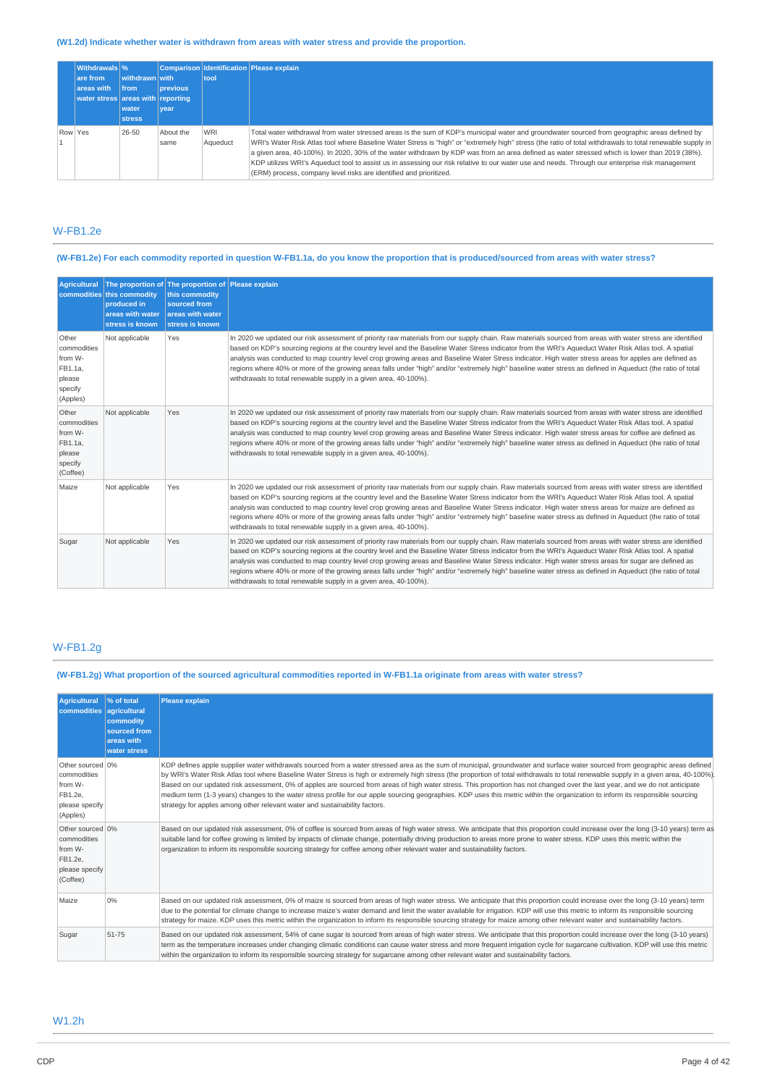# **(W1.2d) Indicate whether water is withdrawn from areas with water stress and provide the proportion.**

|         | <b>Withdrawals</b> %              |                |                 |          | Comparison Identification Please explain                                                                                                                  |
|---------|-----------------------------------|----------------|-----------------|----------|-----------------------------------------------------------------------------------------------------------------------------------------------------------|
|         | are from                          | withdrawn with |                 | tool     |                                                                                                                                                           |
|         | areas with                        | <b>Ifrom</b>   | <b>previous</b> |          |                                                                                                                                                           |
|         | water stress areas with reporting |                |                 |          |                                                                                                                                                           |
|         |                                   | water          | vear            |          |                                                                                                                                                           |
|         |                                   | <b>stress</b>  |                 |          |                                                                                                                                                           |
| Row Yes |                                   | 26-50          | About the       | WRI      | Total water withdrawal from water stressed areas is the sum of KDP's municipal water and groundwater sourced from geographic areas defined by             |
|         |                                   |                | same            | Aqueduct | WRI's Water Risk Atlas tool where Baseline Water Stress is "high" or "extremely high" stress (the ratio of total withdrawals to total renewable supply in |
|         |                                   |                |                 |          | a given area, 40-100%). In 2020, 30% of the water withdrawn by KDP was from an area defined as water stressed which is lower than 2019 (38%).             |
|         |                                   |                |                 |          | KDP utilizes WRI's Aqueduct tool to assist us in assessing our risk relative to our water use and needs. Through our enterprise risk management           |
|         |                                   |                |                 |          | (ERM) process, company level risks are identified and prioritized.                                                                                        |

# W-FB1.2e

# (W-FB1.2e) For each commodity reported in question W-FB1.1a, do you know the proportion that is produced/sourced from areas with water stress?

| <b>Agricultural</b>                                                         | commodities this commodity<br>produced in<br>areas with water<br>stress is known | The proportion of The proportion of Please explain<br>this commodity<br>sourced from<br>areas with water<br>stress is known |                                                                                                                                                                                                                                                                                                                                                                                                                                                                                                                                                                                                                                                                                                               |
|-----------------------------------------------------------------------------|----------------------------------------------------------------------------------|-----------------------------------------------------------------------------------------------------------------------------|---------------------------------------------------------------------------------------------------------------------------------------------------------------------------------------------------------------------------------------------------------------------------------------------------------------------------------------------------------------------------------------------------------------------------------------------------------------------------------------------------------------------------------------------------------------------------------------------------------------------------------------------------------------------------------------------------------------|
| Other<br>commodities<br>from W-<br>FB1.1a,<br>please<br>specify<br>(Apples) | Not applicable                                                                   | Yes                                                                                                                         | In 2020 we updated our risk assessment of priority raw materials from our supply chain. Raw materials sourced from areas with water stress are identified<br>based on KDP's sourcing regions at the country level and the Baseline Water Stress indicator from the WRI's Aqueduct Water Risk Atlas tool. A spatial<br>analysis was conducted to map country level crop growing areas and Baseline Water Stress indicator. High water stress areas for apples are defined as<br>regions where 40% or more of the growing areas falls under "high" and/or "extremely high" baseline water stress as defined in Aqueduct (the ratio of total<br>withdrawals to total renewable supply in a given area, 40-100%). |
| Other<br>commodities<br>from W-<br>FB1.1a.<br>please<br>specify<br>(Coffee) | Not applicable                                                                   | Yes                                                                                                                         | In 2020 we updated our risk assessment of priority raw materials from our supply chain. Raw materials sourced from areas with water stress are identified<br>based on KDP's sourcing regions at the country level and the Baseline Water Stress indicator from the WRI's Aqueduct Water Risk Atlas tool. A spatial<br>analysis was conducted to map country level crop growing areas and Baseline Water Stress indicator. High water stress areas for coffee are defined as<br>regions where 40% or more of the growing areas falls under "high" and/or "extremely high" baseline water stress as defined in Aqueduct (the ratio of total<br>withdrawals to total renewable supply in a given area, 40-100%). |
| Maize                                                                       | Not applicable                                                                   | Yes                                                                                                                         | In 2020 we updated our risk assessment of priority raw materials from our supply chain. Raw materials sourced from areas with water stress are identified<br>based on KDP's sourcing regions at the country level and the Baseline Water Stress indicator from the WRI's Aqueduct Water Risk Atlas tool. A spatial<br>analysis was conducted to map country level crop growing areas and Baseline Water Stress indicator. High water stress areas for maize are defined as<br>regions where 40% or more of the growing areas falls under "high" and/or "extremely high" baseline water stress as defined in Agueduct (the ratio of total<br>withdrawals to total renewable supply in a given area, 40-100%).  |
| Sugar                                                                       | Not applicable                                                                   | Yes                                                                                                                         | In 2020 we updated our risk assessment of priority raw materials from our supply chain. Raw materials sourced from areas with water stress are identified<br>based on KDP's sourcing regions at the country level and the Baseline Water Stress indicator from the WRI's Aqueduct Water Risk Atlas tool. A spatial<br>analysis was conducted to map country level crop growing areas and Baseline Water Stress indicator. High water stress areas for sugar are defined as<br>regions where 40% or more of the growing areas falls under "high" and/or "extremely high" baseline water stress as defined in Aqueduct (the ratio of total<br>withdrawals to total renewable supply in a given area, 40-100%).  |

# W-FB1.2g

(W-FB1.2g) What proportion of the sourced agricultural commodities reported in W-FB1.1a originate from areas with water stress?

| <b>Agricultural</b><br>commodities agricultural                                     | % of total<br>commodity<br>sourced from<br>areas with<br>water stress | <b>Please explain</b>                                                                                                                                                                                                                                                                                                                                                                                                                                                                                                                                                                                                                                                                                                                                                                                                 |
|-------------------------------------------------------------------------------------|-----------------------------------------------------------------------|-----------------------------------------------------------------------------------------------------------------------------------------------------------------------------------------------------------------------------------------------------------------------------------------------------------------------------------------------------------------------------------------------------------------------------------------------------------------------------------------------------------------------------------------------------------------------------------------------------------------------------------------------------------------------------------------------------------------------------------------------------------------------------------------------------------------------|
| Other sourced 0%<br>commodities<br>from W-<br>FB1.2e.<br>please specify<br>(Apples) |                                                                       | KDP defines apple supplier water withdrawals sourced from a water stressed area as the sum of municipal, groundwater and surface water sourced from geographic areas defined<br>by WRI's Water Risk Atlas tool where Baseline Water Stress is high or extremely high stress (the proportion of total withdrawals to total renewable supply in a given area, 40-100%)<br>Based on our updated risk assessment, 0% of apples are sourced from areas of high water stress. This proportion has not changed over the last year, and we do not anticipate<br>medium term (1-3 years) changes to the water stress profile for our apple sourcing geographies. KDP uses this metric within the organization to inform its responsible sourcing<br>strategy for apples among other relevant water and sustainability factors. |
| Other sourced 0%<br>commodities<br>from W-<br>FB1.2e.<br>please specify<br>(Coffee) |                                                                       | Based on our updated risk assessment, 0% of coffee is sourced from areas of high water stress. We anticipate that this proportion could increase over the long (3-10 years) term as<br>suitable land for coffee growing is limited by impacts of climate change, potentially driving production to areas more prone to water stress. KDP uses this metric within the<br>organization to inform its responsible sourcing strategy for coffee among other relevant water and sustainability factors.                                                                                                                                                                                                                                                                                                                    |
| Maize                                                                               | 0%                                                                    | Based on our updated risk assessment, 0% of maize is sourced from areas of high water stress. We anticipate that this proportion could increase over the long (3-10 years) term<br>due to the potential for climate change to increase maize's water demand and limit the water available for irrigation. KDP will use this metric to inform its responsible sourcing<br>strategy for maize. KDP uses this metric within the organization to inform its responsible sourcing strategy for maize among other relevant water and sustainability factors.                                                                                                                                                                                                                                                                |
| Sugar                                                                               | 51-75                                                                 | Based on our updated risk assessment, 54% of cane sugar is sourced from areas of high water stress. We anticipate that this proportion could increase over the long (3-10 years)<br>term as the temperature increases under changing climatic conditions can cause water stress and more frequent irrigation cycle for sugarcane cultivation. KDP will use this metric<br>within the organization to inform its responsible sourcing strategy for sugarcane among other relevant water and sustainability factors.                                                                                                                                                                                                                                                                                                    |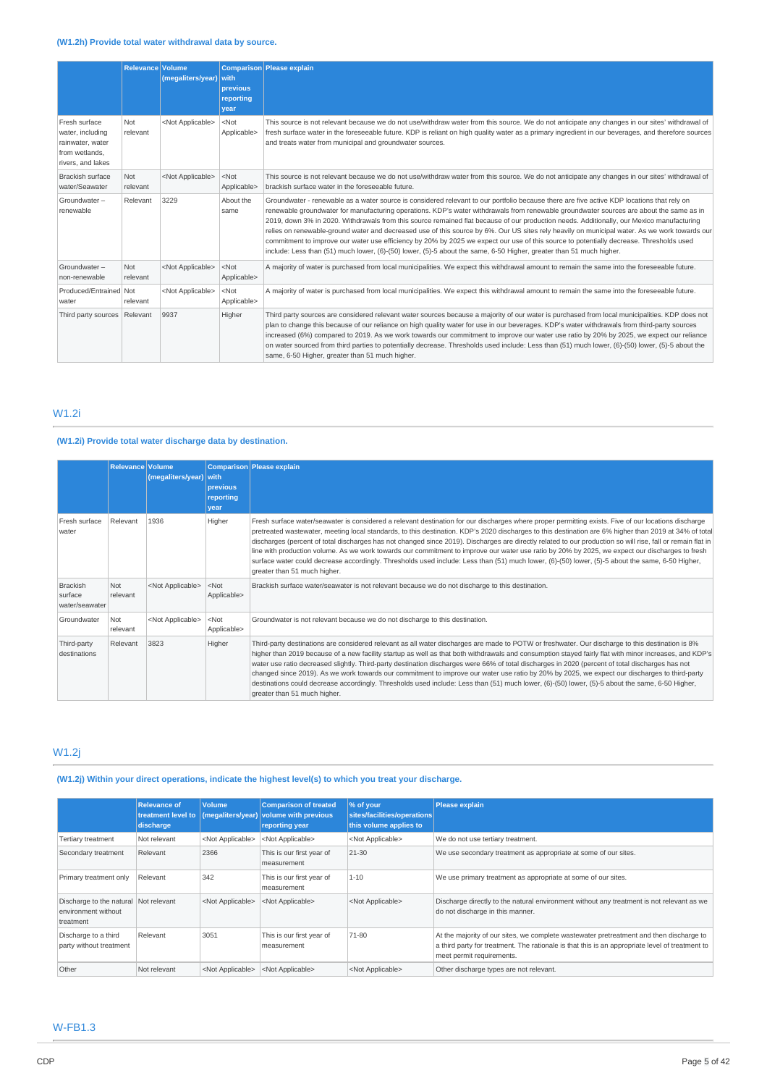# **(W1.2h) Provide total water withdrawal data by source.**

|                                                                                              | <b>Relevance Volume</b> | (megaliters/year)         | <b>with</b><br>previous<br>reporting<br>vear | <b>Comparison</b> Please explain                                                                                                                                                                                                                                                                                                                                                                                                                                                                                                                                                                                                                                                                                                                                                                                                                      |  |
|----------------------------------------------------------------------------------------------|-------------------------|---------------------------|----------------------------------------------|-------------------------------------------------------------------------------------------------------------------------------------------------------------------------------------------------------------------------------------------------------------------------------------------------------------------------------------------------------------------------------------------------------------------------------------------------------------------------------------------------------------------------------------------------------------------------------------------------------------------------------------------------------------------------------------------------------------------------------------------------------------------------------------------------------------------------------------------------------|--|
| Fresh surface<br>water, including<br>rainwater, water<br>from wetlands.<br>rivers, and lakes | Not<br>relevant         | <not applicable=""></not> | $<$ Not<br>Applicable>                       | This source is not relevant because we do not use/withdraw water from this source. We do not anticipate any changes in our sites' withdrawal of<br>fresh surface water in the foreseeable future. KDP is reliant on high quality water as a primary ingredient in our beverages, and therefore sources<br>and treats water from municipal and groundwater sources.                                                                                                                                                                                                                                                                                                                                                                                                                                                                                    |  |
| <b>Brackish surface</b><br>water/Seawater                                                    | Not<br>relevant         | <not applicable=""></not> | $<$ Not<br>Applicable>                       | This source is not relevant because we do not use/withdraw water from this source. We do not anticipate any changes in our sites' withdrawal of<br>brackish surface water in the foreseeable future.                                                                                                                                                                                                                                                                                                                                                                                                                                                                                                                                                                                                                                                  |  |
| Groundwater-<br>renewable                                                                    | Relevant                | 3229                      | About the<br>same                            | Groundwater - renewable as a water source is considered relevant to our portfolio because there are five active KDP locations that rely on<br>renewable groundwater for manufacturing operations. KDP's water withdrawals from renewable groundwater sources are about the same as in<br>2019, down 3% in 2020. Withdrawals from this source remained flat because of our production needs. Additionally, our Mexico manufacturing<br>relies on renewable-ground water and decreased use of this source by 6%. Our US sites rely heavily on municipal water. As we work towards our<br>commitment to improve our water use efficiency by 20% by 2025 we expect our use of this source to potentially decrease. Thresholds used<br>include: Less than (51) much lower, (6)-(50) lower, (5)-5 about the same, 6-50 Higher, greater than 51 much higher. |  |
| Groundwater-<br>non-renewable                                                                | Not<br>relevant         | <not applicable=""></not> | $<$ Not<br>Applicable>                       | A majority of water is purchased from local municipalities. We expect this withdrawal amount to remain the same into the foreseeable future.                                                                                                                                                                                                                                                                                                                                                                                                                                                                                                                                                                                                                                                                                                          |  |
| Produced/Entrained Not<br>water                                                              | relevant                | <not applicable=""></not> | $<$ Not<br>Applicable>                       | A majority of water is purchased from local municipalities. We expect this withdrawal amount to remain the same into the foreseeable future.                                                                                                                                                                                                                                                                                                                                                                                                                                                                                                                                                                                                                                                                                                          |  |
| Third party sources   Relevant                                                               |                         | 9937                      | Higher                                       | Third party sources are considered relevant water sources because a majority of our water is purchased from local municipalities. KDP does not<br>plan to change this because of our reliance on high quality water for use in our beverages. KDP's water withdrawals from third-party sources<br>increased (6%) compared to 2019. As we work towards our commitment to improve our water use ratio by 20% by 2025, we expect our reliance<br>on water sourced from third parties to potentially decrease. Thresholds used include: Less than (51) much lower, (6)-(50) lower, (5)-5 about the<br>same, 6-50 Higher, greater than 51 much higher.                                                                                                                                                                                                     |  |

# W1.2i

# **(W1.2i) Provide total water discharge data by destination.**

|                                              | Relevance Volume | (megaliters/year) with    | <b>previous</b><br>reporting<br>vear | Comparison Please explain                                                                                                                                                                                                                                                                                                                                                                                                                                                                                                                                                                                                                                                                                                                                                                                            |
|----------------------------------------------|------------------|---------------------------|--------------------------------------|----------------------------------------------------------------------------------------------------------------------------------------------------------------------------------------------------------------------------------------------------------------------------------------------------------------------------------------------------------------------------------------------------------------------------------------------------------------------------------------------------------------------------------------------------------------------------------------------------------------------------------------------------------------------------------------------------------------------------------------------------------------------------------------------------------------------|
| Fresh surface<br>water                       | Relevant         | 1936                      | Higher                               | Fresh surface water/seawater is considered a relevant destination for our discharges where proper permitting exists. Five of our locations discharge<br>pretreated wastewater, meeting local standards, to this destination. KDP's 2020 discharges to this destination are 6% higher than 2019 at 34% of total<br>discharges (percent of total discharges has not changed since 2019). Discharges are directly related to our production so will rise, fall or remain flat in<br>line with production volume. As we work towards our commitment to improve our water use ratio by 20% by 2025, we expect our discharges to fresh<br>surface water could decrease accordingly. Thresholds used include: Less than (51) much lower, (6)-(50) lower, (5)-5 about the same, 6-50 Higher,<br>greater than 51 much higher. |
| <b>Brackish</b><br>surface<br>water/seawater | Not<br>relevant  | <not applicable=""></not> | $<$ Not<br>Applicable>               | Brackish surface water/seawater is not relevant because we do not discharge to this destination.                                                                                                                                                                                                                                                                                                                                                                                                                                                                                                                                                                                                                                                                                                                     |
| Groundwater                                  | Not<br>relevant  | <not applicable=""></not> | $<$ Not<br>Applicable>               | Groundwater is not relevant because we do not discharge to this destination.                                                                                                                                                                                                                                                                                                                                                                                                                                                                                                                                                                                                                                                                                                                                         |
| Third-party<br>destinations                  | Relevant         | 3823                      | Higher                               | Third-party destinations are considered relevant as all water discharges are made to POTW or freshwater. Our discharge to this destination is 8%<br>higher than 2019 because of a new facility startup as well as that both withdrawals and consumption stayed fairly flat with minor increases, and KDP's<br>water use ratio decreased slightly. Third-party destination discharges were 66% of total discharges in 2020 (percent of total discharges has not<br>changed since 2019). As we work towards our commitment to improve our water use ratio by 20% by 2025, we expect our discharges to third-party<br>destinations could decrease accordingly. Thresholds used include: Less than (51) much lower, (6)-(50) lower, (5)-5 about the same, 6-50 Higher,<br>greater than 51 much higher.                   |

# W1.2j

# **(W1.2j) Within your direct operations, indicate the highest level(s) to which you treat your discharge.**

|                                                                           | <b>Relevance of</b><br>treatment level to<br>discharge | <b>Volume</b><br>(megaliters/year) | <b>Comparison of treated</b><br>volume with previous<br>reporting year | % of your<br>sites/facilities/operations<br>this volume applies to | <b>Please explain</b>                                                                                                                                                                                                   |
|---------------------------------------------------------------------------|--------------------------------------------------------|------------------------------------|------------------------------------------------------------------------|--------------------------------------------------------------------|-------------------------------------------------------------------------------------------------------------------------------------------------------------------------------------------------------------------------|
| <b>Tertiary treatment</b>                                                 | Not relevant                                           | <not applicable=""></not>          | <not applicable=""></not>                                              | <not applicable=""></not>                                          | We do not use tertiary treatment.                                                                                                                                                                                       |
| Secondary treatment                                                       | Relevant                                               | 2366                               | This is our first year of<br>measurement                               | $21 - 30$                                                          | We use secondary treatment as appropriate at some of our sites.                                                                                                                                                         |
| Primary treatment only                                                    | Relevant                                               | 342                                | This is our first year of<br>measurement                               | $1 - 10$                                                           | We use primary treatment as appropriate at some of our sites.                                                                                                                                                           |
| Discharge to the natural Not relevant<br>environment without<br>treatment |                                                        | <not applicable=""></not>          | <not applicable=""></not>                                              | <not applicable=""></not>                                          | Discharge directly to the natural environment without any treatment is not relevant as we<br>do not discharge in this manner.                                                                                           |
| Discharge to a third<br>party without treatment                           | Relevant                                               | 3051                               | This is our first year of<br>measurement                               | 71-80                                                              | At the majority of our sites, we complete wastewater pretreatment and then discharge to<br>a third party for treatment. The rationale is that this is an appropriate level of treatment to<br>meet permit requirements. |
| Other                                                                     | Not relevant                                           | <not applicable=""></not>          | <not applicable=""></not>                                              | <not applicable=""></not>                                          | Other discharge types are not relevant.                                                                                                                                                                                 |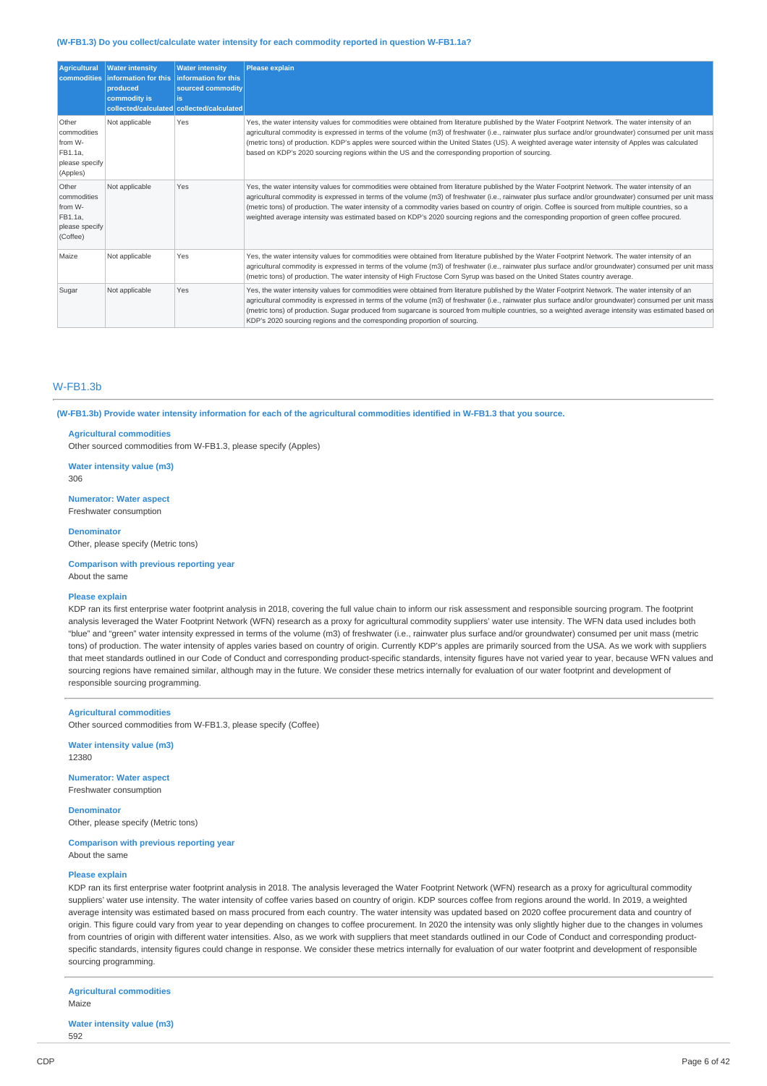#### **(W-FB1.3) Do you collect/calculate water intensity for each commodity reported in question W-FB1.1a?**

| <b>Agricultural</b><br><b>commodities</b>                                | <b>Water intensity</b><br>information for this<br>produced<br>commodity is | <b>Water intensity</b><br>information for this<br>sourced commodity<br>is.<br>collected/calculated collected/calculated | <b>Please explain</b>                                                                                                                                                                                                                                                                                                                                                                                                                                                                                                                                                                                         |
|--------------------------------------------------------------------------|----------------------------------------------------------------------------|-------------------------------------------------------------------------------------------------------------------------|---------------------------------------------------------------------------------------------------------------------------------------------------------------------------------------------------------------------------------------------------------------------------------------------------------------------------------------------------------------------------------------------------------------------------------------------------------------------------------------------------------------------------------------------------------------------------------------------------------------|
| Other<br>commodities<br>from W-<br>FB1.1a,<br>please specify<br>(Apples) | Not applicable                                                             | Yes                                                                                                                     | Yes, the water intensity values for commodities were obtained from literature published by the Water Footprint Network. The water intensity of an<br>agricultural commodity is expressed in terms of the volume (m3) of freshwater (i.e., rainwater plus surface and/or groundwater) consumed per unit mass<br>(metric tons) of production. KDP's apples were sourced within the United States (US). A weighted average water intensity of Apples was calculated<br>based on KDP's 2020 sourcing regions within the US and the corresponding proportion of sourcing.                                          |
| Other<br>commodities<br>from W-<br>FB1.1a,<br>please specify<br>(Coffee) | Not applicable                                                             | Yes                                                                                                                     | Yes, the water intensity values for commodities were obtained from literature published by the Water Footprint Network. The water intensity of an<br>agricultural commodity is expressed in terms of the volume (m3) of freshwater (i.e., rainwater plus surface and/or groundwater) consumed per unit mass<br>(metric tons) of production. The water intensity of a commodity varies based on country of origin. Coffee is sourced from multiple countries, so a<br>weighted average intensity was estimated based on KDP's 2020 sourcing regions and the corresponding proportion of green coffee procured. |
| Maize                                                                    | Not applicable                                                             | Yes                                                                                                                     | Yes, the water intensity values for commodities were obtained from literature published by the Water Footprint Network. The water intensity of an<br>agricultural commodity is expressed in terms of the volume (m3) of freshwater (i.e., rainwater plus surface and/or groundwater) consumed per unit mass<br>(metric tons) of production. The water intensity of High Fructose Corn Syrup was based on the United States country average.                                                                                                                                                                   |
| Sugar                                                                    | Not applicable                                                             | Yes                                                                                                                     | Yes, the water intensity values for commodities were obtained from literature published by the Water Footprint Network. The water intensity of an<br>agricultural commodity is expressed in terms of the volume (m3) of freshwater (i.e., rainwater plus surface and/or groundwater) consumed per unit mass<br>(metric tons) of production. Sugar produced from sugarcane is sourced from multiple countries, so a weighted average intensity was estimated based ori<br>KDP's 2020 sourcing regions and the corresponding proportion of sourcing.                                                            |

## W-FB1.3b

(W-FB1.3b) Provide water intensity information for each of the agricultural commodities identified in W-FB1.3 that you source.

#### **Agricultural commodities**

Other sourced commodities from W-FB1.3, please specify (Apples)

## **Water intensity value (m3)**

306

#### **Numerator: Water aspect** Freshwater consumption

**Denominator**

Other, please specify (Metric tons)

## **Comparison with previous reporting year**

About the same

#### **Please explain**

KDP ran its first enterprise water footprint analysis in 2018, covering the full value chain to inform our risk assessment and responsible sourcing program. The footprint analysis leveraged the Water Footprint Network (WFN) research as a proxy for agricultural commodity suppliers' water use intensity. The WFN data used includes both "blue" and "green" water intensity expressed in terms of the volume (m3) of freshwater (i.e., rainwater plus surface and/or groundwater) consumed per unit mass (metric tons) of production. The water intensity of apples varies based on country of origin. Currently KDP's apples are primarily sourced from the USA. As we work with suppliers that meet standards outlined in our Code of Conduct and corresponding product-specific standards, intensity figures have not varied year to year, because WFN values and sourcing regions have remained similar, although may in the future. We consider these metrics internally for evaluation of our water footprint and development of responsible sourcing programming.

#### **Agricultural commodities**

Other sourced commodities from W-FB1.3, please specify (Coffee)

**Water intensity value (m3)** 12380

**Numerator: Water aspect** Freshwater consumption

**Denominator** Other, please specify (Metric tons)

**Comparison with previous reporting year** About the same

#### **Please explain**

KDP ran its first enterprise water footprint analysis in 2018. The analysis leveraged the Water Footprint Network (WFN) research as a proxy for agricultural commodity suppliers' water use intensity. The water intensity of coffee varies based on country of origin. KDP sources coffee from regions around the world. In 2019, a weighted average intensity was estimated based on mass procured from each country. The water intensity was updated based on 2020 coffee procurement data and country of origin. This figure could vary from year to year depending on changes to coffee procurement. In 2020 the intensity was only slightly higher due to the changes in volumes from countries of origin with different water intensities. Also, as we work with suppliers that meet standards outlined in our Code of Conduct and corresponding productspecific standards, intensity figures could change in response. We consider these metrics internally for evaluation of our water footprint and development of responsible sourcing programming.

**Agricultural commodities** Maize

**Water intensity value (m3)** 592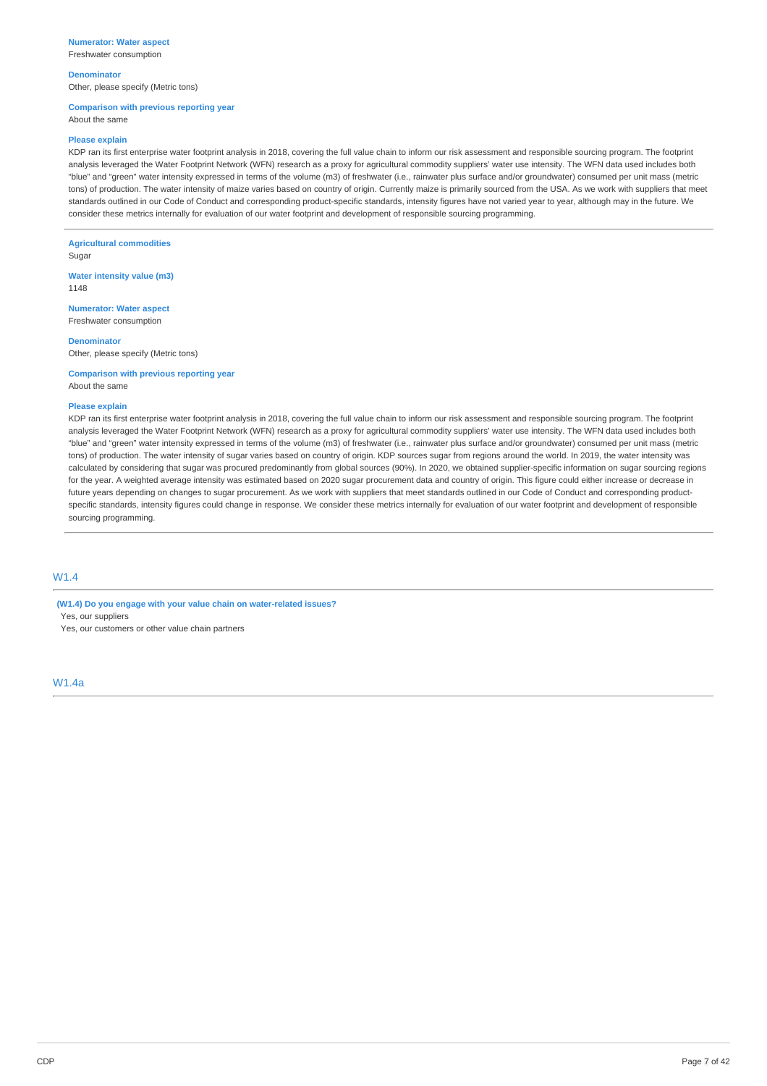## **Numerator: Water aspect**

Freshwater consumption

## **Denominator**

Other, please specify (Metric tons)

## **Comparison with previous reporting year**

About the same

#### **Please explain**

KDP ran its first enterprise water footprint analysis in 2018, covering the full value chain to inform our risk assessment and responsible sourcing program. The footprint analysis leveraged the Water Footprint Network (WFN) research as a proxy for agricultural commodity suppliers' water use intensity. The WFN data used includes both "blue" and "green" water intensity expressed in terms of the volume (m3) of freshwater (i.e., rainwater plus surface and/or groundwater) consumed per unit mass (metric tons) of production. The water intensity of maize varies based on country of origin. Currently maize is primarily sourced from the USA. As we work with suppliers that meet standards outlined in our Code of Conduct and corresponding product-specific standards, intensity figures have not varied year to year, although may in the future. We consider these metrics internally for evaluation of our water footprint and development of responsible sourcing programming.

**Agricultural commodities**

Sugar

**Water intensity value (m3)** 1148

**Numerator: Water aspect** Freshwater consumption

**Denominator**

Other, please specify (Metric tons)

**Comparison with previous reporting year** About the same

#### **Please explain**

KDP ran its first enterprise water footprint analysis in 2018, covering the full value chain to inform our risk assessment and responsible sourcing program. The footprint analysis leveraged the Water Footprint Network (WFN) research as a proxy for agricultural commodity suppliers' water use intensity. The WFN data used includes both "blue" and "green" water intensity expressed in terms of the volume (m3) of freshwater (i.e., rainwater plus surface and/or groundwater) consumed per unit mass (metric tons) of production. The water intensity of sugar varies based on country of origin. KDP sources sugar from regions around the world. In 2019, the water intensity was calculated by considering that sugar was procured predominantly from global sources (90%). In 2020, we obtained supplier-specific information on sugar sourcing regions for the year. A weighted average intensity was estimated based on 2020 sugar procurement data and country of origin. This figure could either increase or decrease in future years depending on changes to sugar procurement. As we work with suppliers that meet standards outlined in our Code of Conduct and corresponding productspecific standards, intensity figures could change in response. We consider these metrics internally for evaluation of our water footprint and development of responsible sourcing programming.

# W1.4

**(W1.4) Do you engage with your value chain on water-related issues?** Yes, our suppliers Yes, our customers or other value chain partners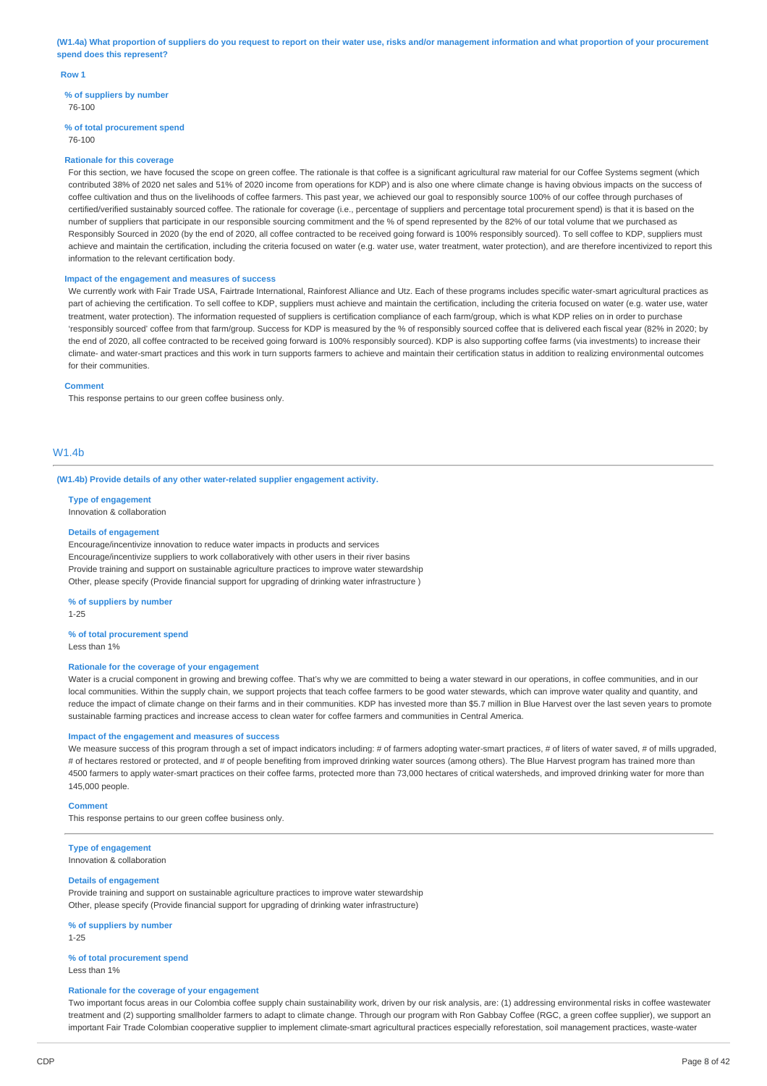(W1.4a) What proportion of suppliers do you request to report on their water use, risks and/or management information and what proportion of your procurement **spend does this represent?**

#### **Row 1**

**% of suppliers by number** 76-100

#### **% of total procurement spend**

76-100

#### **Rationale for this coverage**

For this section, we have focused the scope on green coffee. The rationale is that coffee is a significant agricultural raw material for our Coffee Systems segment (which contributed 38% of 2020 net sales and 51% of 2020 income from operations for KDP) and is also one where climate change is having obvious impacts on the success of coffee cultivation and thus on the livelihoods of coffee farmers. This past year, we achieved our goal to responsibly source 100% of our coffee through purchases of certified/verified sustainably sourced coffee. The rationale for coverage (i.e., percentage of suppliers and percentage total procurement spend) is that it is based on the number of suppliers that participate in our responsible sourcing commitment and the % of spend represented by the 82% of our total volume that we purchased as Responsibly Sourced in 2020 (by the end of 2020, all coffee contracted to be received going forward is 100% responsibly sourced). To sell coffee to KDP, suppliers must achieve and maintain the certification, including the criteria focused on water (e.g. water use, water treatment, water protection), and are therefore incentivized to report this information to the relevant certification body.

## **Impact of the engagement and measures of success**

We currently work with Fair Trade USA, Fairtrade International, Rainforest Alliance and Utz. Each of these programs includes specific water-smart agricultural practices as part of achieving the certification. To sell coffee to KDP, suppliers must achieve and maintain the certification, including the criteria focused on water (e.g. water use, water treatment, water protection). The information requested of suppliers is certification compliance of each farm/group, which is what KDP relies on in order to purchase 'responsibly sourced' coffee from that farm/group. Success for KDP is measured by the % of responsibly sourced coffee that is delivered each fiscal year (82% in 2020; by the end of 2020, all coffee contracted to be received going forward is 100% responsibly sourced). KDP is also supporting coffee farms (via investments) to increase their climate- and water-smart practices and this work in turn supports farmers to achieve and maintain their certification status in addition to realizing environmental outcomes for their communities.

#### **Comment**

This response pertains to our green coffee business only.

## W1.4b

**(W1.4b) Provide details of any other water-related supplier engagement activity.**

#### **Type of engagement**

Innovation & collaboration

#### **Details of engagement**

Encourage/incentivize innovation to reduce water impacts in products and services Encourage/incentivize suppliers to work collaboratively with other users in their river basins Provide training and support on sustainable agriculture practices to improve water stewardship Other, please specify (Provide financial support for upgrading of drinking water infrastructure )

#### **% of suppliers by number**

1-25

# **% of total procurement spend**

Less than 1%

#### **Rationale for the coverage of your engagement**

Water is a crucial component in growing and brewing coffee. That's why we are committed to being a water steward in our operations, in coffee communities, and in our local communities. Within the supply chain, we support projects that teach coffee farmers to be good water stewards, which can improve water quality and quantity, and reduce the impact of climate change on their farms and in their communities. KDP has invested more than \$5.7 million in Blue Harvest over the last seven years to promote sustainable farming practices and increase access to clean water for coffee farmers and communities in Central America.

#### **Impact of the engagement and measures of success**

We measure success of this program through a set of impact indicators including: # of farmers adopting water-smart practices, # of liters of water saved, # of mills upgraded, # of hectares restored or protected, and # of people benefiting from improved drinking water sources (among others). The Blue Harvest program has trained more than 4500 farmers to apply water-smart practices on their coffee farms, protected more than 73,000 hectares of critical watersheds, and improved drinking water for more than 145,000 people.

#### **Comment**

This response pertains to our green coffee business only.

**Type of engagement** Innovation & collaboration

## **Details of engagement**

Provide training and support on sustainable agriculture practices to improve water stewardship Other, please specify (Provide financial support for upgrading of drinking water infrastructure)

**% of suppliers by number** 1-25

## **% of total procurement spend** Less than 1%

#### **Rationale for the coverage of your engagement**

Two important focus areas in our Colombia coffee supply chain sustainability work, driven by our risk analysis, are: (1) addressing environmental risks in coffee wastewater treatment and (2) supporting smallholder farmers to adapt to climate change. Through our program with Ron Gabbay Coffee (RGC, a green coffee supplier), we support an important Fair Trade Colombian cooperative supplier to implement climate-smart agricultural practices especially reforestation, soil management practices, waste-water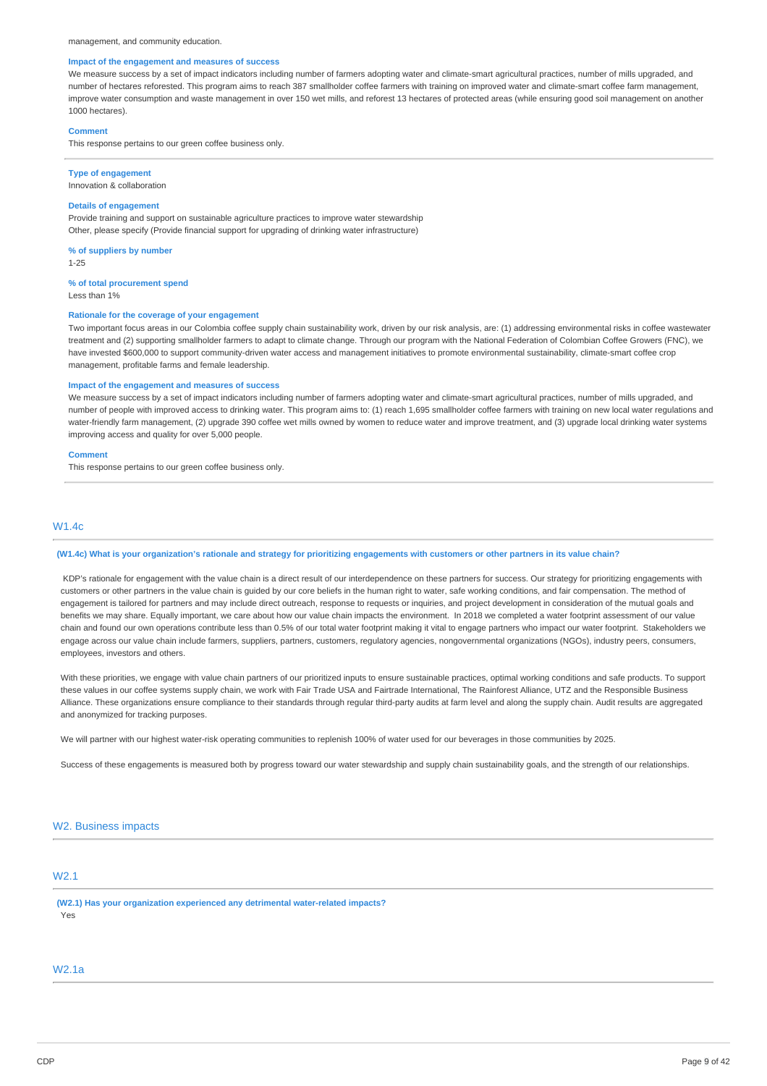#### management, and community education.

## **Impact of the engagement and measures of success**

We measure success by a set of impact indicators including number of farmers adopting water and climate-smart agricultural practices, number of mills upgraded, and number of hectares reforested. This program aims to reach 387 smallholder coffee farmers with training on improved water and climate-smart coffee farm management, improve water consumption and waste management in over 150 wet mills, and reforest 13 hectares of protected areas (while ensuring good soil management on another 1000 hectares).

#### **Comment**

This response pertains to our green coffee business only.

## **Type of engagement**

Innovation & collaboration

## **Details of engagement**

Provide training and support on sustainable agriculture practices to improve water stewardship Other, please specify (Provide financial support for upgrading of drinking water infrastructure)

**% of suppliers by number** 1-25

#### **% of total procurement spend**

Less than 1%

## **Rationale for the coverage of your engagement**

Two important focus areas in our Colombia coffee supply chain sustainability work, driven by our risk analysis, are: (1) addressing environmental risks in coffee wastewater treatment and (2) supporting smallholder farmers to adapt to climate change. Through our program with the National Federation of Colombian Coffee Growers (FNC), we have invested \$600,000 to support community-driven water access and management initiatives to promote environmental sustainability, climate-smart coffee crop management, profitable farms and female leadership.

#### **Impact of the engagement and measures of success**

We measure success by a set of impact indicators including number of farmers adopting water and climate-smart agricultural practices, number of mills upgraded, and number of people with improved access to drinking water. This program aims to: (1) reach 1,695 smallholder coffee farmers with training on new local water regulations and water-friendly farm management, (2) upgrade 390 coffee wet mills owned by women to reduce water and improve treatment, and (3) upgrade local drinking water systems improving access and quality for over 5,000 people.

#### **Comment**

This response pertains to our green coffee business only.

## W1.4c

#### (W1.4c) What is your organization's rationale and strategy for prioritizing engagements with customers or other partners in its value chain?

KDP's rationale for engagement with the value chain is a direct result of our interdependence on these partners for success. Our strategy for prioritizing engagements with customers or other partners in the value chain is guided by our core beliefs in the human right to water, safe working conditions, and fair compensation. The method of engagement is tailored for partners and may include direct outreach, response to requests or inquiries, and project development in consideration of the mutual goals and benefits we may share. Equally important, we care about how our value chain impacts the environment. In 2018 we completed a water footprint assessment of our value chain and found our own operations contribute less than 0.5% of our total water footprint making it vital to engage partners who impact our water footprint. Stakeholders we engage across our value chain include farmers, suppliers, partners, customers, regulatory agencies, nongovernmental organizations (NGOs), industry peers, consumers, employees, investors and others.

With these priorities, we engage with value chain partners of our prioritized inputs to ensure sustainable practices, optimal working conditions and safe products. To support these values in our coffee systems supply chain, we work with Fair Trade USA and Fairtrade International, The Rainforest Alliance, UTZ and the Responsible Business Alliance. These organizations ensure compliance to their standards through regular third-party audits at farm level and along the supply chain. Audit results are aggregated and anonymized for tracking purposes.

We will partner with our highest water-risk operating communities to replenish 100% of water used for our beverages in those communities by 2025.

Success of these engagements is measured both by progress toward our water stewardship and supply chain sustainability goals, and the strength of our relationships.

## W2. Business impacts

# W2.1

**(W2.1) Has your organization experienced any detrimental water-related impacts?** Yes

## W2.1a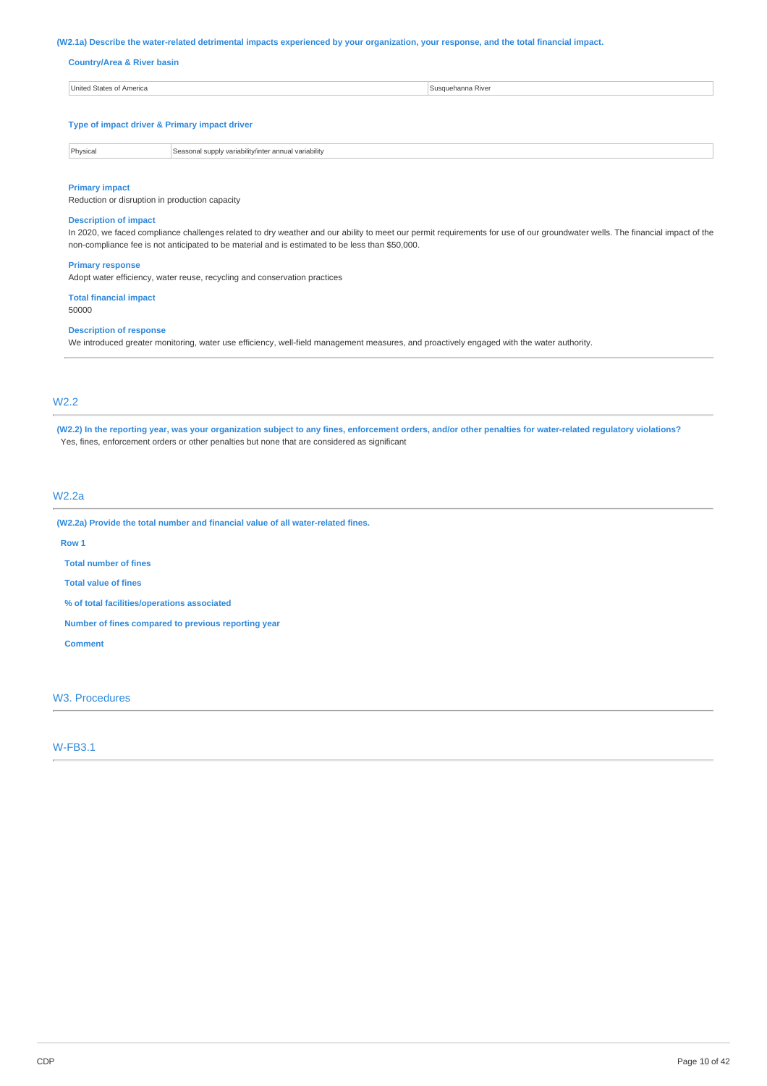## (W2.1a) Describe the water-related detrimental impacts experienced by your organization, your response, and the total financial impact.

## **Country/Area & River basin**

| United States of America | susquehanna River |
|--------------------------|-------------------|
|                          |                   |

#### **Type of impact driver & Primary impact driver**

| <b>Dhysics</b> | nual variability<br>supply variability/inter and<br>Seasons |
|----------------|-------------------------------------------------------------|

#### **Primary impact**

Reduction or disruption in production capacity

# **Description of impact**

In 2020, we faced compliance challenges related to dry weather and our ability to meet our permit requirements for use of our groundwater wells. The financial impact of the non-compliance fee is not anticipated to be material and is estimated to be less than \$50,000.

#### **Primary response**

Adopt water efficiency, water reuse, recycling and conservation practices

# **Total financial impact**

50000

# **Description of response**

We introduced greater monitoring, water use efficiency, well-field management measures, and proactively engaged with the water authority.

# W2.2

(W2.2) In the reporting year, was your organization subject to any fines, enforcement orders, and/or other penalties for water-related regulatory violations? Yes, fines, enforcement orders or other penalties but none that are considered as significant

## W2.2a

**(W2.2a) Provide the total number and financial value of all water-related fines.**

## **Row 1**

**Total number of fines**

**Total value of fines**

**% of total facilities/operations associated**

**Number of fines compared to previous reporting year**

### **Comment**

W3. Procedures

# W-FB3.1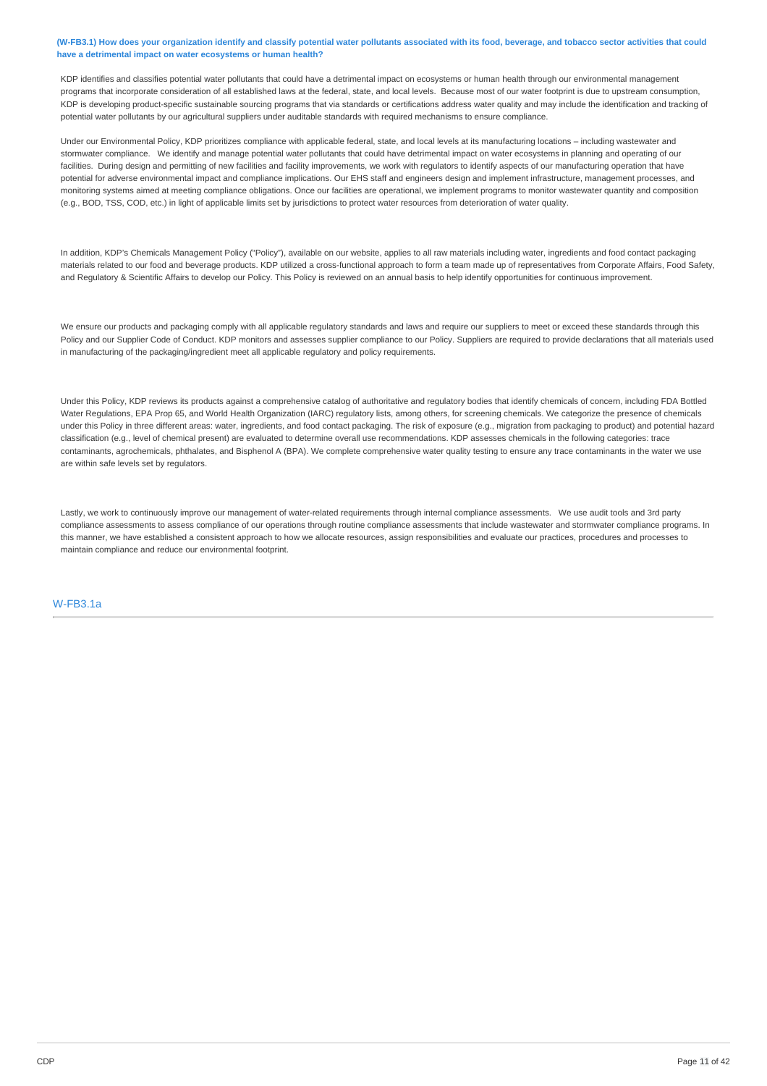## (W-FB3.1) How does your organization identify and classify potential water pollutants associated with its food, beverage, and tobacco sector activities that could **have a detrimental impact on water ecosystems or human health?**

KDP identifies and classifies potential water pollutants that could have a detrimental impact on ecosystems or human health through our environmental management programs that incorporate consideration of all established laws at the federal, state, and local levels. Because most of our water footprint is due to upstream consumption. KDP is developing product-specific sustainable sourcing programs that via standards or certifications address water quality and may include the identification and tracking of potential water pollutants by our agricultural suppliers under auditable standards with required mechanisms to ensure compliance.

Under our Environmental Policy, KDP prioritizes compliance with applicable federal, state, and local levels at its manufacturing locations – including wastewater and stormwater compliance. We identify and manage potential water pollutants that could have detrimental impact on water ecosystems in planning and operating of our facilities. During design and permitting of new facilities and facility improvements, we work with regulators to identify aspects of our manufacturing operation that have potential for adverse environmental impact and compliance implications. Our EHS staff and engineers design and implement infrastructure, management processes, and monitoring systems aimed at meeting compliance obligations. Once our facilities are operational, we implement programs to monitor wastewater quantity and composition (e.g., BOD, TSS, COD, etc.) in light of applicable limits set by jurisdictions to protect water resources from deterioration of water quality.

In addition, KDP's Chemicals Management Policy ("Policy"), available on our website, applies to all raw materials including water, ingredients and food contact packaging materials related to our food and beverage products. KDP utilized a cross-functional approach to form a team made up of representatives from Corporate Affairs, Food Safety, and Regulatory & Scientific Affairs to develop our Policy. This Policy is reviewed on an annual basis to help identify opportunities for continuous improvement.

We ensure our products and packaging comply with all applicable regulatory standards and laws and require our suppliers to meet or exceed these standards through this Policy and our Supplier Code of Conduct. KDP monitors and assesses supplier compliance to our Policy. Suppliers are required to provide declarations that all materials used in manufacturing of the packaging/ingredient meet all applicable regulatory and policy requirements.

Under this Policy, KDP reviews its products against a comprehensive catalog of authoritative and regulatory bodies that identify chemicals of concern, including FDA Bottled Water Regulations, EPA Prop 65, and World Health Organization (IARC) regulatory lists, among others, for screening chemicals. We categorize the presence of chemicals under this Policy in three different areas: water, ingredients, and food contact packaging. The risk of exposure (e.g., migration from packaging to product) and potential hazard classification (e.g., level of chemical present) are evaluated to determine overall use recommendations. KDP assesses chemicals in the following categories: trace contaminants, agrochemicals, phthalates, and Bisphenol A (BPA). We complete comprehensive water quality testing to ensure any trace contaminants in the water we use are within safe levels set by regulators.

Lastly, we work to continuously improve our management of water-related requirements through internal compliance assessments. We use audit tools and 3rd party compliance assessments to assess compliance of our operations through routine compliance assessments that include wastewater and stormwater compliance programs. In this manner, we have established a consistent approach to how we allocate resources, assign responsibilities and evaluate our practices, procedures and processes to maintain compliance and reduce our environmental footprint.

## W-FB3.1a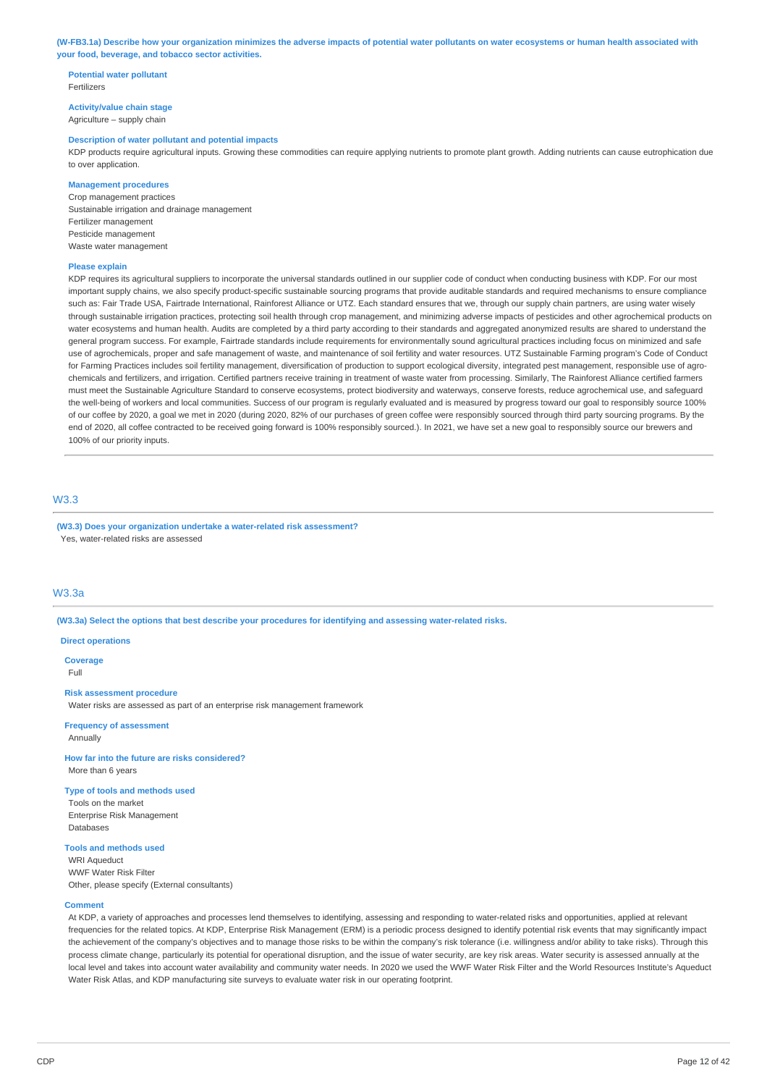(W-FB3.1a) Describe how your organization minimizes the adverse impacts of potential water pollutants on water ecosystems or human health associated with **your food, beverage, and tobacco sector activities.**

## **Potential water pollutant** Fertilizers

**Activity/value chain stage** Agriculture – supply chain

#### **Description of water pollutant and potential impacts**

KDP products require agricultural inputs. Growing these commodities can require applying nutrients to promote plant growth. Adding nutrients can cause eutrophication due to over application.

## **Management procedures**

Crop management practices Sustainable irrigation and drainage management Fertilizer management Pesticide management Waste water management

#### **Please explain**

KDP requires its agricultural suppliers to incorporate the universal standards outlined in our supplier code of conduct when conducting business with KDP. For our most important supply chains, we also specify product-specific sustainable sourcing programs that provide auditable standards and required mechanisms to ensure compliance such as: Fair Trade USA, Fairtrade International, Rainforest Alliance or UTZ. Each standard ensures that we, through our supply chain partners, are using water wisely through sustainable irrigation practices, protecting soil health through crop management, and minimizing adverse impacts of pesticides and other agrochemical products on water ecosystems and human health. Audits are completed by a third party according to their standards and aggregated anonymized results are shared to understand the general program success. For example, Fairtrade standards include requirements for environmentally sound agricultural practices including focus on minimized and safe use of agrochemicals, proper and safe management of waste, and maintenance of soil fertility and water resources. UTZ Sustainable Farming program's Code of Conduct for Farming Practices includes soil fertility management, diversification of production to support ecological diversity, integrated pest management, responsible use of agrochemicals and fertilizers, and irrigation. Certified partners receive training in treatment of waste water from processing. Similarly, The Rainforest Alliance certified farmers must meet the Sustainable Agriculture Standard to conserve ecosystems, protect biodiversity and waterways, conserve forests, reduce agrochemical use, and safeguard the well-being of workers and local communities. Success of our program is regularly evaluated and is measured by progress toward our goal to responsibly source 100% of our coffee by 2020, a goal we met in 2020 (during 2020, 82% of our purchases of green coffee were responsibly sourced through third party sourcing programs. By the end of 2020, all coffee contracted to be received going forward is 100% responsibly sourced.). In 2021, we have set a new goal to responsibly source our brewers and 100% of our priority inputs.

## W3.3

**(W3.3) Does your organization undertake a water-related risk assessment?** Yes, water-related risks are assessed

## W3.3a

**(W3.3a) Select the options that best describe your procedures for identifying and assessing water-related risks.**

#### **Direct operations**

**Coverage** Full

#### **Risk assessment procedure**

Water risks are assessed as part of an enterprise risk management framework

**Frequency of assessment** Annually

## **How far into the future are risks considered?** More than 6 years

#### **Type of tools and methods used**

Tools on the market Enterprise Risk Management Databases

# **Tools and methods used**

WRI Aqueduct WWF Water Risk Filter Other, please specify (External consultants)

#### **Comment**

At KDP, a variety of approaches and processes lend themselves to identifying, assessing and responding to water-related risks and opportunities, applied at relevant frequencies for the related topics. At KDP, Enterprise Risk Management (ERM) is a periodic process designed to identify potential risk events that may significantly impact the achievement of the company's objectives and to manage those risks to be within the company's risk tolerance (i.e. willingness and/or ability to take risks). Through this process climate change, particularly its potential for operational disruption, and the issue of water security, are key risk areas. Water security is assessed annually at the local level and takes into account water availability and community water needs. In 2020 we used the WWF Water Risk Filter and the World Resources Institute's Aqueduct Water Risk Atlas, and KDP manufacturing site surveys to evaluate water risk in our operating footprint.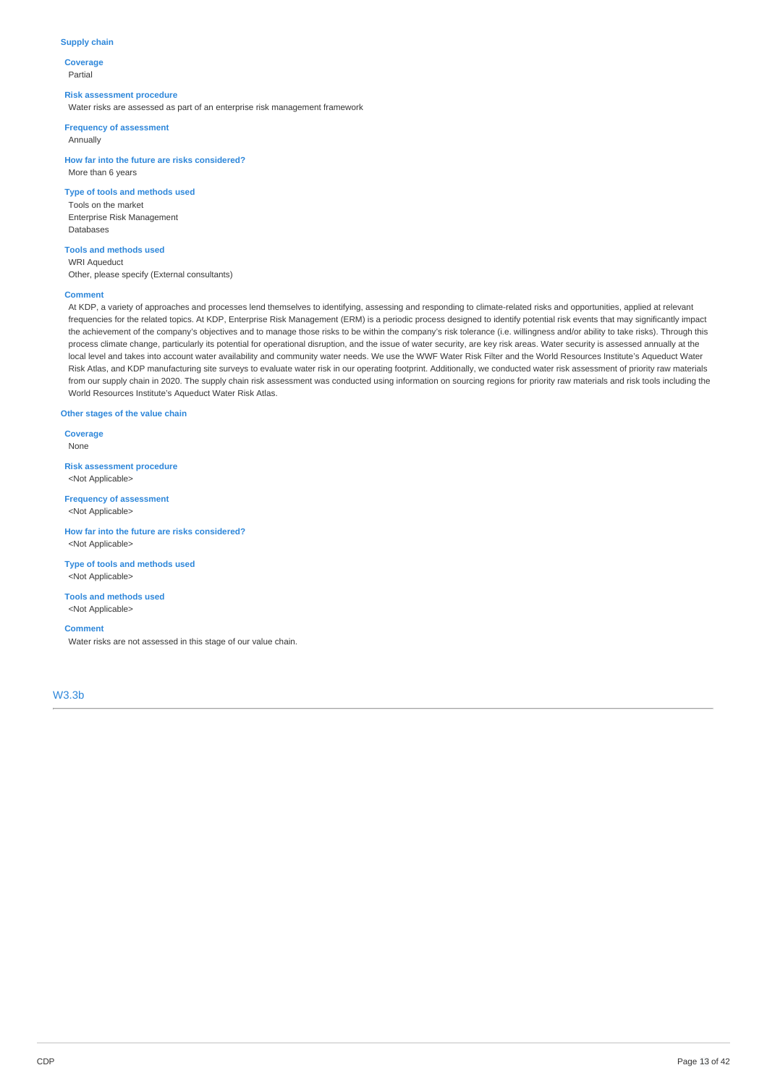## **Supply chain**

**Coverage** Partial

#### **Risk assessment procedure**

Water risks are assessed as part of an enterprise risk management framework

**Frequency of assessment**

Annually

**How far into the future are risks considered?** More than 6 years

# **Type of tools and methods used**

Tools on the market Enterprise Risk Management Databases

#### **Tools and methods used**

WRI Aqueduct

Other, please specify (External consultants)

#### **Comment**

At KDP, a variety of approaches and processes lend themselves to identifying, assessing and responding to climate-related risks and opportunities, applied at relevant frequencies for the related topics. At KDP, Enterprise Risk Management (ERM) is a periodic process designed to identify potential risk events that may significantly impact the achievement of the company's objectives and to manage those risks to be within the company's risk tolerance (i.e. willingness and/or ability to take risks). Through this process climate change, particularly its potential for operational disruption, and the issue of water security, are key risk areas. Water security is assessed annually at the local level and takes into account water availability and community water needs. We use the WWF Water Risk Filter and the World Resources Institute's Aqueduct Water Risk Atlas, and KDP manufacturing site surveys to evaluate water risk in our operating footprint. Additionally, we conducted water risk assessment of priority raw materials from our supply chain in 2020. The supply chain risk assessment was conducted using information on sourcing regions for priority raw materials and risk tools including the World Resources Institute's Aqueduct Water Risk Atlas.

#### **Other stages of the value chain**

**Coverage** None

**Risk assessment procedure** <Not Applicable>

**Frequency of assessment** <Not Applicable>

**How far into the future are risks considered?** <Not Applicable>

**Type of tools and methods used** <Not Applicable>

**Tools and methods used** <Not Applicable>

#### **Comment**

Water risks are not assessed in this stage of our value chain.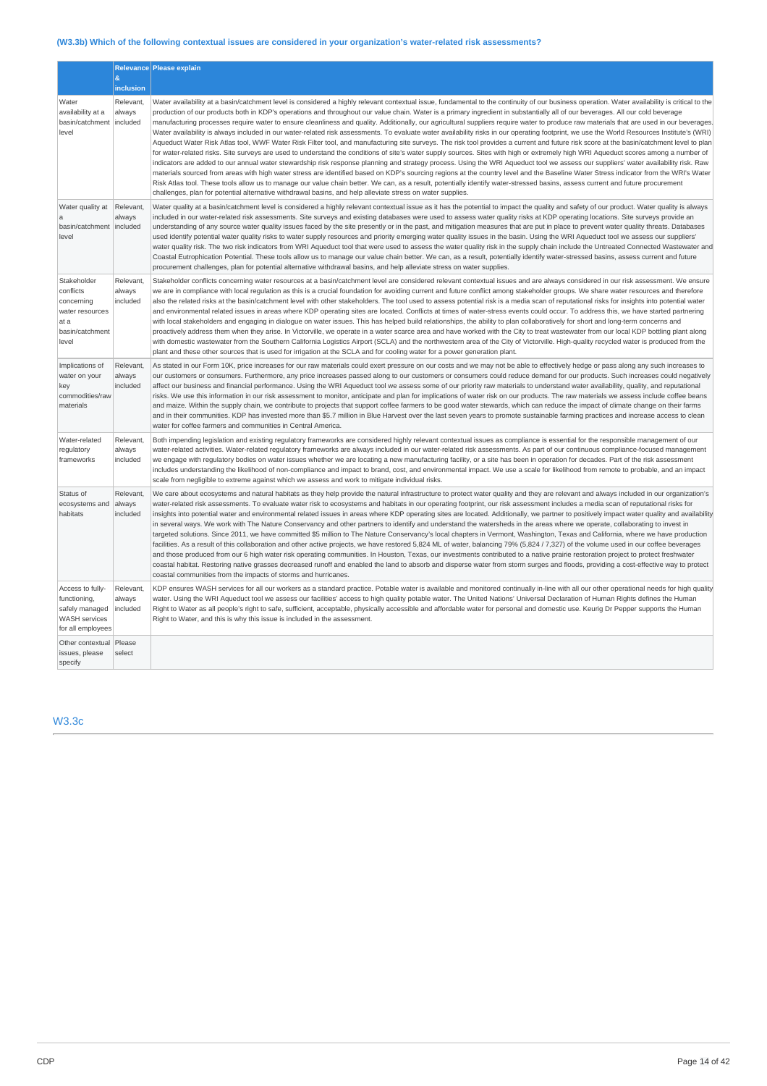# **(W3.3b) Which of the following contextual issues are considered in your organization's water-related risk assessments?**

|                                                                                                 | &<br>inclusion                  | Relevance Please explain                                                                                                                                                                                                                                                                                                                                                                                                                                                                                                                                                                                                                                                                                                                                                                                                                                                                                                                                                                                                                                                                                                                                                                                                                                                                                                                                                                                                                                                                                                                                                                                                                                                                                                                                                                                                                   |
|-------------------------------------------------------------------------------------------------|---------------------------------|--------------------------------------------------------------------------------------------------------------------------------------------------------------------------------------------------------------------------------------------------------------------------------------------------------------------------------------------------------------------------------------------------------------------------------------------------------------------------------------------------------------------------------------------------------------------------------------------------------------------------------------------------------------------------------------------------------------------------------------------------------------------------------------------------------------------------------------------------------------------------------------------------------------------------------------------------------------------------------------------------------------------------------------------------------------------------------------------------------------------------------------------------------------------------------------------------------------------------------------------------------------------------------------------------------------------------------------------------------------------------------------------------------------------------------------------------------------------------------------------------------------------------------------------------------------------------------------------------------------------------------------------------------------------------------------------------------------------------------------------------------------------------------------------------------------------------------------------|
| Water<br>availability at a<br>basin/catchment<br>level                                          | Relevant,<br>always<br>included | Water availability at a basin/catchment level is considered a highly relevant contextual issue, fundamental to the continuity of our business operation. Water availability is critical to the<br>production of our products both in KDP's operations and throughout our value chain. Water is a primary ingredient in substantially all of our beverages. All our cold beverage<br>manufacturing processes require water to ensure cleanliness and quality. Additionally, our agricultural suppliers require water to produce raw materials that are used in our beverages<br>Water availability is always included in our water-related risk assessments. To evaluate water availability risks in our operating footprint, we use the World Resources Institute's (WRI)<br>Aqueduct Water Risk Atlas tool, WWF Water Risk Filter tool, and manufacturing site surveys. The risk tool provides a current and future risk score at the basin/catchment level to plan<br>for water-related risks. Site surveys are used to understand the conditions of site's water supply sources. Sites with high or extremely high WRI Aqueduct scores among a number of<br>indicators are added to our annual water stewardship risk response planning and strategy process. Using the WRI Aqueduct tool we assess our suppliers' water availability risk. Raw<br>materials sourced from areas with high water stress are identified based on KDP's sourcing regions at the country level and the Baseline Water Stress indicator from the WRI's Water<br>Risk Atlas tool. These tools allow us to manage our value chain better. We can, as a result, potentially identify water-stressed basins, assess current and future procurement<br>challenges, plan for potential alternative withdrawal basins, and help alleviate stress on water supplies. |
| Water quality at<br>a<br>basin/catchment   included<br>level                                    | Relevant,<br>always             | Water quality at a basin/catchment level is considered a highly relevant contextual issue as it has the potential to impact the quality and safety of our product. Water quality is always<br>included in our water-related risk assessments. Site surveys and existing databases were used to assess water quality risks at KDP operating locations. Site surveys provide an<br>understanding of any source water quality issues faced by the site presently or in the past, and mitigation measures that are put in place to prevent water quality threats. Databases<br>used identify potential water quality risks to water supply resources and priority emerging water quality issues in the basin. Using the WRI Aqueduct tool we assess our suppliers'<br>water quality risk. The two risk indicators from WRI Aqueduct tool that were used to assess the water quality risk in the supply chain include the Untreated Connected Wastewater and<br>Coastal Eutrophication Potential. These tools allow us to manage our value chain better. We can, as a result, potentially identify water-stressed basins, assess current and future<br>procurement challenges, plan for potential alternative withdrawal basins, and help alleviate stress on water supplies.                                                                                                                                                                                                                                                                                                                                                                                                                                                                                                                                                                   |
| Stakeholder<br>conflicts<br>concerning<br>water resources<br>at a<br>basin/catchment<br>level   | Relevant,<br>always<br>included | Stakeholder conflicts concerning water resources at a basin/catchment level are considered relevant contextual issues and are always considered in our risk assessment. We ensure<br>we are in compliance with local regulation as this is a crucial foundation for avoiding current and future conflict among stakeholder groups. We share water resources and therefore<br>also the related risks at the basin/catchment level with other stakeholders. The tool used to assess potential risk is a media scan of reputational risks for insights into potential water<br>and environmental related issues in areas where KDP operating sites are located. Conflicts at times of water-stress events could occur. To address this, we have started partnering<br>with local stakeholders and engaging in dialogue on water issues. This has helped build relationships, the ability to plan collaboratively for short and long-term concerns and<br>proactively address them when they arise. In Victorville, we operate in a water scarce area and have worked with the City to treat wastewater from our local KDP bottling plant along<br>with domestic wastewater from the Southern California Logistics Airport (SCLA) and the northwestern area of the City of Victorville. High-quality recycled water is produced from the<br>plant and these other sources that is used for irrigation at the SCLA and for cooling water for a power generation plant.                                                                                                                                                                                                                                                                                                                                                                          |
| Implications of<br>water on your<br>key<br>commodities/raw<br>materials                         | Relevant,<br>always<br>included | As stated in our Form 10K, price increases for our raw materials could exert pressure on our costs and we may not be able to effectively hedge or pass along any such increases to<br>our customers or consumers. Furthermore, any price increases passed along to our customers or consumers could reduce demand for our products. Such increases could negatively<br>affect our business and financial performance. Using the WRI Aqueduct tool we assess some of our priority raw materials to understand water availability, quality, and reputational<br>risks. We use this information in our risk assessment to monitor, anticipate and plan for implications of water risk on our products. The raw materials we assess include coffee beans<br>and maize. Within the supply chain, we contribute to projects that support coffee farmers to be good water stewards, which can reduce the impact of climate change on their farms<br>and in their communities. KDP has invested more than \$5.7 million in Blue Harvest over the last seven years to promote sustainable farming practices and increase access to clean<br>water for coffee farmers and communities in Central America.                                                                                                                                                                                                                                                                                                                                                                                                                                                                                                                                                                                                                                            |
| Water-related<br>regulatory<br>frameworks                                                       | Relevant,<br>always<br>included | Both impending legislation and existing regulatory frameworks are considered highly relevant contextual issues as compliance is essential for the responsible management of our<br>water-related activities. Water-related regulatory frameworks are always included in our water-related risk assessments. As part of our continuous compliance-focused management<br>we engage with regulatory bodies on water issues whether we are locating a new manufacturing facility, or a site has been in operation for decades. Part of the risk assessment<br>includes understanding the likelihood of non-compliance and impact to brand, cost, and environmental impact. We use a scale for likelihood from remote to probable, and an impact<br>scale from negligible to extreme against which we assess and work to mitigate individual risks.                                                                                                                                                                                                                                                                                                                                                                                                                                                                                                                                                                                                                                                                                                                                                                                                                                                                                                                                                                                             |
| Status of<br>ecosystems and<br>habitats                                                         | Relevant,<br>always<br>included | We care about ecosystems and natural habitats as they help provide the natural infrastructure to protect water quality and they are relevant and always included in our organization's<br>water-related risk assessments. To evaluate water risk to ecosystems and habitats in our operating footprint, our risk assessment includes a media scan of reputational risks for<br>insights into potential water and environmental related issues in areas where KDP operating sites are located. Additionally, we partner to positively impact water quality and availability<br>in several ways. We work with The Nature Conservancy and other partners to identify and understand the watersheds in the areas where we operate, collaborating to invest in<br>targeted solutions. Since 2011, we have committed \$5 million to The Nature Conservancy's local chapters in Vermont, Washington, Texas and California, where we have production<br>facilities. As a result of this collaboration and other active projects, we have restored 5,824 ML of water, balancing 79% (5,824 / 7,327) of the volume used in our coffee beverages<br>and those produced from our 6 high water risk operating communities. In Houston, Texas, our investments contributed to a native prairie restoration project to protect freshwater<br>coastal habitat. Restoring native grasses decreased runoff and enabled the land to absorb and disperse water from storm surges and floods, providing a cost-effective way to protect<br>coastal communities from the impacts of storms and hurricanes.                                                                                                                                                                                                                                                       |
| Access to fully-<br>functioning,<br>safely managed<br><b>WASH services</b><br>for all employees | Relevant,<br>always<br>included | KDP ensures WASH services for all our workers as a standard practice. Potable water is available and monitored continually in-line with all our other operational needs for high quality<br>water. Using the WRI Aqueduct tool we assess our facilities' access to high quality potable water. The United Nations' Universal Declaration of Human Rights defines the Human<br>Right to Water as all people's right to safe, sufficient, acceptable, physically accessible and affordable water for personal and domestic use. Keurig Dr Pepper supports the Human<br>Right to Water, and this is why this issue is included in the assessment.                                                                                                                                                                                                                                                                                                                                                                                                                                                                                                                                                                                                                                                                                                                                                                                                                                                                                                                                                                                                                                                                                                                                                                                             |
| Other contextual<br>issues, please<br>specify                                                   | Please<br>select                |                                                                                                                                                                                                                                                                                                                                                                                                                                                                                                                                                                                                                                                                                                                                                                                                                                                                                                                                                                                                                                                                                                                                                                                                                                                                                                                                                                                                                                                                                                                                                                                                                                                                                                                                                                                                                                            |

W3.3c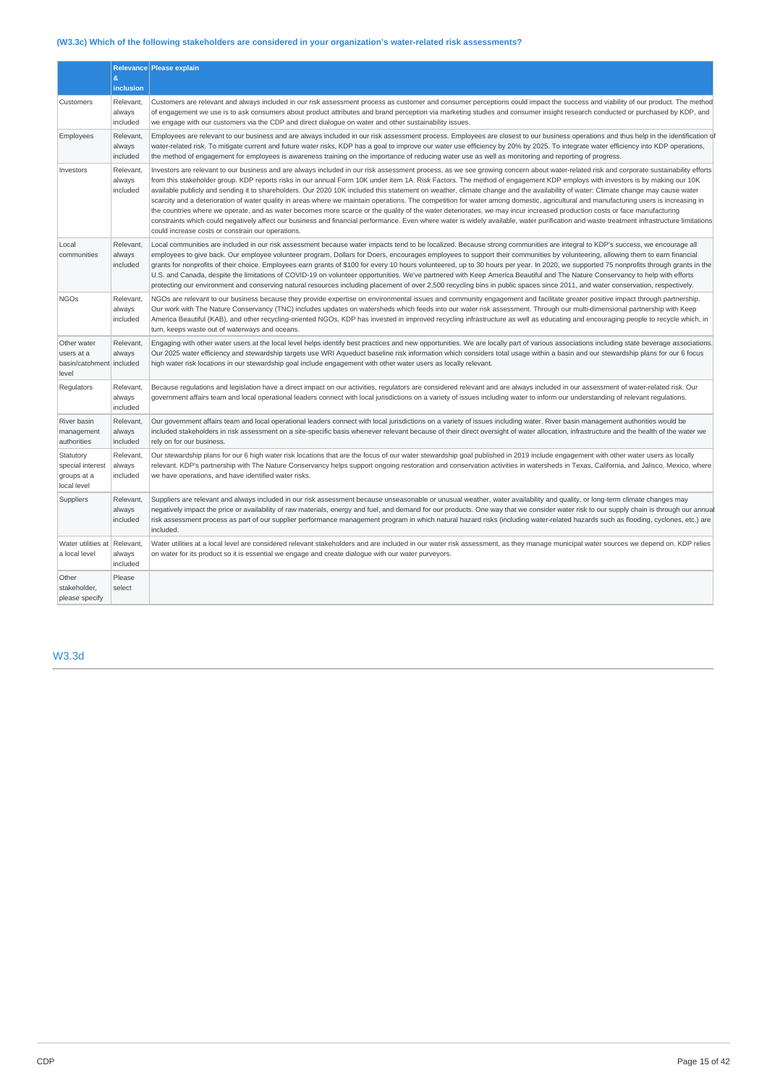# **(W3.3c) Which of the following stakeholders are considered in your organization's water-related risk assessments?**

|                                                                | &                               | Relevance Please explain                                                                                                                                                                                                                                                                                                                                                                                                                                                                                                                                                                                                                                                                                                                                                                                                                                                                                                                                                                                                                                                                                                                                                        |
|----------------------------------------------------------------|---------------------------------|---------------------------------------------------------------------------------------------------------------------------------------------------------------------------------------------------------------------------------------------------------------------------------------------------------------------------------------------------------------------------------------------------------------------------------------------------------------------------------------------------------------------------------------------------------------------------------------------------------------------------------------------------------------------------------------------------------------------------------------------------------------------------------------------------------------------------------------------------------------------------------------------------------------------------------------------------------------------------------------------------------------------------------------------------------------------------------------------------------------------------------------------------------------------------------|
|                                                                | <b>inclusion</b>                |                                                                                                                                                                                                                                                                                                                                                                                                                                                                                                                                                                                                                                                                                                                                                                                                                                                                                                                                                                                                                                                                                                                                                                                 |
| Customers                                                      | Relevant,<br>always<br>included | Customers are relevant and always included in our risk assessment process as customer and consumer perceptions could impact the success and viability of our product. The method<br>of engagement we use is to ask consumers about product attributes and brand perception via marketing studies and consumer insight research conducted or purchased by KDP, and<br>we engage with our customers via the CDP and direct dialogue on water and other sustainability issues.                                                                                                                                                                                                                                                                                                                                                                                                                                                                                                                                                                                                                                                                                                     |
| Employees                                                      | Relevant,<br>always<br>included | Employees are relevant to our business and are always included in our risk assessment process. Employees are closest to our business operations and thus help in the identification of<br>water-related risk. To mitigate current and future water risks, KDP has a goal to improve our water use efficiency by 20% by 2025. To integrate water efficiency into KDP operations,<br>the method of engagement for employees is awareness training on the importance of reducing water use as well as monitoring and reporting of progress.                                                                                                                                                                                                                                                                                                                                                                                                                                                                                                                                                                                                                                        |
| Investors                                                      | Relevant,<br>always<br>included | Investors are relevant to our business and are always included in our risk assessment process, as we see growing concern about water-related risk and corporate sustainability efforts<br>from this stakeholder group. KDP reports risks in our annual Form 10K under item 1A. Risk Factors. The method of engagement KDP employs with investors is by making our 10K<br>available publicly and sending it to shareholders. Our 2020 10K included this statement on weather, climate change and the availability of water: Climate change may cause water<br>scarcity and a deterioration of water quality in areas where we maintain operations. The competition for water among domestic, agricultural and manufacturing users is increasing in<br>the countries where we operate, and as water becomes more scarce or the quality of the water deteriorates, we may incur increased production costs or face manufacturing<br>constraints which could negatively affect our business and financial performance. Even where water is widely available, water purification and waste treatment infrastructure limitations<br>could increase costs or constrain our operations. |
| Local<br>communities                                           | Relevant,<br>always<br>included | Local communities are included in our risk assessment because water impacts tend to be localized. Because strong communities are integral to KDP's success, we encourage all<br>employees to give back. Our employee volunteer program, Dollars for Doers, encourages employees to support their communities by volunteering, allowing them to earn financial<br>grants for nonprofits of their choice. Employees earn grants of \$100 for every 10 hours volunteered, up to 30 hours per year. In 2020, we supported 75 nonprofits through grants in the<br>U.S. and Canada, despite the limitations of COVID-19 on volunteer opportunities. We've partnered with Keep America Beautiful and The Nature Conservancy to help with efforts<br>protecting our environment and conserving natural resources including placement of over 2,500 recycling bins in public spaces since 2011, and water conservation, respectively.                                                                                                                                                                                                                                                    |
| <b>NGOs</b>                                                    | Relevant.<br>always<br>included | NGOs are relevant to our business because they provide expertise on environmental issues and community engagement and facilitate greater positive impact through partnership.<br>Our work with The Nature Conservancy (TNC) includes updates on watersheds which feeds into our water risk assessment. Through our multi-dimensional partnership with Keep<br>America Beautiful (KAB), and other recycling-oriented NGOs, KDP has invested in improved recycling infrastructure as well as educating and encouraging people to recycle which, in<br>turn, keeps waste out of waterways and oceans.                                                                                                                                                                                                                                                                                                                                                                                                                                                                                                                                                                              |
| Other water<br>users at a<br>basin/catchment included<br>level | Relevant,<br>always             | Engaging with other water users at the local level helps identify best practices and new opportunities. We are locally part of various associations including state beverage associations.<br>Our 2025 water efficiency and stewardship targets use WRI Aqueduct baseline risk information which considers total usage within a basin and our stewardship plans for our 6 focus<br>high water risk locations in our stewardship goal include engagement with other water users as locally relevant.                                                                                                                                                                                                                                                                                                                                                                                                                                                                                                                                                                                                                                                                             |
| Regulators                                                     | Relevant,<br>always<br>included | Because regulations and legislation have a direct impact on our activities, regulators are considered relevant and are always included in our assessment of water-related risk. Our<br>government affairs team and local operational leaders connect with local jurisdictions on a variety of issues including water to inform our understanding of relevant regulations.                                                                                                                                                                                                                                                                                                                                                                                                                                                                                                                                                                                                                                                                                                                                                                                                       |
| River basin<br>management<br>authorities                       | Relevant,<br>always<br>included | Our government affairs team and local operational leaders connect with local jurisdictions on a variety of issues including water. River basin management authorities would be<br>included stakeholders in risk assessment on a site-specific basis whenever relevant because of their direct oversight of water allocation, infrastructure and the health of the water we<br>rely on for our business.                                                                                                                                                                                                                                                                                                                                                                                                                                                                                                                                                                                                                                                                                                                                                                         |
| Statutory<br>special interest<br>groups at a<br>local level    | Relevant,<br>always<br>included | Our stewardship plans for our 6 high water risk locations that are the focus of our water stewardship goal published in 2019 include engagement with other water users as locally<br>relevant. KDP's partnership with The Nature Conservancy helps support ongoing restoration and conservation activities in watersheds in Texas, California, and Jalisco, Mexico, where<br>we have operations, and have identified water risks.                                                                                                                                                                                                                                                                                                                                                                                                                                                                                                                                                                                                                                                                                                                                               |
| Suppliers                                                      | Relevant,<br>always<br>included | Suppliers are relevant and always included in our risk assessment because unseasonable or unusual weather, water availability and quality, or long-term climate changes may<br>negatively impact the price or availability of raw materials, energy and fuel, and demand for our products. One way that we consider water risk to our supply chain is through our annual<br>risk assessment process as part of our supplier performance management program in which natural hazard risks (including water-related hazards such as flooding, cyclones, etc.) are<br>included.                                                                                                                                                                                                                                                                                                                                                                                                                                                                                                                                                                                                    |
| Water utilities at<br>a local level                            | Relevant,<br>always<br>included | Water utilities at a local level are considered relevant stakeholders and are included in our water risk assessment, as they manage municipal water sources we depend on. KDP relies<br>on water for its product so it is essential we engage and create dialogue with our water purveyors.                                                                                                                                                                                                                                                                                                                                                                                                                                                                                                                                                                                                                                                                                                                                                                                                                                                                                     |
| Other<br>stakeholder,<br>please specify                        | Please<br>select                |                                                                                                                                                                                                                                                                                                                                                                                                                                                                                                                                                                                                                                                                                                                                                                                                                                                                                                                                                                                                                                                                                                                                                                                 |

W3.3d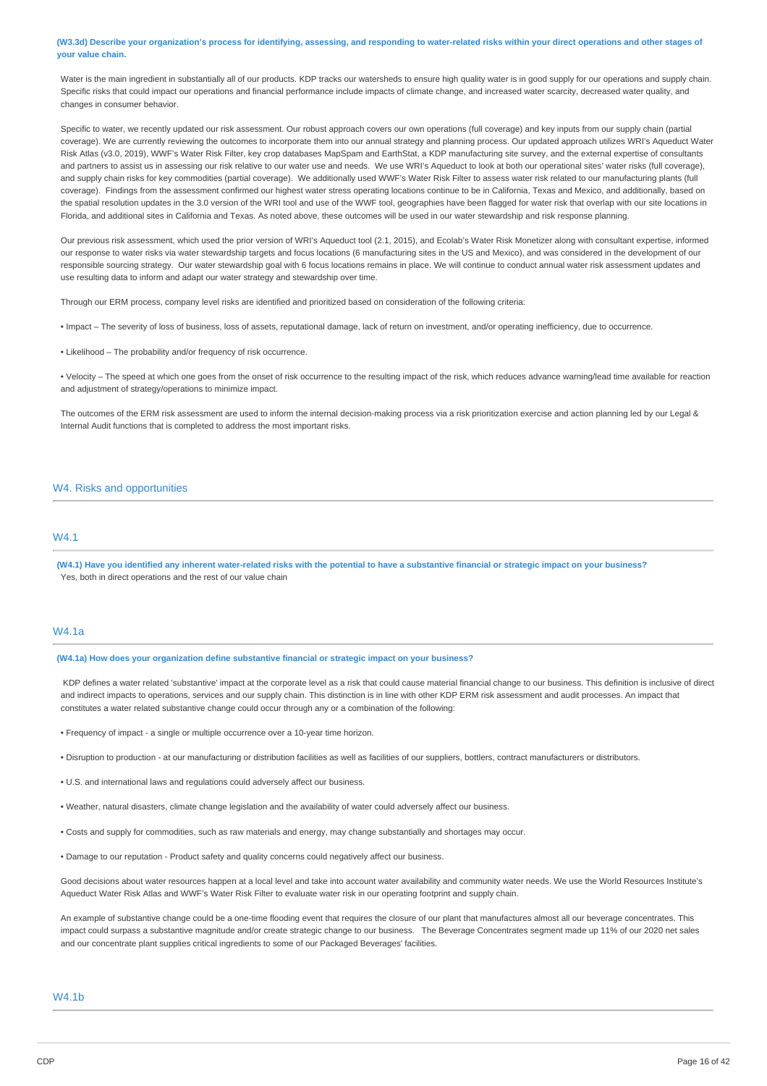(W3.3d) Describe your organization's process for identifying, assessing, and responding to water-related risks within your direct operations and other stages of **your value chain.**

Water is the main ingredient in substantially all of our products. KDP tracks our watersheds to ensure high quality water is in good supply for our operations and supply chain. Specific risks that could impact our operations and financial performance include impacts of climate change, and increased water scarcity, decreased water quality, and changes in consumer behavior.

Specific to water, we recently updated our risk assessment. Our robust approach covers our own operations (full coverage) and key inputs from our supply chain (partial coverage). We are currently reviewing the outcomes to incorporate them into our annual strategy and planning process. Our updated approach utilizes WRI's Aqueduct Water Risk Atlas (v3.0, 2019), WWF's Water Risk Filter, key crop databases MapSpam and EarthStat, a KDP manufacturing site survey, and the external expertise of consultants and partners to assist us in assessing our risk relative to our water use and needs. We use WRI's Aqueduct to look at both our operational sites' water risks (full coverage), and supply chain risks for key commodities (partial coverage). We additionally used WWF's Water Risk Filter to assess water risk related to our manufacturing plants (full coverage). Findings from the assessment confirmed our highest water stress operating locations continue to be in California, Texas and Mexico, and additionally, based on the spatial resolution updates in the 3.0 version of the WRI tool and use of the WWF tool, geographies have been flagged for water risk that overlap with our site locations in Florida, and additional sites in California and Texas. As noted above, these outcomes will be used in our water stewardship and risk response planning.

Our previous risk assessment, which used the prior version of WRI's Aqueduct tool (2.1, 2015), and Ecolab's Water Risk Monetizer along with consultant expertise, informed our response to water risks via water stewardship targets and focus locations (6 manufacturing sites in the US and Mexico), and was considered in the development of our responsible sourcing strategy. Our water stewardship goal with 6 focus locations remains in place. We will continue to conduct annual water risk assessment updates and use resulting data to inform and adapt our water strategy and stewardship over time.

Through our ERM process, company level risks are identified and prioritized based on consideration of the following criteria:

• Impact – The severity of loss of business, loss of assets, reputational damage, lack of return on investment, and/or operating inefficiency, due to occurrence.

• Likelihood – The probability and/or frequency of risk occurrence.

• Velocity – The speed at which one goes from the onset of risk occurrence to the resulting impact of the risk, which reduces advance warning/lead time available for reaction and adjustment of strategy/operations to minimize impact.

The outcomes of the ERM risk assessment are used to inform the internal decision-making process via a risk prioritization exercise and action planning led by our Legal & Internal Audit functions that is completed to address the most important risks.

## W4. Risks and opportunities

## **MA1**

(W4.1) Have you identified any inherent water-related risks with the potential to have a substantive financial or strategic impact on your business? Yes, both in direct operations and the rest of our value chain

## W4.1a

**(W4.1a) How does your organization define substantive financial or strategic impact on your business?**

KDP defines a water related 'substantive' impact at the corporate level as a risk that could cause material financial change to our business. This definition is inclusive of direct and indirect impacts to operations, services and our supply chain. This distinction is in line with other KDP ERM risk assessment and audit processes. An impact that constitutes a water related substantive change could occur through any or a combination of the following:

- Frequency of impact a single or multiple occurrence over a 10-year time horizon.
- Disruption to production at our manufacturing or distribution facilities as well as facilities of our suppliers, bottlers, contract manufacturers or distributors.
- U.S. and international laws and regulations could adversely affect our business.
- Weather, natural disasters, climate change legislation and the availability of water could adversely affect our business.
- Costs and supply for commodities, such as raw materials and energy, may change substantially and shortages may occur.
- Damage to our reputation Product safety and quality concerns could negatively affect our business.

Good decisions about water resources happen at a local level and take into account water availability and community water needs. We use the World Resources Institute's Aqueduct Water Risk Atlas and WWF's Water Risk Filter to evaluate water risk in our operating footprint and supply chain.

An example of substantive change could be a one-time flooding event that requires the closure of our plant that manufactures almost all our beverage concentrates. This impact could surpass a substantive magnitude and/or create strategic change to our business. The Beverage Concentrates segment made up 11% of our 2020 net sales and our concentrate plant supplies critical ingredients to some of our Packaged Beverages' facilities.

## W4.1b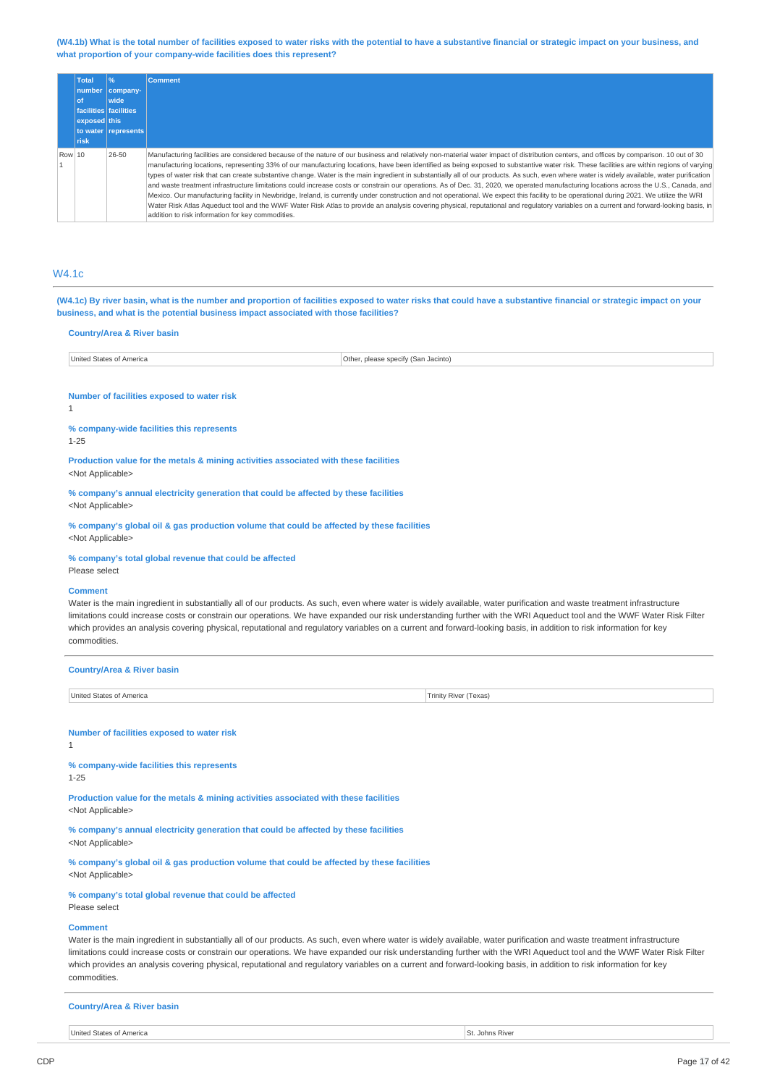(W4.1b) What is the total number of facilities exposed to water risks with the potential to have a substantive financial or strategic impact on your business, and **what proportion of your company-wide facilities does this represent?**

|        | <b>Total</b><br>of<br>exposed this<br>risk | $\frac{1}{2}$<br>number company-<br>wide<br>facilities facilities<br>to water represents | <b>Comment</b>                                                                                                                                                                                                                                                                                                                                                                                                                                                                                                                                                                                                                                                                                                                                                                                                                                                                                                                                                                                                                                                                                                                                                                                                            |
|--------|--------------------------------------------|------------------------------------------------------------------------------------------|---------------------------------------------------------------------------------------------------------------------------------------------------------------------------------------------------------------------------------------------------------------------------------------------------------------------------------------------------------------------------------------------------------------------------------------------------------------------------------------------------------------------------------------------------------------------------------------------------------------------------------------------------------------------------------------------------------------------------------------------------------------------------------------------------------------------------------------------------------------------------------------------------------------------------------------------------------------------------------------------------------------------------------------------------------------------------------------------------------------------------------------------------------------------------------------------------------------------------|
| Row 10 |                                            | 26-50                                                                                    | Manufacturing facilities are considered because of the nature of our business and relatively non-material water impact of distribution centers, and offices by comparison. 10 out of 30<br>manufacturing locations, representing 33% of our manufacturing locations, have been identified as being exposed to substantive water risk. These facilities are within regions of varying<br>types of water risk that can create substantive change. Water is the main ingredient in substantially all of our products. As such, even where water is widely available, water purification<br>and waste treatment infrastructure limitations could increase costs or constrain our operations. As of Dec. 31, 2020, we operated manufacturing locations across the U.S., Canada, and<br>Mexico. Our manufacturing facility in Newbridge, Ireland, is currently under construction and not operational. We expect this facility to be operational during 2021. We utilize the WRI<br>Water Risk Atlas Aqueduct tool and the WWF Water Risk Atlas to provide an analysis covering physical, reputational and regulatory variables on a current and forward-looking basis, in<br>addition to risk information for key commodities. |

## W4.1c

(W4.1c) By river basin, what is the number and proportion of facilities exposed to water risks that could have a substantive financial or strategic impact on your **business, and what is the potential business impact associated with those facilities?**

## **Country/Area & River basin**

|  | <b>States</b><br>Jnited<br>Othe<br>snec<br>Jacinto)<br>∵of America<br>ulease.<br>15ar<br>--- |  |
|--|----------------------------------------------------------------------------------------------|--|
|--|----------------------------------------------------------------------------------------------|--|

#### **Number of facilities exposed to water risk**

1

#### **% company-wide facilities this represents**

1-25

**Production value for the metals & mining activities associated with these facilities**

<Not Applicable>

**% company's annual electricity generation that could be affected by these facilities** <Not Applicable>

**% company's global oil & gas production volume that could be affected by these facilities** <Not Applicable>

## **% company's total global revenue that could be affected**

Please select

#### **Comment**

Water is the main ingredient in substantially all of our products. As such, even where water is widely available, water purification and waste treatment infrastructure limitations could increase costs or constrain our operations. We have expanded our risk understanding further with the WRI Aqueduct tool and the WWF Water Risk Filter which provides an analysis covering physical, reputational and regulatory variables on a current and forward-looking basis, in addition to risk information for key commodities.

| <b>Country/Area &amp; River basin</b>                                                                                                                                                                                                                                                                                                                                                                                                                                                                                                      |                       |
|--------------------------------------------------------------------------------------------------------------------------------------------------------------------------------------------------------------------------------------------------------------------------------------------------------------------------------------------------------------------------------------------------------------------------------------------------------------------------------------------------------------------------------------------|-----------------------|
| United States of America                                                                                                                                                                                                                                                                                                                                                                                                                                                                                                                   | Trinity River (Texas) |
|                                                                                                                                                                                                                                                                                                                                                                                                                                                                                                                                            |                       |
| Number of facilities exposed to water risk<br>1                                                                                                                                                                                                                                                                                                                                                                                                                                                                                            |                       |
| % company-wide facilities this represents<br>$1 - 25$                                                                                                                                                                                                                                                                                                                                                                                                                                                                                      |                       |
| Production value for the metals & mining activities associated with these facilities<br><not applicable=""></not>                                                                                                                                                                                                                                                                                                                                                                                                                          |                       |
| % company's annual electricity generation that could be affected by these facilities<br><not applicable=""></not>                                                                                                                                                                                                                                                                                                                                                                                                                          |                       |
| % company's global oil & gas production volume that could be affected by these facilities<br><not applicable=""></not>                                                                                                                                                                                                                                                                                                                                                                                                                     |                       |
| % company's total global revenue that could be affected<br>Please select                                                                                                                                                                                                                                                                                                                                                                                                                                                                   |                       |
| <b>Comment</b><br>Water is the main ingredient in substantially all of our products. As such, even where water is widely available, water purification and waste treatment infrastructure<br>limitations could increase costs or constrain our operations. We have expanded our risk understanding further with the WRI Aqueduct tool and the WWF Water Risk Filter<br>which provides an analysis covering physical, reputational and regulatory variables on a current and forward-looking basis, in addition to risk information for key |                       |

commodities.

**Country/Area & River basin**

United States of America St. Johns River Communications and St. Johns River Communications of America St. Johns River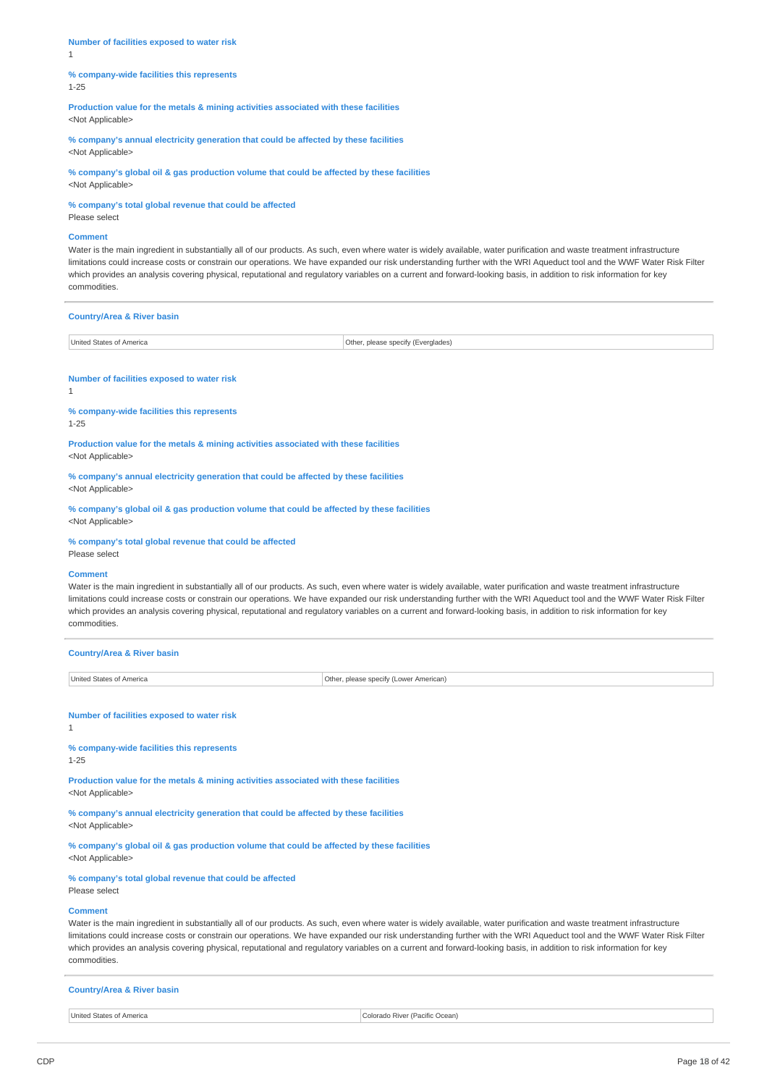**Number of facilities exposed to water risk** 1

#### **% company-wide facilities this represents** 1-25

**Production value for the metals & mining activities associated with these facilities** <Not Applicable>

**% company's annual electricity generation that could be affected by these facilities** <Not Applicable>

**% company's global oil & gas production volume that could be affected by these facilities** <Not Applicable>

**% company's total global revenue that could be affected**

Please select

## **Comment**

Water is the main ingredient in substantially all of our products. As such, even where water is widely available, water purification and waste treatment infrastructure limitations could increase costs or constrain our operations. We have expanded our risk understanding further with the WRI Aqueduct tool and the WWF Water Risk Filter which provides an analysis covering physical, reputational and regulatory variables on a current and forward-looking basis, in addition to risk information for key commodities.

| <b>Country/Area &amp; River basin</b> |                                    |  |
|---------------------------------------|------------------------------------|--|
| United States of America              | Other, please specify (Everglades) |  |

## **Number of facilities exposed to water risk**

1

**% company-wide facilities this represents** 1-25

**Production value for the metals & mining activities associated with these facilities** <Not Applicable>

**% company's annual electricity generation that could be affected by these facilities** <Not Applicable>

**% company's global oil & gas production volume that could be affected by these facilities** <Not Applicable>

**% company's total global revenue that could be affected**

Please select

#### **Comment**

Water is the main ingredient in substantially all of our products. As such, even where water is widely available, water purification and waste treatment infrastructure limitations could increase costs or constrain our operations. We have expanded our risk understanding further with the WRI Aqueduct tool and the WWF Water Risk Filter which provides an analysis covering physical, reputational and regulatory variables on a current and forward-looking basis, in addition to risk information for key commodities.

**Country/Area & River basin** United States of America **Other, please specify (Lower American)** 

**Number of facilities exposed to water risk**

## 1

**% company-wide facilities this represents**

1-25

**Production value for the metals & mining activities associated with these facilities** <Not Applicable>

**% company's annual electricity generation that could be affected by these facilities**

<Not Applicable>

**% company's global oil & gas production volume that could be affected by these facilities** <Not Applicable>

#### **% company's total global revenue that could be affected**

Please select

#### **Comment**

Water is the main ingredient in substantially all of our products. As such, even where water is widely available, water purification and waste treatment infrastructure limitations could increase costs or constrain our operations. We have expanded our risk understanding further with the WRI Aqueduct tool and the WWF Water Risk Filter which provides an analysis covering physical, reputational and regulatory variables on a current and forward-looking basis, in addition to risk information for key commodities.

## **Country/Area & River basin**

United States of America Colorado River (Pacific Ocean)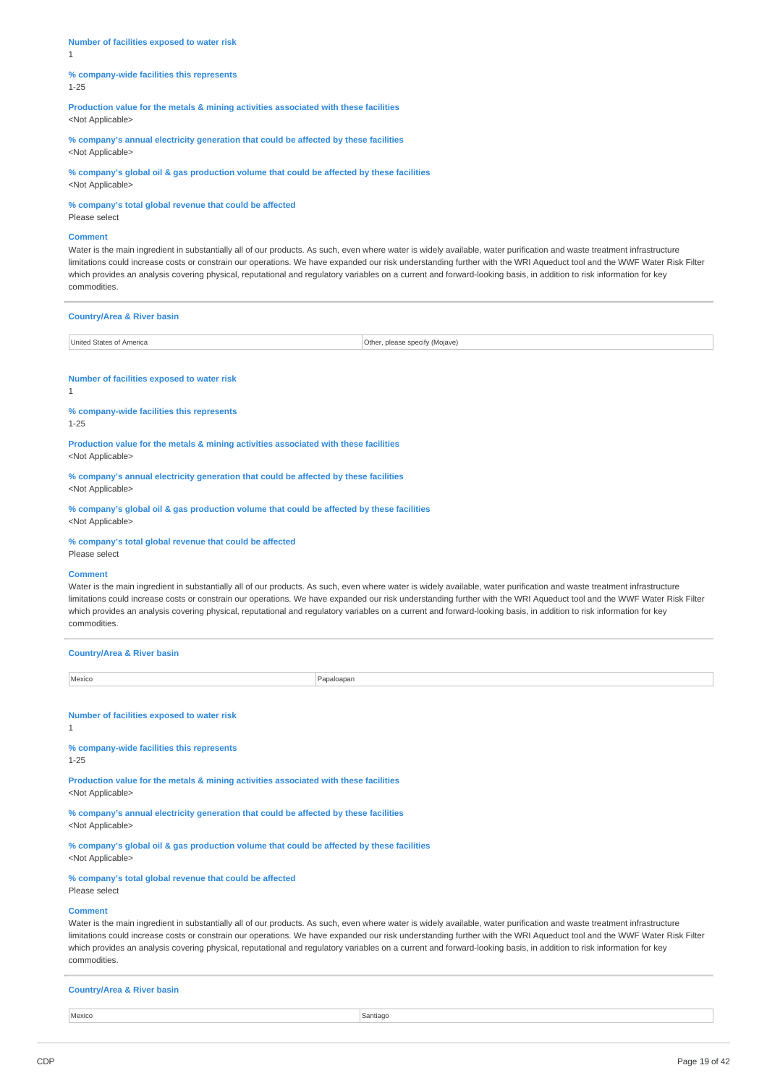**Number of facilities exposed to water risk** 1

#### **% company-wide facilities this represents** 1-25

**Production value for the metals & mining activities associated with these facilities** <Not Applicable>

**% company's annual electricity generation that could be affected by these facilities** <Not Applicable>

**% company's global oil & gas production volume that could be affected by these facilities** <Not Applicable>

**% company's total global revenue that could be affected**

Please select

## **Comment**

Water is the main ingredient in substantially all of our products. As such, even where water is widely available, water purification and waste treatment infrastructure limitations could increase costs or constrain our operations. We have expanded our risk understanding further with the WRI Aqueduct tool and the WWF Water Risk Filter which provides an analysis covering physical, reputational and regulatory variables on a current and forward-looking basis, in addition to risk information for key commodities.

| <b>Country/Area &amp; River basin</b> |                                |
|---------------------------------------|--------------------------------|
| United States of America              | Other, please specify (Mojave) |

#### **Number of facilities exposed to water risk**

1

**% company-wide facilities this represents** 1-25

**Production value for the metals & mining activities associated with these facilities** <Not Applicable>

**% company's annual electricity generation that could be affected by these facilities** <Not Applicable>

**% company's global oil & gas production volume that could be affected by these facilities** <Not Applicable>

**% company's total global revenue that could be affected**

Please select

#### **Comment**

Water is the main ingredient in substantially all of our products. As such, even where water is widely available, water purification and waste treatment infrastructure limitations could increase costs or constrain our operations. We have expanded our risk understanding further with the WRI Aqueduct tool and the WWF Water Risk Filter which provides an analysis covering physical, reputational and regulatory variables on a current and forward-looking basis, in addition to risk information for key commodities.

| <b>Country/Area &amp; River basin</b>                                                                                  |            |  |
|------------------------------------------------------------------------------------------------------------------------|------------|--|
| Mexico                                                                                                                 | Papaloapan |  |
| Number of facilities exposed to water risk<br>$\mathbf{1}$                                                             |            |  |
| % company-wide facilities this represents<br>$1 - 25$                                                                  |            |  |
| Production value for the metals & mining activities associated with these facilities<br><not applicable=""></not>      |            |  |
| % company's annual electricity generation that could be affected by these facilities<br><not applicable=""></not>      |            |  |
| % company's global oil & gas production volume that could be affected by these facilities<br><not applicable=""></not> |            |  |

#### **% company's total global revenue that could be affected**

Please select

#### **Comment**

Water is the main ingredient in substantially all of our products. As such, even where water is widely available, water purification and waste treatment infrastructure limitations could increase costs or constrain our operations. We have expanded our risk understanding further with the WRI Aqueduct tool and the WWF Water Risk Filter which provides an analysis covering physical, reputational and regulatory variables on a current and forward-looking basis, in addition to risk information for key commodities.

#### **Country/Area & River basin**

Mexico Santiago in the Santiago Santiago in the Santiago in the Santiago in the Santiago in the Santiago in the Santiago in the Santiago in the Santiago in the Santiago in the Santiago in the Santiago in the Santiago in th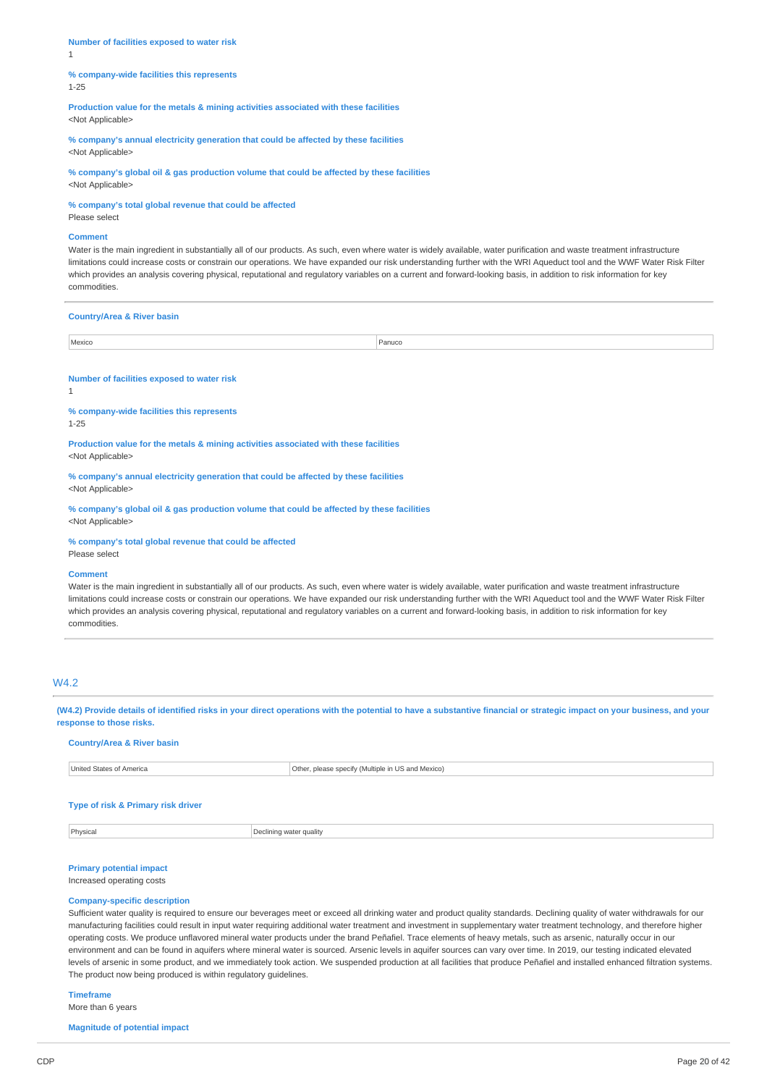**Number of facilities exposed to water risk** 1

#### **% company-wide facilities this represents** 1-25

**Production value for the metals & mining activities associated with these facilities** <Not Applicable>

**% company's annual electricity generation that could be affected by these facilities** <Not Applicable>

**% company's global oil & gas production volume that could be affected by these facilities** <Not Applicable>

**% company's total global revenue that could be affected**

Please select

## **Comment**

Water is the main ingredient in substantially all of our products. As such, even where water is widely available, water purification and waste treatment infrastructure limitations could increase costs or constrain our operations. We have expanded our risk understanding further with the WRI Aqueduct tool and the WWF Water Risk Filter which provides an analysis covering physical, reputational and regulatory variables on a current and forward-looking basis, in addition to risk information for key commodities.

## **Country/Area & River basin**

| Mexico | $\sim$ $\sim$<br>anuco'<br>. |
|--------|------------------------------|

#### **Number of facilities exposed to water risk**

1

**% company-wide facilities this represents** 1-25

**Production value for the metals & mining activities associated with these facilities** <Not Applicable>

**% company's annual electricity generation that could be affected by these facilities** <Not Applicable>

**% company's global oil & gas production volume that could be affected by these facilities** <Not Applicable>

**% company's total global revenue that could be affected**

Please select

#### **Comment**

Water is the main ingredient in substantially all of our products. As such, even where water is widely available, water purification and waste treatment infrastructure limitations could increase costs or constrain our operations. We have expanded our risk understanding further with the WRI Aqueduct tool and the WWF Water Risk Filter which provides an analysis covering physical, reputational and regulatory variables on a current and forward-looking basis, in addition to risk information for key commodities.

## W4.2

(W4.2) Provide details of identified risks in your direct operations with the potential to have a substantive financial or strategic impact on your business, and your **response to those risks.**

## **Country/Area & River basin**

| United States of America | Other, please specify (Multiple in US and Mexico) |
|--------------------------|---------------------------------------------------|
|                          |                                                   |
|                          |                                                   |

## **Type of risk & Primary risk driver**

**Physical** Physical **Declining water quality** 

# **Primary potential impact**

Increased operating costs

#### **Company-specific description**

Sufficient water quality is required to ensure our beverages meet or exceed all drinking water and product quality standards. Declining quality of water withdrawals for our manufacturing facilities could result in input water requiring additional water treatment and investment in supplementary water treatment technology, and therefore higher operating costs. We produce unflavored mineral water products under the brand Peñafiel. Trace elements of heavy metals, such as arsenic, naturally occur in our environment and can be found in aquifers where mineral water is sourced. Arsenic levels in aquifer sources can vary over time. In 2019, our testing indicated elevated levels of arsenic in some product, and we immediately took action. We suspended production at all facilities that produce Peñafiel and installed enhanced filtration systems. The product now being produced is within regulatory guidelines.

**Timeframe**

More than 6 years

**Magnitude of potential impact**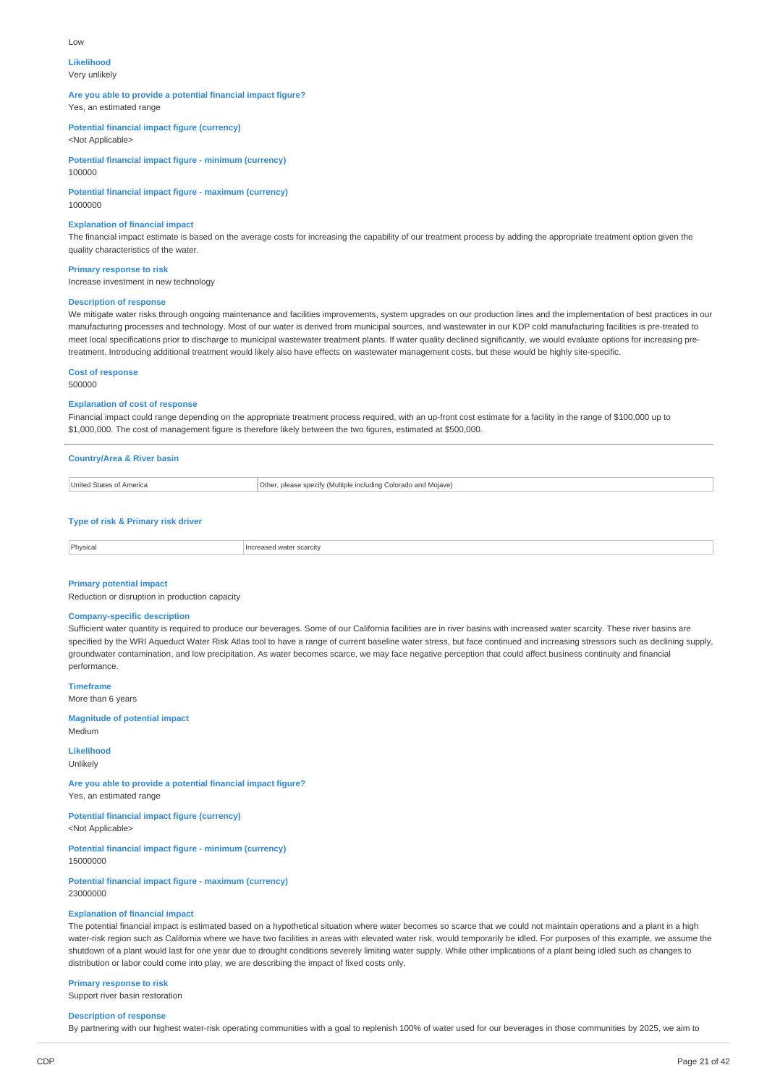#### Low

#### **Likelihood**

Very unlikely

#### **Are you able to provide a potential financial impact figure?** Yes, an estimated range

**Potential financial impact figure (currency)**

<Not Applicable>

**Potential financial impact figure - minimum (currency)** 100000

**Potential financial impact figure - maximum (currency)** 1000000

## **Explanation of financial impact**

The financial impact estimate is based on the average costs for increasing the capability of our treatment process by adding the appropriate treatment option given the quality characteristics of the water.

**Primary response to risk** Increase investment in new technology

#### **Description of response**

We mitigate water risks through ongoing maintenance and facilities improvements, system upgrades on our production lines and the implementation of best practices in our manufacturing processes and technology. Most of our water is derived from municipal sources, and wastewater in our KDP cold manufacturing facilities is pre-treated to meet local specifications prior to discharge to municipal wastewater treatment plants. If water quality declined significantly, we would evaluate options for increasing pretreatment. Introducing additional treatment would likely also have effects on wastewater management costs, but these would be highly site-specific.

**Cost of response**

## 500000

### **Explanation of cost of response**

Financial impact could range depending on the appropriate treatment process required, with an up-front cost estimate for a facility in the range of \$100,000 up to \$1,000,000. The cost of management figure is therefore likely between the two figures, estimated at \$500,000.

# **Country/Area & River basin**

| I Inited States<br>America | Othe<br>Colorado and Moiave)<br>please specify (Multiple<br>including<br>.<br>____ |
|----------------------------|------------------------------------------------------------------------------------|
|                            |                                                                                    |

## **Type of risk & Primary risk driver**

| Physical<br>ິ |  |
|---------------|--|
|               |  |

## **Primary potential impact**

Reduction or disruption in production capacity

## **Company-specific description**

Sufficient water quantity is required to produce our beverages. Some of our California facilities are in river basins with increased water scarcity. These river basins are specified by the WRI Aqueduct Water Risk Atlas tool to have a range of current baseline water stress, but face continued and increasing stressors such as declining supply, groundwater contamination, and low precipitation. As water becomes scarce, we may face negative perception that could affect business continuity and financial performance.

**Timeframe** More than 6 years

**Magnitude of potential impact**

Medium

**Likelihood** Unlikely

**Are you able to provide a potential financial impact figure?** Yes, an estimated range

**Potential financial impact figure (currency)** <Not Applicable>

**Potential financial impact figure - minimum (currency)** 15000000

**Potential financial impact figure - maximum (currency)** 23000000

## **Explanation of financial impact**

The potential financial impact is estimated based on a hypothetical situation where water becomes so scarce that we could not maintain operations and a plant in a high water-risk region such as California where we have two facilities in areas with elevated water risk, would temporarily be idled. For purposes of this example, we assume the shutdown of a plant would last for one year due to drought conditions severely limiting water supply. While other implications of a plant being idled such as changes to distribution or labor could come into play, we are describing the impact of fixed costs only.

## **Primary response to risk**

Support river basin restoration

## **Description of response**

By partnering with our highest water-risk operating communities with a goal to replenish 100% of water used for our beverages in those communities by 2025, we aim to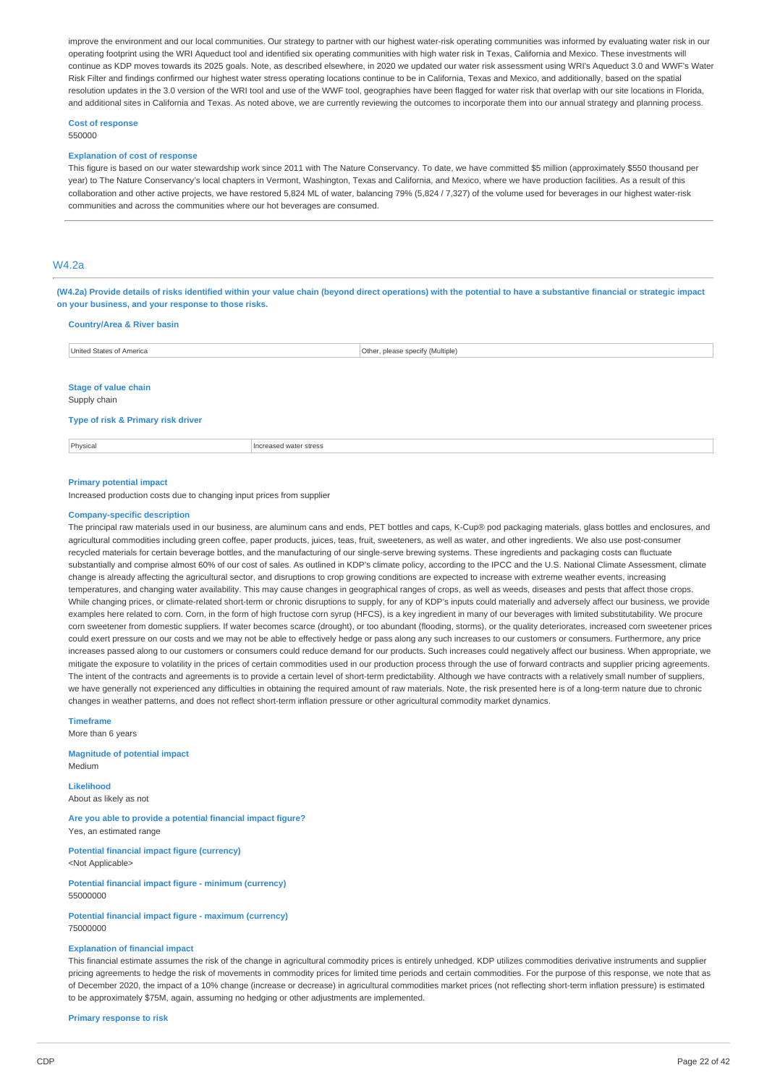improve the environment and our local communities. Our strategy to partner with our highest water-risk operating communities was informed by evaluating water risk in our operating footprint using the WRI Aqueduct tool and identified six operating communities with high water risk in Texas, California and Mexico. These investments will continue as KDP moves towards its 2025 goals. Note, as described elsewhere, in 2020 we updated our water risk assessment using WRI's Aqueduct 3.0 and WWF's Water Risk Filter and findings confirmed our highest water stress operating locations continue to be in California, Texas and Mexico, and additionally, based on the spatial resolution updates in the 3.0 version of the WRI tool and use of the WWF tool, geographies have been flagged for water risk that overlap with our site locations in Florida, and additional sites in California and Texas. As noted above, we are currently reviewing the outcomes to incorporate them into our annual strategy and planning process.

#### **Cost of response** 550000

#### **Explanation of cost of response**

This figure is based on our water stewardship work since 2011 with The Nature Conservancy. To date, we have committed \$5 million (approximately \$550 thousand per year) to The Nature Conservancy's local chapters in Vermont, Washington, Texas and California, and Mexico, where we have production facilities. As a result of this collaboration and other active projects, we have restored 5,824 ML of water, balancing 79% (5,824 / 7,327) of the volume used for beverages in our highest water-risk communities and across the communities where our hot beverages are consumed.

## W4.2a

(W4.2a) Provide details of risks identified within your value chain (beyond direct operations) with the potential to have a substantive financial or strategic impact **on your business, and your response to those risks.**

| <b>Country/Area &amp; River basin</b>       |                        |                                  |
|---------------------------------------------|------------------------|----------------------------------|
| United States of America                    |                        | Other, please specify (Multiple) |
|                                             |                        |                                  |
| <b>Stage of value chain</b><br>Supply chain |                        |                                  |
| Type of risk & Primary risk driver          |                        |                                  |
| Physical                                    | Increased water stress |                                  |
|                                             |                        |                                  |
| <b>Primary potential impact</b>             |                        |                                  |

Increased production costs due to changing input prices from supplier

#### **Company-specific description**

The principal raw materials used in our business, are aluminum cans and ends, PET bottles and caps, K-Cup® pod packaging materials, glass bottles and enclosures, and agricultural commodities including green coffee, paper products, juices, teas, fruit, sweeteners, as well as water, and other ingredients. We also use post-consumer recycled materials for certain beverage bottles, and the manufacturing of our single-serve brewing systems. These ingredients and packaging costs can fluctuate substantially and comprise almost 60% of our cost of sales. As outlined in KDP's climate policy, according to the IPCC and the U.S. National Climate Assessment, climate change is already affecting the agricultural sector, and disruptions to crop growing conditions are expected to increase with extreme weather events, increasing temperatures, and changing water availability. This may cause changes in geographical ranges of crops, as well as weeds, diseases and pests that affect those crops. While changing prices, or climate-related short-term or chronic disruptions to supply, for any of KDP's inputs could materially and adversely affect our business, we provide examples here related to corn. Corn, in the form of high fructose corn syrup (HFCS), is a key ingredient in many of our beverages with limited substitutability. We procure corn sweetener from domestic suppliers. If water becomes scarce (drought), or too abundant (flooding, storms), or the quality deteriorates, increased corn sweetener prices could exert pressure on our costs and we may not be able to effectively hedge or pass along any such increases to our customers or consumers. Furthermore, any price increases passed along to our customers or consumers could reduce demand for our products. Such increases could negatively affect our business. When appropriate, we mitigate the exposure to volatility in the prices of certain commodities used in our production process through the use of forward contracts and supplier pricing agreements. The intent of the contracts and agreements is to provide a certain level of short-term predictability. Although we have contracts with a relatively small number of suppliers, we have generally not experienced any difficulties in obtaining the required amount of raw materials. Note, the risk presented here is of a long-term nature due to chronic changes in weather patterns, and does not reflect short-term inflation pressure or other agricultural commodity market dynamics.

#### **Timeframe**

More than 6 years

**Magnitude of potential impact** Medium

**Likelihood** About as likely as not

**Are you able to provide a potential financial impact figure?** Yes, an estimated range

**Potential financial impact figure (currency)** <Not Applicable>

**Potential financial impact figure - minimum (currency)** 55000000

**Potential financial impact figure - maximum (currency)** 75000000

#### **Explanation of financial impact**

This financial estimate assumes the risk of the change in agricultural commodity prices is entirely unhedged. KDP utilizes commodities derivative instruments and supplier pricing agreements to hedge the risk of movements in commodity prices for limited time periods and certain commodities. For the purpose of this response, we note that as of December 2020, the impact of a 10% change (increase or decrease) in agricultural commodities market prices (not reflecting short-term inflation pressure) is estimated to be approximately \$75M, again, assuming no hedging or other adjustments are implemented.

**Primary response to risk**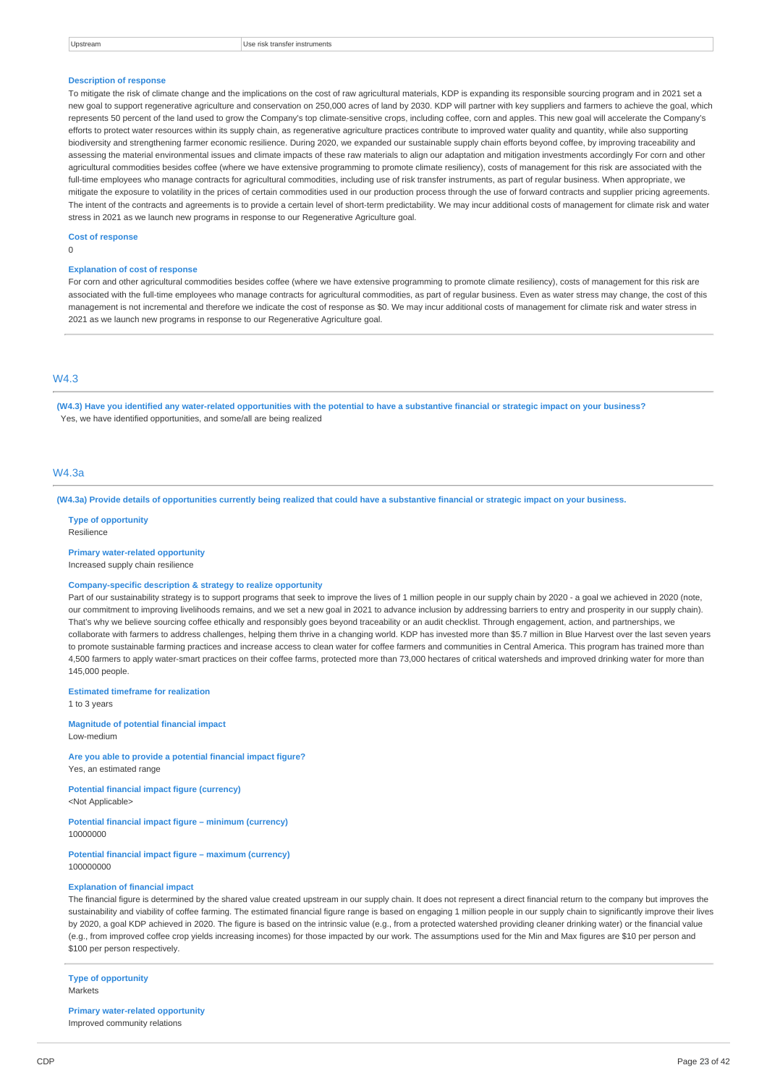| œ,<br>э,<br>N S. |
|------------------|
|------------------|

#### **Description of response**

To mitigate the risk of climate change and the implications on the cost of raw agricultural materials, KDP is expanding its responsible sourcing program and in 2021 set a new goal to support regenerative agriculture and conservation on 250,000 acres of land by 2030. KDP will partner with key suppliers and farmers to achieve the goal, which represents 50 percent of the land used to grow the Company's top climate-sensitive crops, including coffee, corn and apples. This new goal will accelerate the Company's efforts to protect water resources within its supply chain, as regenerative agriculture practices contribute to improved water quality and quantity, while also supporting biodiversity and strengthening farmer economic resilience. During 2020, we expanded our sustainable supply chain efforts beyond coffee, by improving traceability and assessing the material environmental issues and climate impacts of these raw materials to align our adaptation and mitigation investments accordingly For corn and other agricultural commodities besides coffee (where we have extensive programming to promote climate resiliency), costs of management for this risk are associated with the full-time employees who manage contracts for agricultural commodities, including use of risk transfer instruments, as part of regular business. When appropriate, we mitigate the exposure to volatility in the prices of certain commodities used in our production process through the use of forward contracts and supplier pricing agreements. The intent of the contracts and agreements is to provide a certain level of short-term predictability. We may incur additional costs of management for climate risk and water stress in 2021 as we launch new programs in response to our Regenerative Agriculture goal.

**Cost of response**

#### **Explanation of cost of response**

For corn and other agricultural commodities besides coffee (where we have extensive programming to promote climate resiliency), costs of management for this risk are associated with the full-time employees who manage contracts for agricultural commodities, as part of regular business. Even as water stress may change, the cost of this management is not incremental and therefore we indicate the cost of response as \$0. We may incur additional costs of management for climate risk and water stress in 2021 as we launch new programs in response to our Regenerative Agriculture goal.

## $MA<sub>3</sub>$

 $\overline{0}$ 

(W4.3) Have you identified any water-related opportunities with the potential to have a substantive financial or strategic impact on your business? Yes, we have identified opportunities, and some/all are being realized

## $MA$  3a

(W4.3a) Provide details of opportunities currently being realized that could have a substantive financial or strategic impact on your business.

**Type of opportunity** Resilience

#### **Primary water-related opportunity**

Increased supply chain resilience

#### **Company-specific description & strategy to realize opportunity**

Part of our sustainability strategy is to support programs that seek to improve the lives of 1 million people in our supply chain by 2020 - a goal we achieved in 2020 (note, our commitment to improving livelihoods remains, and we set a new goal in 2021 to advance inclusion by addressing barriers to entry and prosperity in our supply chain). That's why we believe sourcing coffee ethically and responsibly goes beyond traceability or an audit checklist. Through engagement, action, and partnerships, we collaborate with farmers to address challenges, helping them thrive in a changing world. KDP has invested more than \$5.7 million in Blue Harvest over the last seven years to promote sustainable farming practices and increase access to clean water for coffee farmers and communities in Central America. This program has trained more than 4,500 farmers to apply water-smart practices on their coffee farms, protected more than 73,000 hectares of critical watersheds and improved drinking water for more than 145,000 people.

**Estimated timeframe for realization**

1 to 3 years

**Magnitude of potential financial impact** Low-medium

**Are you able to provide a potential financial impact figure?** Yes, an estimated range

**Potential financial impact figure (currency)** <Not Applicable>

**Potential financial impact figure – minimum (currency)** 10000000

**Potential financial impact figure – maximum (currency)** 100000000

#### **Explanation of financial impact**

The financial figure is determined by the shared value created upstream in our supply chain. It does not represent a direct financial return to the company but improves the sustainability and viability of coffee farming. The estimated financial figure range is based on engaging 1 million people in our supply chain to significantly improve their lives by 2020, a goal KDP achieved in 2020. The figure is based on the intrinsic value (e.g., from a protected watershed providing cleaner drinking water) or the financial value (e.g., from improved coffee crop yields increasing incomes) for those impacted by our work. The assumptions used for the Min and Max figures are \$10 per person and \$100 per person respectively.

**Type of opportunity** Markets

**Primary water-related opportunity** Improved community relations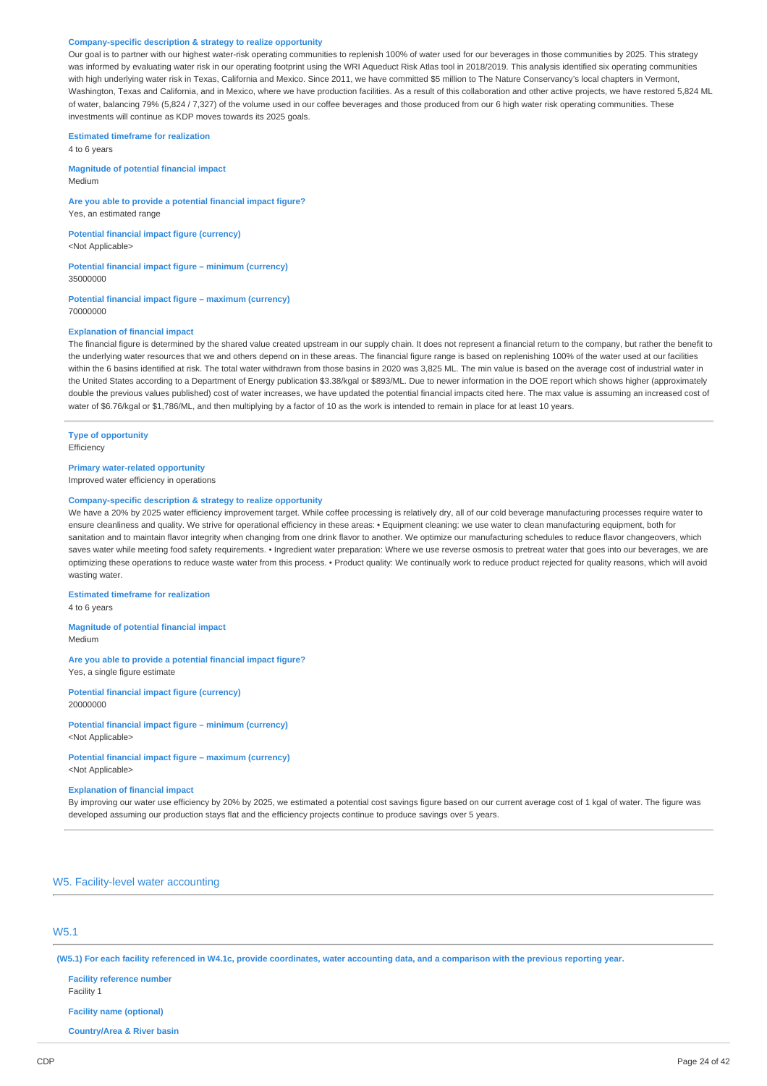#### **Company-specific description & strategy to realize opportunity**

Our goal is to partner with our highest water-risk operating communities to replenish 100% of water used for our beverages in those communities by 2025. This strategy was informed by evaluating water risk in our operating footprint using the WRI Aqueduct Risk Atlas tool in 2018/2019. This analysis identified six operating communities with high underlying water risk in Texas, California and Mexico. Since 2011, we have committed \$5 million to The Nature Conservancy's local chapters in Vermont, Washington, Texas and California, and in Mexico, where we have production facilities. As a result of this collaboration and other active projects, we have restored 5,824 ML of water, balancing 79% (5,824 / 7,327) of the volume used in our coffee beverages and those produced from our 6 high water risk operating communities. These investments will continue as KDP moves towards its 2025 goals.

**Estimated timeframe for realization** 4 to 6 years

**Magnitude of potential financial impact** Medium

**Are you able to provide a potential financial impact figure?** Yes, an estimated range

**Potential financial impact figure (currency)** <Not Applicable>

**Potential financial impact figure – minimum (currency)** 35000000

**Potential financial impact figure – maximum (currency)** 70000000

#### **Explanation of financial impact**

The financial figure is determined by the shared value created upstream in our supply chain. It does not represent a financial return to the company, but rather the benefit to the underlying water resources that we and others depend on in these areas. The financial figure range is based on replenishing 100% of the water used at our facilities within the 6 basins identified at risk. The total water withdrawn from those basins in 2020 was 3,825 ML. The min value is based on the average cost of industrial water in the United States according to a Department of Energy publication \$3.38/kgal or \$893/ML. Due to newer information in the DOE report which shows higher (approximately double the previous values published) cost of water increases, we have updated the potential financial impacts cited here. The max value is assuming an increased cost of water of \$6.76/kgal or \$1,786/ML, and then multiplying by a factor of 10 as the work is intended to remain in place for at least 10 years.

**Type of opportunity Efficiency** 

**Primary water-related opportunity**

Improved water efficiency in operations

## **Company-specific description & strategy to realize opportunity**

We have a 20% by 2025 water efficiency improvement target. While coffee processing is relatively dry, all of our cold beverage manufacturing processes require water to ensure cleanliness and quality. We strive for operational efficiency in these areas: • Equipment cleaning: we use water to clean manufacturing equipment, both for sanitation and to maintain flavor integrity when changing from one drink flavor to another. We optimize our manufacturing schedules to reduce flavor changeovers, which saves water while meeting food safety requirements. • Ingredient water preparation: Where we use reverse osmosis to pretreat water that goes into our beverages, we are optimizing these operations to reduce waste water from this process. • Product quality: We continually work to reduce product rejected for quality reasons, which will avoid wasting water.

**Estimated timeframe for realization** 4 to 6 years

**Magnitude of potential financial impact** Medium

**Are you able to provide a potential financial impact figure?** Yes, a single figure estimate

**Potential financial impact figure (currency)** 20000000

**Potential financial impact figure – minimum (currency)** <Not Applicable>

**Potential financial impact figure – maximum (currency)** <Not Applicable>

#### **Explanation of financial impact**

By improving our water use efficiency by 20% by 2025, we estimated a potential cost savings figure based on our current average cost of 1 kgal of water. The figure was developed assuming our production stays flat and the efficiency projects continue to produce savings over 5 years.

W5. Facility-level water accounting

## W5.1

(W5.1) For each facility referenced in W4.1c, provide coordinates, water accounting data, and a comparison with the previous reporting year.

**Facility reference number**

Facility 1

**Facility name (optional)**

**Country/Area & River basin**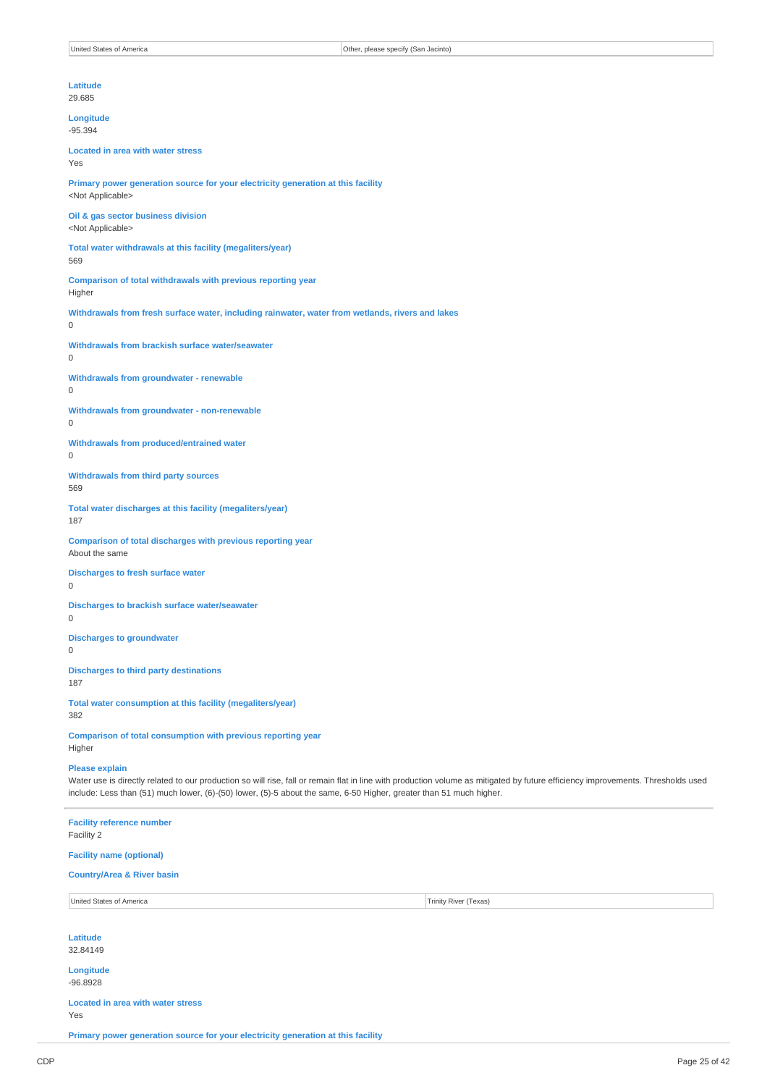|          | Latitude<br>29.685                                                                                            |
|----------|---------------------------------------------------------------------------------------------------------------|
|          | Longitude<br>$-95.394$                                                                                        |
| Yes      | <b>Located in area with water stress</b>                                                                      |
|          | Primary power generation source for your electricity generation at this facility<br><not applicable=""></not> |
|          | Oil & gas sector business division<br><not applicable=""></not>                                               |
| 569      | Total water withdrawals at this facility (megaliters/year)                                                    |
|          | Comparison of total withdrawals with previous reporting year<br>Higher                                        |
| $\Omega$ | Withdrawals from fresh surface water, including rainwater, water from wetlands, rivers and lakes              |
| $\Omega$ | Withdrawals from brackish surface water/seawater                                                              |
| 0        | <b>Withdrawals from groundwater - renewable</b>                                                               |
| $\Omega$ | Withdrawals from groundwater - non-renewable                                                                  |
| $\Omega$ | Withdrawals from produced/entrained water                                                                     |
| 569      | <b>Withdrawals from third party sources</b>                                                                   |
| 187      | Total water discharges at this facility (megaliters/year)                                                     |
|          | Comparison of total discharges with previous reporting year<br>About the same                                 |
| $\Omega$ | <b>Discharges to fresh surface water</b>                                                                      |
| 0        | <b>Discharges to brackish surface water/seawater</b>                                                          |
| 0        | <b>Discharges to groundwater</b>                                                                              |
| 187      | <b>Discharges to third party destinations</b>                                                                 |
| 382      | Total water consumption at this facility (megaliters/year)                                                    |
|          | Comparison of total consumption with previous reporting year<br>Higher                                        |
|          | <b>Please explain</b>                                                                                         |

Water use is directly related to our production so will rise, fall or remain flat in line with production volume as mitigated by future efficiency improvements. Thresholds used include: Less than (51) much lower, (6)-(50) lower, (5)-5 about the same, 6-50 Higher, greater than 51 much higher.

| <b>Facility reference number</b><br>Facility 2  |                       |
|-------------------------------------------------|-----------------------|
| <b>Facility name (optional)</b>                 |                       |
| <b>Country/Area &amp; River basin</b>           |                       |
| United States of America                        | Trinity River (Texas) |
| Latitude<br>32.84149                            |                       |
| Longitude<br>$-96.8928$                         |                       |
| <b>Located in area with water stress</b><br>Yes |                       |

**Primary power generation source for your electricity generation at this facility**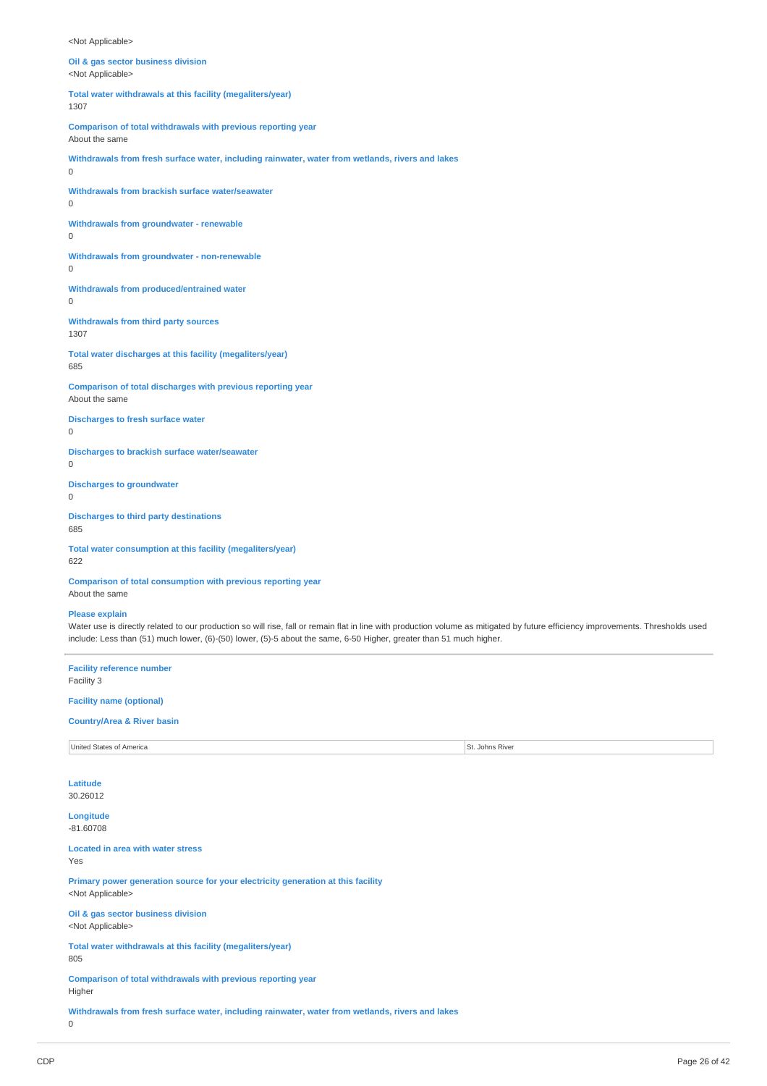<Not Applicable>

**Oil & gas sector business division** <Not Applicable>

**Total water withdrawals at this facility (megaliters/year)** 1307

**Comparison of total withdrawals with previous reporting year**

About the same

**Withdrawals from fresh surface water, including rainwater, water from wetlands, rivers and lakes**  $\Omega$ 

**Withdrawals from brackish surface water/seawater** 0

**Withdrawals from groundwater - renewable**

 $\Omega$ 

**Withdrawals from groundwater - non-renewable** 0

**Withdrawals from produced/entrained water**  $\overline{0}$ 

**Withdrawals from third party sources** 1307

**Total water discharges at this facility (megaliters/year)** 685

**Comparison of total discharges with previous reporting year** About the same

**Discharges to fresh surface water**  $\Omega$ 

**Discharges to brackish surface water/seawater** 0

**Discharges to groundwater**

0

**Discharges to third party destinations** 685

**Total water consumption at this facility (megaliters/year)** 622

**Comparison of total consumption with previous reporting year** About the same

**Please explain**

Water use is directly related to our production so will rise, fall or remain flat in line with production volume as mitigated by future efficiency improvements. Thresholds used include: Less than (51) much lower, (6)-(50) lower, (5)-5 about the same, 6-50 Higher, greater than 51 much higher.

**Facility reference number** Facility 3

**Facility name (optional)**

**Country/Area & River basin**

| United States of |             |
|------------------|-------------|
| f America        | Johns River |
|                  |             |

**Latitude** 30.26012

**Longitude**

-81.60708

**Located in area with water stress**

Yes

**Primary power generation source for your electricity generation at this facility** <Not Applicable>

**Oil & gas sector business division** <Not Applicable>

**Total water withdrawals at this facility (megaliters/year)** 805

**Comparison of total withdrawals with previous reporting year** Higher

**Withdrawals from fresh surface water, including rainwater, water from wetlands, rivers and lakes**

0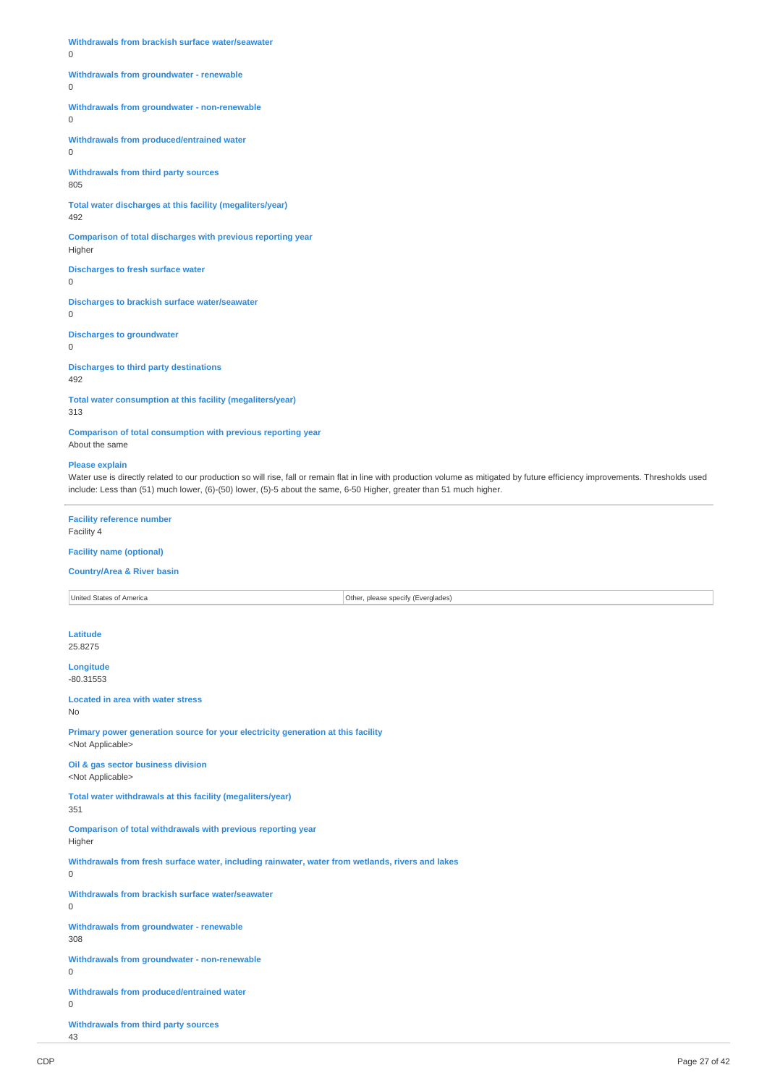**Withdrawals from brackish surface water/seawater**

0

#### **Withdrawals from groundwater - renewable**

0

## **Withdrawals from groundwater - non-renewable**

 $\overline{0}$ 

**Withdrawals from produced/entrained water**

0

**Withdrawals from third party sources** 805

**Total water discharges at this facility (megaliters/year)**

#### 492

**Comparison of total discharges with previous reporting year** Higher

**Discharges to fresh surface water**

 $\Omega$ 

**Discharges to brackish surface water/seawater** 0

**Discharges to groundwater**

0

**Discharges to third party destinations**

492

**Total water consumption at this facility (megaliters/year)** 313

**Comparison of total consumption with previous reporting year** About the same

#### **Please explain**

Water use is directly related to our production so will rise, fall or remain flat in line with production volume as mitigated by future efficiency improvements. Thresholds used include: Less than (51) much lower, (6)-(50) lower, (5)-5 about the same, 6-50 Higher, greater than 51 much higher.

## **Facility reference number**

Facility 4

## **Facility name (optional)**

#### **Country/Area & River basin**

United States of America **Other, please specify (Everglades)** 

**Latitude** 25.8275

**Longitude** -80.31553

**Located in area with water stress**

No

**Primary power generation source for your electricity generation at this facility** <Not Applicable>

**Oil & gas sector business division** <Not Applicable>

**Total water withdrawals at this facility (megaliters/year)**

351

**Comparison of total withdrawals with previous reporting year** Higher

**Withdrawals from fresh surface water, including rainwater, water from wetlands, rivers and lakes**

**Withdrawals from brackish surface water/seawater**

**Withdrawals from groundwater - renewable**

308

 $\Omega$ 

 $\Omega$ 

**Withdrawals from groundwater - non-renewable**  $\Omega$ 

**Withdrawals from produced/entrained water**

 $\Omega$ 

**Withdrawals from third party sources** 43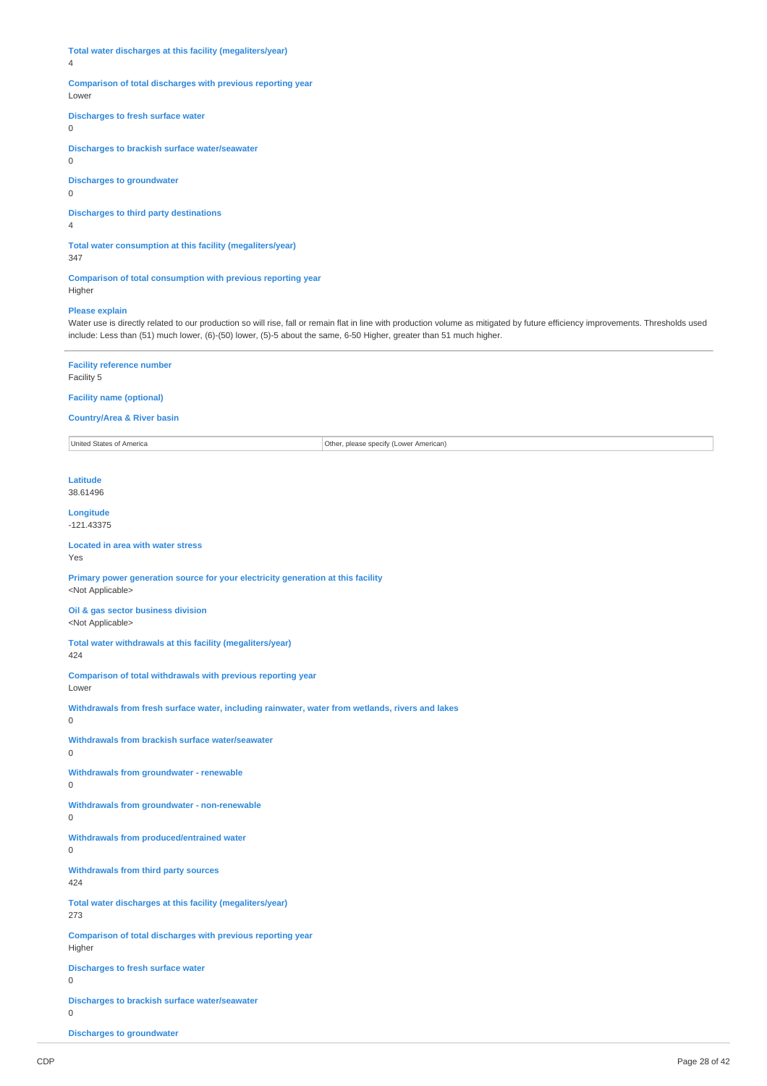**Total water discharges at this facility (megaliters/year)**

4

## **Comparison of total discharges with previous reporting year**

Lower

**Discharges to fresh surface water**

 $\Omega$ 

**Discharges to brackish surface water/seawater**

0

**Discharges to groundwater**

 $\Omega$ 

**Discharges to third party destinations**

4

**Total water consumption at this facility (megaliters/year)**

347

**Comparison of total consumption with previous reporting year** Higher

## **Please explain**

Water use is directly related to our production so will rise, fall or remain flat in line with production volume as mitigated by future efficiency improvements. Thresholds used include: Less than (51) much lower, (6)-(50) lower, (5)-5 about the same, 6-50 Higher, greater than 51 much higher.

**Facility reference number** Facility 5

#### **Facility name (optional)**

# **Country/Area & River basin**

United States of America **Other, please specify (Lower American**)

**Latitude** 38.61496

# **Longitude**

-121.43375

**Located in area with water stress** Yes

**Primary power generation source for your electricity generation at this facility** <Not Applicable>

**Oil & gas sector business division** <Not Applicable>

**Total water withdrawals at this facility (megaliters/year)** 424

**Comparison of total withdrawals with previous reporting year** Lower

**Withdrawals from fresh surface water, including rainwater, water from wetlands, rivers and lakes**

0

**Withdrawals from brackish surface water/seawater** 0 **Withdrawals from groundwater - renewable** 0 **Withdrawals from groundwater - non-renewable** 0 **Withdrawals from produced/entrained water**  $\Omega$ **Withdrawals from third party sources** 424 **Total water discharges at this facility (megaliters/year)** 273 **Comparison of total discharges with previous reporting year** Higher **Discharges to fresh surface water**

0

**Discharges to brackish surface water/seawater** 0

**Discharges to groundwater**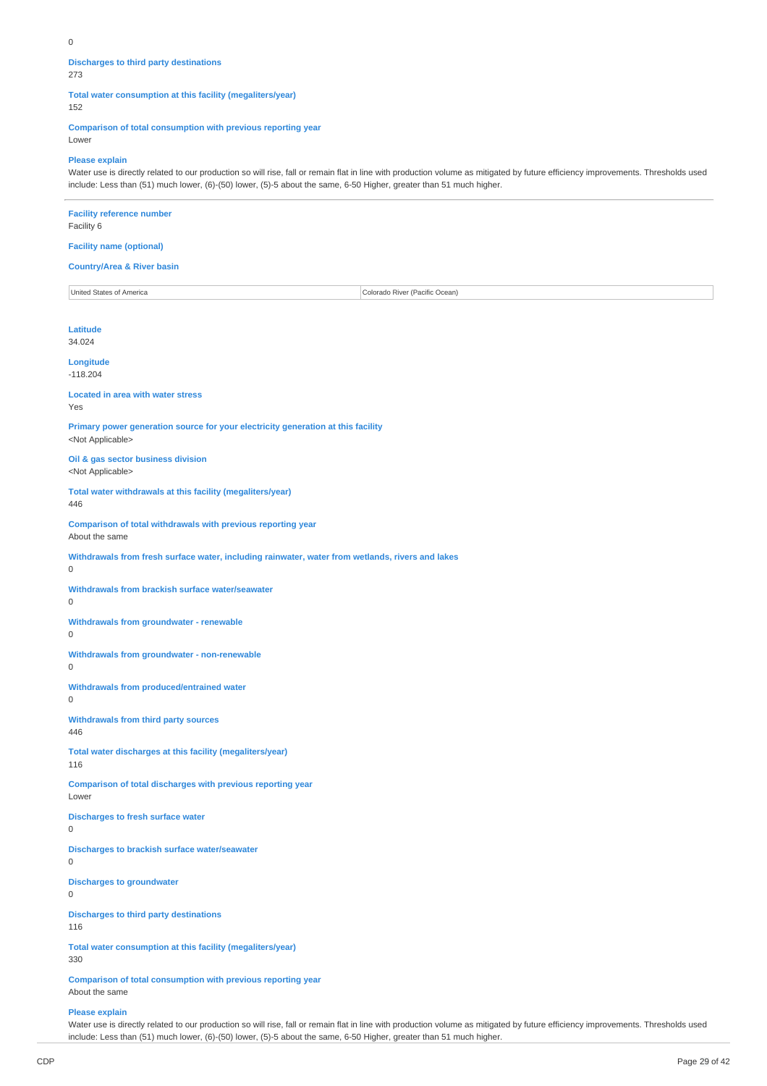## **Discharges to third party destinations**

273

**Total water consumption at this facility (megaliters/year)**

152

**Comparison of total consumption with previous reporting year**

Lower

## **Please explain**

Water use is directly related to our production so will rise, fall or remain flat in line with production volume as mitigated by future efficiency improvements. Thresholds used include: Less than (51) much lower, (6)-(50) lower, (5)-5 about the same, 6-50 Higher, greater than 51 much higher.

| <b>Facility reference number</b><br>Facility 6                                                                |                                |
|---------------------------------------------------------------------------------------------------------------|--------------------------------|
| <b>Facility name (optional)</b>                                                                               |                                |
| <b>Country/Area &amp; River basin</b>                                                                         |                                |
| United States of America                                                                                      | Colorado River (Pacific Ocean) |
| <b>Latitude</b><br>34.024                                                                                     |                                |
| Longitude<br>$-118.204$                                                                                       |                                |
| <b>Located in area with water stress</b><br>Yes                                                               |                                |
| Primary power generation source for your electricity generation at this facility<br><not applicable=""></not> |                                |
| Oil & gas sector business division<br><not applicable=""></not>                                               |                                |
| Total water withdrawals at this facility (megaliters/year)<br>446                                             |                                |
| Comparison of total withdrawals with previous reporting year<br>About the same                                |                                |
| Withdrawals from fresh surface water, including rainwater, water from wetlands, rivers and lakes<br>0         |                                |
| Withdrawals from brackish surface water/seawater<br>0                                                         |                                |
| <b>Withdrawals from groundwater - renewable</b><br>0                                                          |                                |
| Withdrawals from groundwater - non-renewable<br>0                                                             |                                |
| Withdrawals from produced/entrained water<br>0                                                                |                                |
| <b>Withdrawals from third party sources</b><br>446                                                            |                                |
| Total water discharges at this facility (megaliters/year)<br>116                                              |                                |
| Comparison of total discharges with previous reporting year<br>Lower                                          |                                |
| <b>Discharges to fresh surface water</b><br>0                                                                 |                                |
| Discharges to brackish surface water/seawater<br>$\mathsf 0$                                                  |                                |
| <b>Discharges to groundwater</b><br>0                                                                         |                                |
| <b>Discharges to third party destinations</b><br>116                                                          |                                |
| Total water consumption at this facility (megaliters/year)<br>330                                             |                                |

**Comparison of total consumption with previous reporting year** About the same

## **Please explain**

Water use is directly related to our production so will rise, fall or remain flat in line with production volume as mitigated by future efficiency improvements. Thresholds used include: Less than (51) much lower, (6)-(50) lower, (5)-5 about the same, 6-50 Higher, greater than 51 much higher.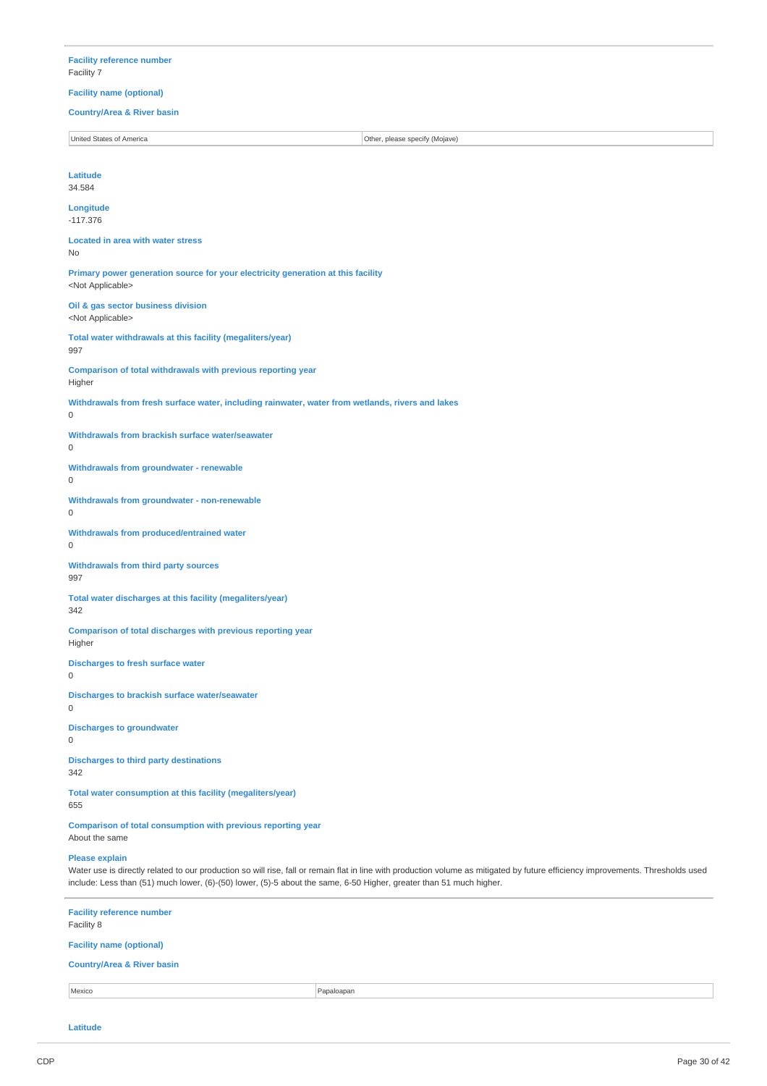## **Facility reference number** Facility 7

**Facility name (optional) Country/Area & River basin** United States of America **Other, please specify (Mojave) Latitude** 34.584 **Longitude** -117.376 **Located in area with water stress** No **Primary power generation source for your electricity generation at this facility** <Not Applicable> **Oil & gas sector business division** <Not Applicable> **Total water withdrawals at this facility (megaliters/year)** 997 **Comparison of total withdrawals with previous reporting year** Higher **Withdrawals from fresh surface water, including rainwater, water from wetlands, rivers and lakes** 0 **Withdrawals from brackish surface water/seawater**  $\Omega$ **Withdrawals from groundwater - renewable**  $\theta$ **Withdrawals from groundwater - non-renewable**  $\Omega$ **Withdrawals from produced/entrained water** 0 **Withdrawals from third party sources** 997 **Total water discharges at this facility (megaliters/year)** 342 **Comparison of total discharges with previous reporting year** Higher **Discharges to fresh surface water** 0 **Discharges to brackish surface water/seawater**  $\Omega$ **Discharges to groundwater**  $\Omega$ **Discharges to third party destinations** 342 **Total water consumption at this facility (megaliters/year)** 655

**Comparison of total consumption with previous reporting year** About the same

#### **Please explain**

Water use is directly related to our production so will rise, fall or remain flat in line with production volume as mitigated by future efficiency improvements. Thresholds used include: Less than (51) much lower, (6)-(50) lower, (5)-5 about the same, 6-50 Higher, greater than 51 much higher.

| <b>Facility reference number</b><br>Facility 8 |            |  |
|------------------------------------------------|------------|--|
| <b>Facility name (optional)</b>                |            |  |
| <b>Country/Area &amp; River basin</b>          |            |  |
| Mexico                                         | Papaloapan |  |
|                                                |            |  |

**Latitude**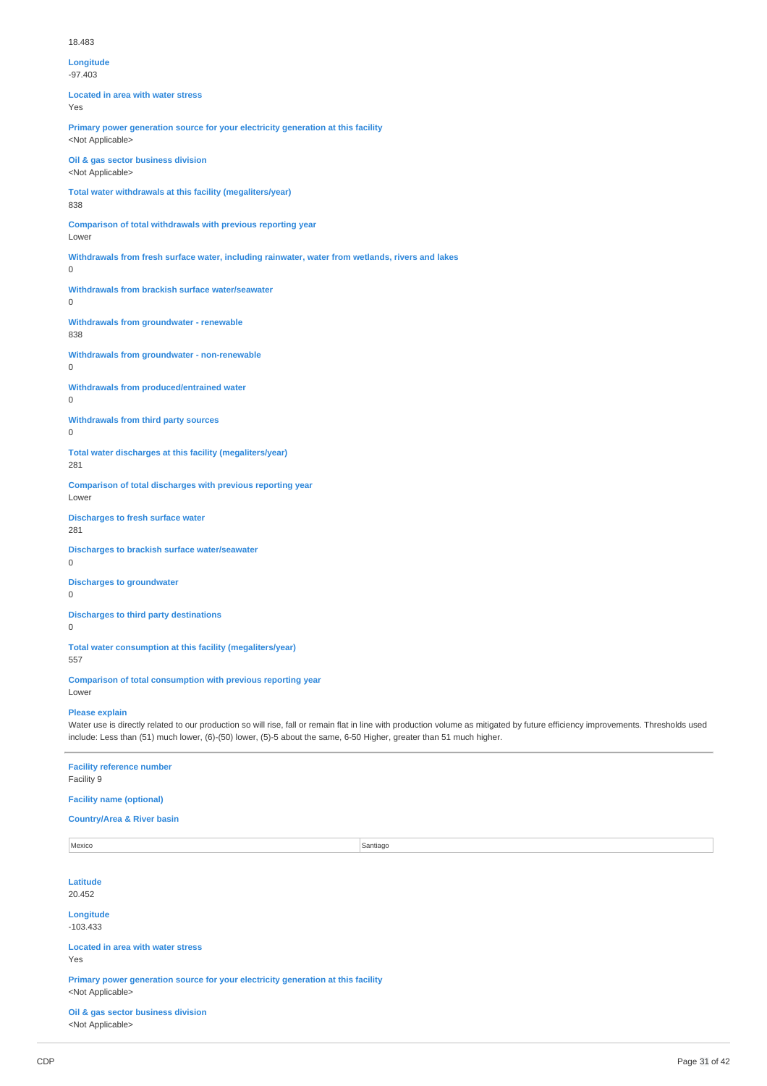#### 18.483

# **Longitude**

-97.403

**Located in area with water stress** Yes

**Primary power generation source for your electricity generation at this facility** <Not Applicable>

**Oil & gas sector business division** <Not Applicable>

**Total water withdrawals at this facility (megaliters/year)** 838

**Comparison of total withdrawals with previous reporting year**

Lower

**Withdrawals from fresh surface water, including rainwater, water from wetlands, rivers and lakes**

 $\Omega$ 

**Withdrawals from brackish surface water/seawater**  $\Omega$ 

**Withdrawals from groundwater - renewable** 838

**Withdrawals from groundwater - non-renewable**

 $\Omega$ 

**Withdrawals from produced/entrained water**

0

**Withdrawals from third party sources**  $\theta$ 

**Total water discharges at this facility (megaliters/year)** 281

**Comparison of total discharges with previous reporting year** Lower

**Discharges to fresh surface water** 281

**Discharges to brackish surface water/seawater**  $\Omega$ 

**Discharges to groundwater**

 $\theta$ 

**Discharges to third party destinations**

 $\overline{0}$ 

**Total water consumption at this facility (megaliters/year)** 557

**Comparison of total consumption with previous reporting year** Lower

## **Please explain**

Water use is directly related to our production so will rise, fall or remain flat in line with production volume as mitigated by future efficiency improvements. Thresholds used include: Less than (51) much lower, (6)-(50) lower, (5)-5 about the same, 6-50 Higher, greater than 51 much higher.

**Facility reference number** Facility 9

## **Facility name (optional)**

#### **Country/Area & River basin**

Mexico Santiago in the Santiago Santiago in the Santiago in the Santiago in the Santiago in the Santiago in the Santiago in the Santiago in the Santiago in the Santiago in the Santiago in the Santiago in the Santiago in th **Latitude** 20.452 **Longitude** -103.433 **Located in area with water stress** Yes **Primary power generation source for your electricity generation at this facility** <Not Applicable> **Oil & gas sector business division** <Not Applicable>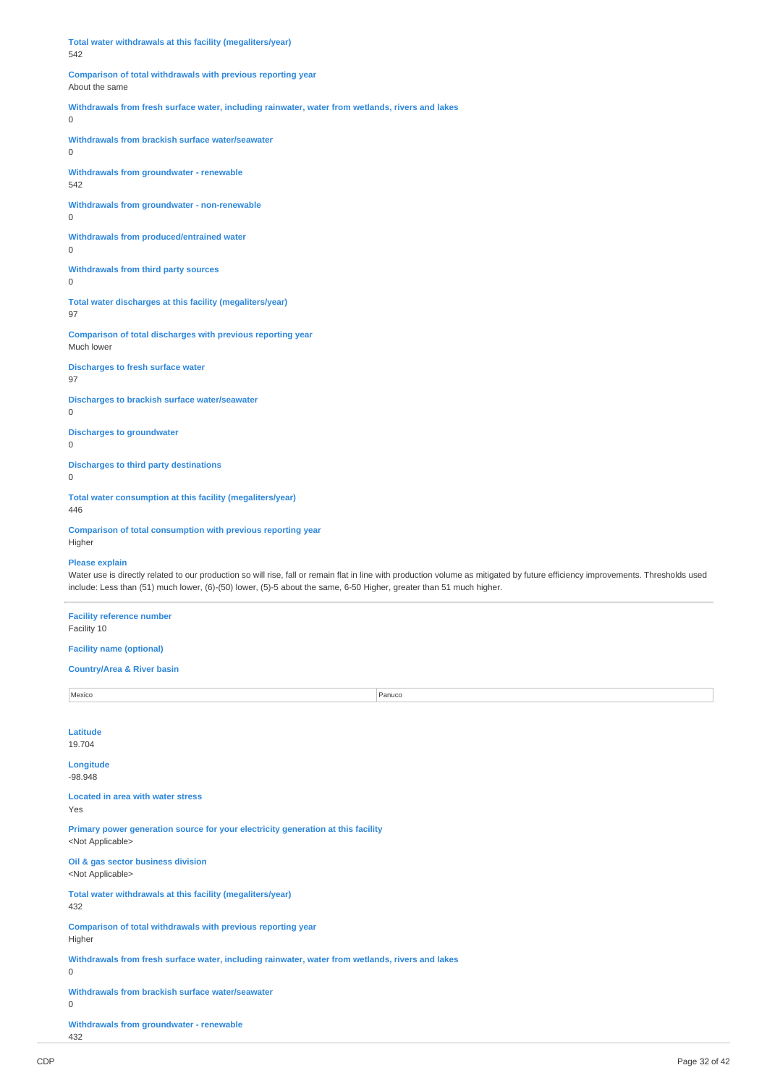**Total water withdrawals at this facility (megaliters/year)** 542 **Comparison of total withdrawals with previous reporting year** About the same **Withdrawals from fresh surface water, including rainwater, water from wetlands, rivers and lakes**  $\overline{0}$ **Withdrawals from brackish surface water/seawater**  $\Omega$ **Withdrawals from groundwater - renewable** 542 **Withdrawals from groundwater - non-renewable** 0 **Withdrawals from produced/entrained water** 0 **Withdrawals from third party sources** 0 **Total water discharges at this facility (megaliters/year)** 97 **Comparison of total discharges with previous reporting year** Much lower

**Discharges to fresh surface water** 97

**Discharges to brackish surface water/seawater**  $\Omega$ 

**Discharges to groundwater**

0

**Discharges to third party destinations**

0

**Total water consumption at this facility (megaliters/year)**

446

**Comparison of total consumption with previous reporting year** Higher

**Please explain**

Water use is directly related to our production so will rise, fall or remain flat in line with production volume as mitigated by future efficiency improvements. Thresholds used include: Less than (51) much lower, (6)-(50) lower, (5)-5 about the same, 6-50 Higher, greater than 51 much higher.

**Facility reference number** Facility 10

**Facility name (optional)**

#### **Country/Area & River basin**

Mexico Panuco Panuco Panuco Panuco Panuco Panuco Panuco Panuco Panuco Panuco Panuco Panuco Panuco Panuco Panuco **Latitude** 19.704 **Longitude** -98.948 **Located in area with water stress** Yes **Primary power generation source for your electricity generation at this facility** <Not Applicable> **Oil & gas sector business division** <Not Applicable> **Total water withdrawals at this facility (megaliters/year)** 432 **Comparison of total withdrawals with previous reporting year** Higher **Withdrawals from fresh surface water, including rainwater, water from wetlands, rivers and lakes**  $\Omega$ **Withdrawals from brackish surface water/seawater**  $\Omega$ **Withdrawals from groundwater - renewable** 432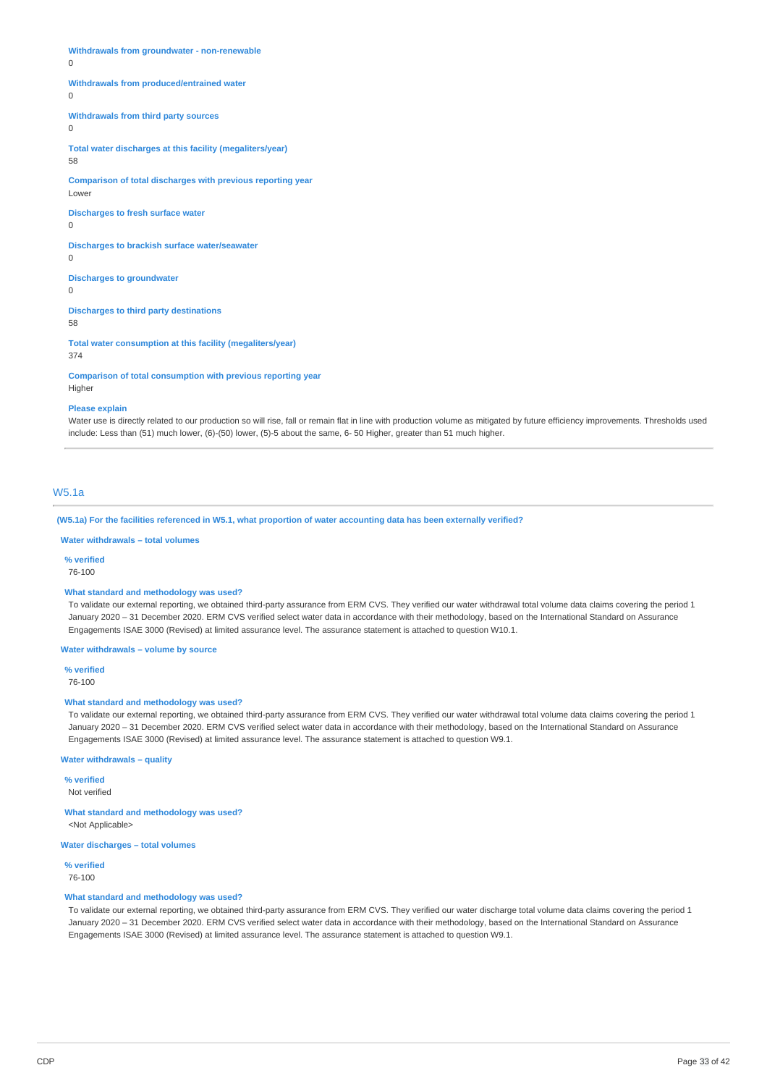**Withdrawals from groundwater - non-renewable**

 $\Omega$ 

#### **Withdrawals from produced/entrained water**

 $\overline{0}$ 

**Withdrawals from third party sources**

 $\Omega$ 

**Total water discharges at this facility (megaliters/year)** 58

**Comparison of total discharges with previous reporting year**

Lower

**Discharges to fresh surface water**

 $\Omega$ 

**Discharges to brackish surface water/seawater**  $\theta$ 

**Discharges to groundwater**

 $\theta$ 

**Discharges to third party destinations** 58

**Total water consumption at this facility (megaliters/year)** 374

**Comparison of total consumption with previous reporting year**

Higher

#### **Please explain**

Water use is directly related to our production so will rise, fall or remain flat in line with production volume as mitigated by future efficiency improvements. Thresholds used include: Less than (51) much lower, (6)-(50) lower, (5)-5 about the same, 6- 50 Higher, greater than 51 much higher.

## W5.1a

(W5.1a) For the facilities referenced in W5.1, what proportion of water accounting data has been externally verified?

## **Water withdrawals – total volumes**

**% verified**

76-100

#### **What standard and methodology was used?**

To validate our external reporting, we obtained third-party assurance from ERM CVS. They verified our water withdrawal total volume data claims covering the period 1 January 2020 - 31 December 2020. ERM CVS verified select water data in accordance with their methodology, based on the International Standard on Assurance Engagements ISAE 3000 (Revised) at limited assurance level. The assurance statement is attached to question W10.1.

**Water withdrawals – volume by source**

**% verified**

76-100

## **What standard and methodology was used?**

To validate our external reporting, we obtained third-party assurance from ERM CVS. They verified our water withdrawal total volume data claims covering the period 1 January 2020 – 31 December 2020. ERM CVS verified select water data in accordance with their methodology, based on the International Standard on Assurance Engagements ISAE 3000 (Revised) at limited assurance level. The assurance statement is attached to question W9.1.

**Water withdrawals – quality**

**% verified** Not verified

**What standard and methodology was used?** <Not Applicable>

**Water discharges – total volumes**

**% verified** 76-100

#### **What standard and methodology was used?**

To validate our external reporting, we obtained third-party assurance from ERM CVS. They verified our water discharge total volume data claims covering the period 1 January 2020 - 31 December 2020. ERM CVS verified select water data in accordance with their methodology, based on the International Standard on Assurance Engagements ISAE 3000 (Revised) at limited assurance level. The assurance statement is attached to question W9.1.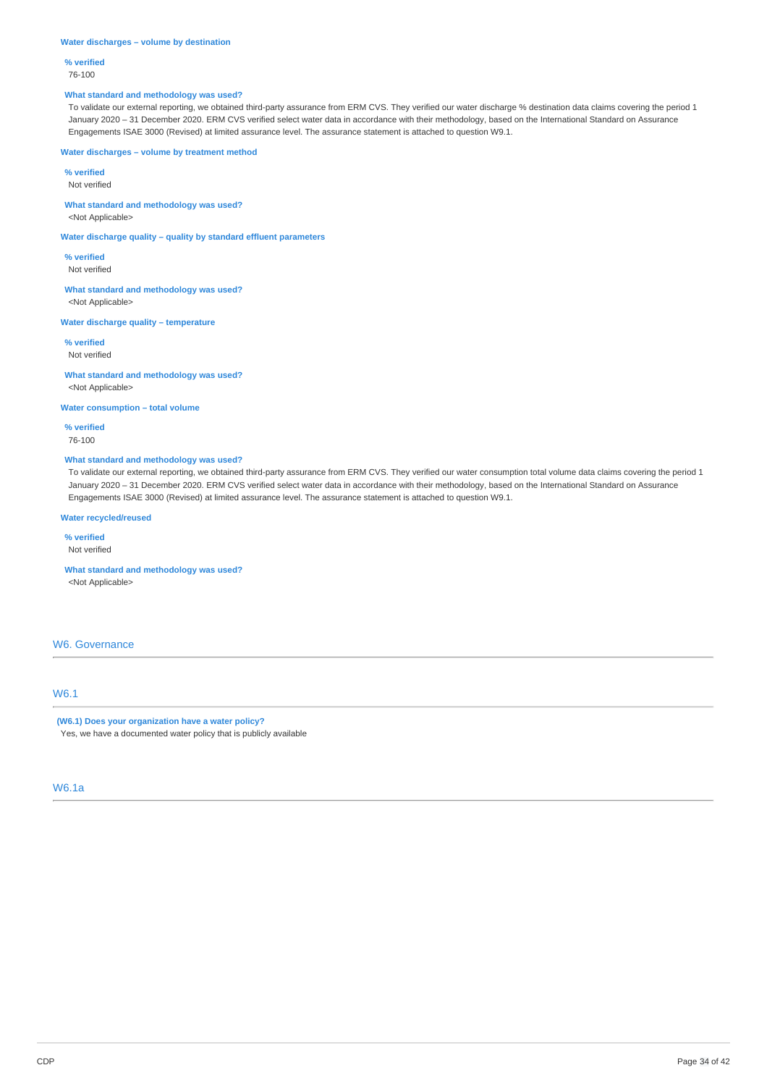#### **Water discharges – volume by destination**

**% verified**

76-100

## **What standard and methodology was used?**

To validate our external reporting, we obtained third-party assurance from ERM CVS. They verified our water discharge % destination data claims covering the period 1 January 2020 – 31 December 2020. ERM CVS verified select water data in accordance with their methodology, based on the International Standard on Assurance Engagements ISAE 3000 (Revised) at limited assurance level. The assurance statement is attached to question W9.1.

### **Water discharges – volume by treatment method**

**% verified**

Not verified

# **What standard and methodology was used?**

<Not Applicable>

**Water discharge quality – quality by standard effluent parameters**

**% verified** Not verified

**What standard and methodology was used?** <Not Applicable>

## **Water discharge quality – temperature**

**% verified** Not verified

**What standard and methodology was used?** <Not Applicable>

#### **Water consumption – total volume**

**% verified** 76-100

## **What standard and methodology was used?**

To validate our external reporting, we obtained third-party assurance from ERM CVS. They verified our water consumption total volume data claims covering the period 1 January 2020 – 31 December 2020. ERM CVS verified select water data in accordance with their methodology, based on the International Standard on Assurance Engagements ISAE 3000 (Revised) at limited assurance level. The assurance statement is attached to question W9.1.

## **Water recycled/reused**

**% verified**

Not verified

**What standard and methodology was used?** <Not Applicable>

## W6. Governance

## W6.1

## **(W6.1) Does your organization have a water policy?**

Yes, we have a documented water policy that is publicly available

# W6.1a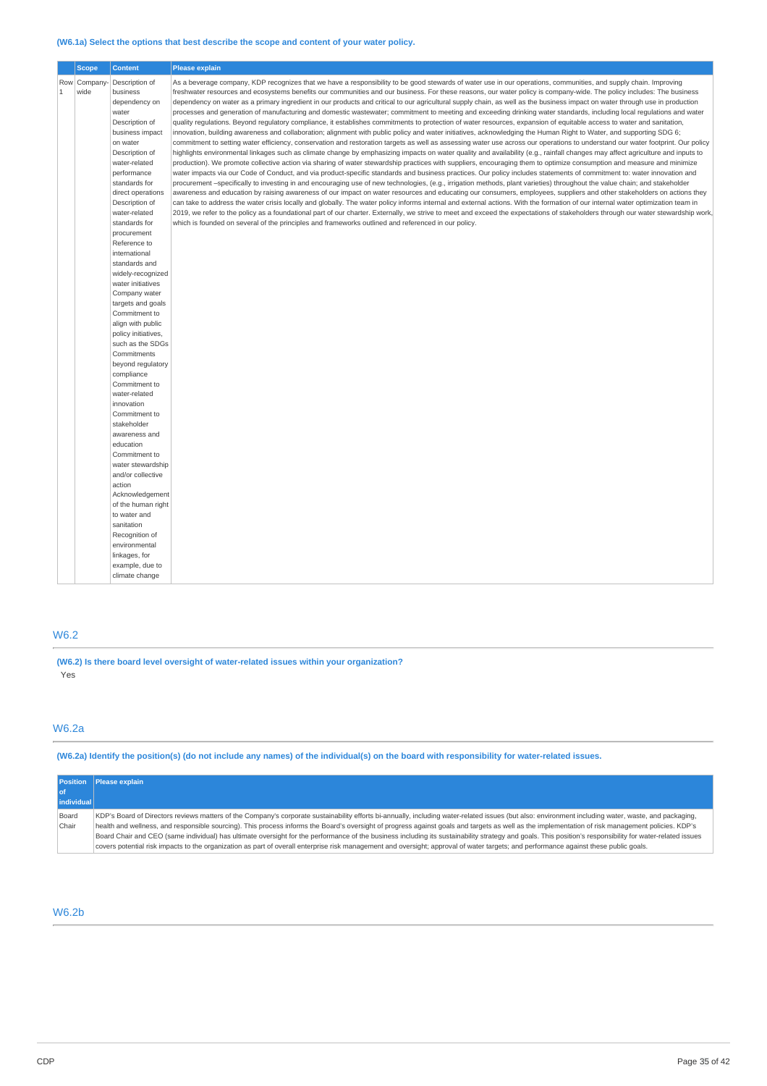## **(W6.1a) Select the options that best describe the scope and content of your water policy.**

|              | <b>Scope</b> | <b>Content</b>                     | <b>Please explain</b>                                                                                                                                                             |
|--------------|--------------|------------------------------------|-----------------------------------------------------------------------------------------------------------------------------------------------------------------------------------|
|              | Row Company  | Description of                     | As a beverage company, KDP recognizes that we have a responsibility to be good stewards of water use in our operations, communities, and supply chain. Improving                  |
| $\mathbf{1}$ | wide         | business                           | freshwater resources and ecosystems benefits our communities and our business. For these reasons, our water policy is company-wide. The policy includes: The business             |
|              |              | dependency on                      | dependency on water as a primary ingredient in our products and critical to our agricultural supply chain, as well as the business impact on water through use in production      |
|              |              | water                              | processes and generation of manufacturing and domestic wastewater; commitment to meeting and exceeding drinking water standards, including local requlations and water            |
|              |              | Description of                     | quality requlations. Beyond requlatory compliance, it establishes commitments to protection of water resources, expansion of equitable access to water and sanitation,            |
|              |              | business impact                    | innovation, building awareness and collaboration; alignment with public policy and water initiatives, acknowledging the Human Right to Water, and supporting SDG 6;               |
|              |              | on water                           | commitment to setting water efficiency, conservation and restoration targets as well as assessing water use across our operations to understand our water footprint. Our policy   |
|              |              | Description of                     | highlights environmental linkages such as climate change by emphasizing impacts on water quality and availability (e.g., rainfall changes may affect agriculture and inputs to    |
|              |              | water-related                      | production). We promote collective action via sharing of water stewardship practices with suppliers, encouraging them to optimize consumption and measure and minimize            |
|              |              | performance                        | water impacts via our Code of Conduct, and via product-specific standards and business practices. Our policy includes statements of commitment to: water innovation and           |
|              |              | standards for                      | procurement -specifically to investing in and encouraging use of new technologies, (e.g., irrigation methods, plant varieties) throughout the value chain; and stakeholder        |
|              |              | direct operations                  | awareness and education by raising awareness of our impact on water resources and educating our consumers, employees, suppliers and other stakeholders on actions they            |
|              |              | Description of                     | can take to address the water crisis locally and globally. The water policy informs internal and external actions. With the formation of our internal water optimization team in  |
|              |              | water-related                      | 2019, we refer to the policy as a foundational part of our charter. Externally, we strive to meet and exceed the expectations of stakeholders through our water stewardship work, |
|              |              | standards for                      | which is founded on several of the principles and frameworks outlined and referenced in our policy.                                                                               |
|              |              | procurement                        |                                                                                                                                                                                   |
|              |              | Reference to                       |                                                                                                                                                                                   |
|              |              | international                      |                                                                                                                                                                                   |
|              |              | standards and                      |                                                                                                                                                                                   |
|              |              | widely-recognized                  |                                                                                                                                                                                   |
|              |              | water initiatives<br>Company water |                                                                                                                                                                                   |
|              |              | targets and goals                  |                                                                                                                                                                                   |
|              |              | Commitment to                      |                                                                                                                                                                                   |
|              |              | align with public                  |                                                                                                                                                                                   |
|              |              | policy initiatives,                |                                                                                                                                                                                   |
|              |              | such as the SDGs                   |                                                                                                                                                                                   |
|              |              | Commitments                        |                                                                                                                                                                                   |
|              |              | beyond regulatory                  |                                                                                                                                                                                   |
|              |              | compliance                         |                                                                                                                                                                                   |
|              |              | Commitment to                      |                                                                                                                                                                                   |
|              |              | water-related                      |                                                                                                                                                                                   |
|              |              | innovation                         |                                                                                                                                                                                   |
|              |              | Commitment to                      |                                                                                                                                                                                   |
|              |              | stakeholder                        |                                                                                                                                                                                   |
|              |              | awareness and                      |                                                                                                                                                                                   |
|              |              | education                          |                                                                                                                                                                                   |
|              |              | Commitment to                      |                                                                                                                                                                                   |
|              |              | water stewardship                  |                                                                                                                                                                                   |
|              |              | and/or collective                  |                                                                                                                                                                                   |
|              |              | action                             |                                                                                                                                                                                   |
|              |              | Acknowledgement                    |                                                                                                                                                                                   |
|              |              | of the human right<br>to water and |                                                                                                                                                                                   |
|              |              | sanitation                         |                                                                                                                                                                                   |
|              |              | Recognition of                     |                                                                                                                                                                                   |
|              |              | environmental                      |                                                                                                                                                                                   |
|              |              | linkages, for                      |                                                                                                                                                                                   |
|              |              | example, due to                    |                                                                                                                                                                                   |
|              |              | climate change                     |                                                                                                                                                                                   |
|              |              |                                    |                                                                                                                                                                                   |

# W6.2

**(W6.2) Is there board level oversight of water-related issues within your organization?** Yes

# W6.2a

(W6.2a) Identify the position(s) (do not include any names) of the individual(s) on the board with responsibility for water-related issues.

|            | <b>Position</b> Please explain                                                                                                                                                                            |
|------------|-----------------------------------------------------------------------------------------------------------------------------------------------------------------------------------------------------------|
|            |                                                                                                                                                                                                           |
| individual |                                                                                                                                                                                                           |
| Board      | KDP's Board of Directors reviews matters of the Company's corporate sustainability efforts bi-annually, including water-related issues (but also: environment including water, waste, and packaging,      |
| Chair      | health and wellness, and responsible sourcing). This process informs the Board's oversight of progress against goals and targets as well as the implementation of risk management policies. KDP's         |
|            | Board Chair and CEO (same individual) has ultimate oversight for the performance of the business including its sustainability strategy and goals. This position's responsibility for water-related issues |
|            | covers potential risk impacts to the organization as part of overall enterprise risk management and oversight; approval of water targets; and performance against these public goals.                     |

# W6.2b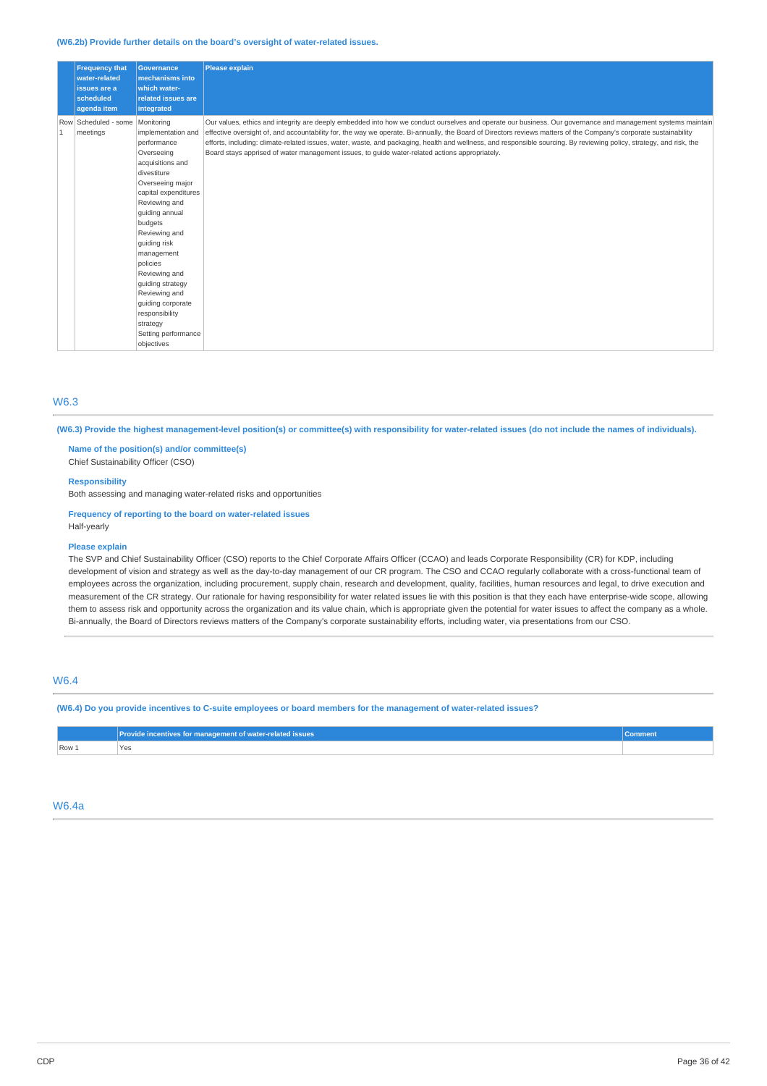#### **(W6.2b) Provide further details on the board's oversight of water-related issues.**

|   | <b>Frequency that</b><br>water-related<br>issues are a<br>scheduled<br>agenda item | <b>Governance</b><br>mechanisms into<br>which water-<br><b>related issues are</b><br>integrated                                                                                                                                                                                                                                                                                                     | <b>Please explain</b>                                                                                                                                                                                                                                                                                                                                                                                                                                                                                                                                                                                      |
|---|------------------------------------------------------------------------------------|-----------------------------------------------------------------------------------------------------------------------------------------------------------------------------------------------------------------------------------------------------------------------------------------------------------------------------------------------------------------------------------------------------|------------------------------------------------------------------------------------------------------------------------------------------------------------------------------------------------------------------------------------------------------------------------------------------------------------------------------------------------------------------------------------------------------------------------------------------------------------------------------------------------------------------------------------------------------------------------------------------------------------|
| 1 | Row Scheduled - some<br>meetings                                                   | Monitoring<br>implementation and<br>performance<br>Overseeing<br>acquisitions and<br>divestiture<br>Overseeing major<br>capital expenditures<br>Reviewing and<br>quiding annual<br>budgets<br>Reviewing and<br>guiding risk<br>management<br>policies<br>Reviewing and<br>guiding strategy<br>Reviewing and<br>quiding corporate<br>responsibility<br>strategy<br>Setting performance<br>objectives | Our values, ethics and integrity are deeply embedded into how we conduct ourselves and operate our business. Our governance and management systems maintain<br>effective oversight of, and accountability for, the way we operate. Bi-annually, the Board of Directors reviews matters of the Company's corporate sustainability<br>efforts, including: climate-related issues, water, waste, and packaging, health and wellness, and responsible sourcing. By reviewing policy, strategy, and risk, the<br>Board stays apprised of water management issues, to quide water-related actions appropriately. |

## W6.3

(W6.3) Provide the highest management-level position(s) or committee(s) with responsibility for water-related issues (do not include the names of individuals).

**Name of the position(s) and/or committee(s)** Chief Sustainability Officer (CSO)

#### **Responsibility**

Both assessing and managing water-related risks and opportunities

**Frequency of reporting to the board on water-related issues** Half-yearly

#### **Please explain**

The SVP and Chief Sustainability Officer (CSO) reports to the Chief Corporate Affairs Officer (CCAO) and leads Corporate Responsibility (CR) for KDP, including development of vision and strategy as well as the day-to-day management of our CR program. The CSO and CCAO regularly collaborate with a cross-functional team of employees across the organization, including procurement, supply chain, research and development, quality, facilities, human resources and legal, to drive execution and measurement of the CR strategy. Our rationale for having responsibility for water related issues lie with this position is that they each have enterprise-wide scope, allowing them to assess risk and opportunity across the organization and its value chain, which is appropriate given the potential for water issues to affect the company as a whole. Bi-annually, the Board of Directors reviews matters of the Company's corporate sustainability efforts, including water, via presentations from our CSO.

## W6.4

(W6.4) Do you provide incentives to C-suite employees or board members for the management of water-related issues?

|         | <b>rovide incentives for management of water-related issues</b> |  |
|---------|-----------------------------------------------------------------|--|
| $Row_1$ | Yes<br>$\sim$ $\sim$                                            |  |

#### W6.4a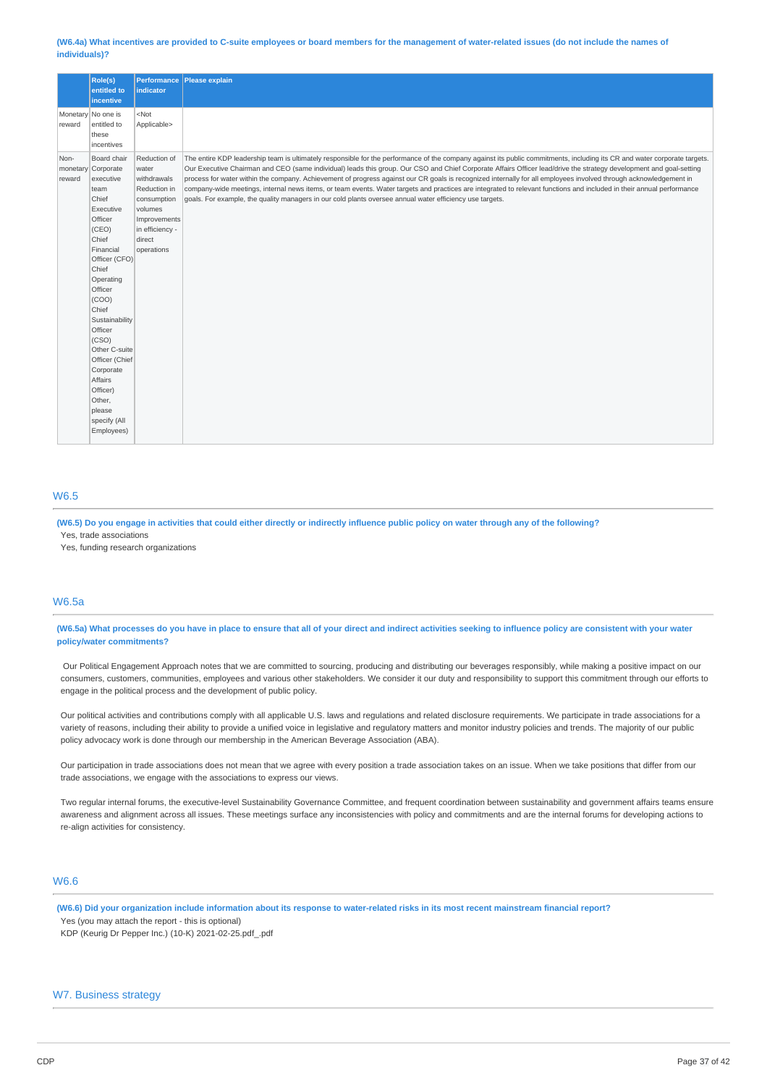(W6.4a) What incentives are provided to C-suite employees or board members for the management of water-related issues (do not include the names of **individuals)?**

|                | Role(s)<br>entitled to                                                                                                                                                                                                                                                                                                      | indicator                                                                                                                                 | Performance Please explain                                                                                                                                                                                                                                                                                                                                                                                                                                                                                                                                                                                                                                                                                                                                                                                 |
|----------------|-----------------------------------------------------------------------------------------------------------------------------------------------------------------------------------------------------------------------------------------------------------------------------------------------------------------------------|-------------------------------------------------------------------------------------------------------------------------------------------|------------------------------------------------------------------------------------------------------------------------------------------------------------------------------------------------------------------------------------------------------------------------------------------------------------------------------------------------------------------------------------------------------------------------------------------------------------------------------------------------------------------------------------------------------------------------------------------------------------------------------------------------------------------------------------------------------------------------------------------------------------------------------------------------------------|
|                | incentive                                                                                                                                                                                                                                                                                                                   |                                                                                                                                           |                                                                                                                                                                                                                                                                                                                                                                                                                                                                                                                                                                                                                                                                                                                                                                                                            |
| reward         | Monetary No one is<br>entitled to<br>these<br>incentives                                                                                                                                                                                                                                                                    | $<$ Not<br>Applicable>                                                                                                                    |                                                                                                                                                                                                                                                                                                                                                                                                                                                                                                                                                                                                                                                                                                                                                                                                            |
| Non-<br>reward | Board chair<br>monetary Corporate<br>executive<br>team<br>Chief<br>Executive<br>Officer<br>(CEO)<br>Chief<br>Financial<br>Officer (CFO)<br>Chief<br>Operating<br>Officer<br>(COO)<br>Chief<br>Sustainability<br>Officer<br>(CSO)<br>Other C-suite<br>Officer (Chief<br>Corporate<br>Affairs<br>Officer)<br>Other,<br>please | Reduction of<br>water<br>withdrawals<br>Reduction in<br>consumption<br>volumes<br>Improvements<br>in efficiency -<br>direct<br>operations | The entire KDP leadership team is ultimately responsible for the performance of the company against its public commitments, including its CR and water corporate targets.<br>Our Executive Chairman and CEO (same individual) leads this group. Our CSO and Chief Corporate Affairs Officer lead/drive the strategy development and goal-setting<br>process for water within the company. Achievement of progress against our CR goals is recognized internally for all employees involved through acknowledgement in<br>company-wide meetings, internal news items, or team events. Water targets and practices are integrated to relevant functions and included in their annual performance<br>goals. For example, the quality managers in our cold plants oversee annual water efficiency use targets. |
|                | specify (All<br>Employees)                                                                                                                                                                                                                                                                                                  |                                                                                                                                           |                                                                                                                                                                                                                                                                                                                                                                                                                                                                                                                                                                                                                                                                                                                                                                                                            |

## W6.5

(W6.5) Do you engage in activities that could either directly or indirectly influence public policy on water through any of the following? Yes, trade associations

Yes, funding research organizations

## W6.5a

(W6.5a) What processes do you have in place to ensure that all of your direct and indirect activities seeking to influence policy are consistent with your water **policy/water commitments?**

Our Political Engagement Approach notes that we are committed to sourcing, producing and distributing our beverages responsibly, while making a positive impact on our consumers, customers, communities, employees and various other stakeholders. We consider it our duty and responsibility to support this commitment through our efforts to engage in the political process and the development of public policy.

Our political activities and contributions comply with all applicable U.S. laws and regulations and related disclosure requirements. We participate in trade associations for a variety of reasons, including their ability to provide a unified voice in legislative and regulatory matters and monitor industry policies and trends. The majority of our public policy advocacy work is done through our membership in the American Beverage Association (ABA).

Our participation in trade associations does not mean that we agree with every position a trade association takes on an issue. When we take positions that differ from our trade associations, we engage with the associations to express our views.

Two regular internal forums, the executive-level Sustainability Governance Committee, and frequent coordination between sustainability and government affairs teams ensure awareness and alignment across all issues. These meetings surface any inconsistencies with policy and commitments and are the internal forums for developing actions to re-align activities for consistency.

# W6.6

(W6.6) Did your organization include information about its response to water-related risks in its most recent mainstream financial report? Yes (you may attach the report - this is optional)

KDP (Keurig Dr Pepper Inc.) (10-K) 2021-02-25.pdf\_.pdf

# W7. Business strategy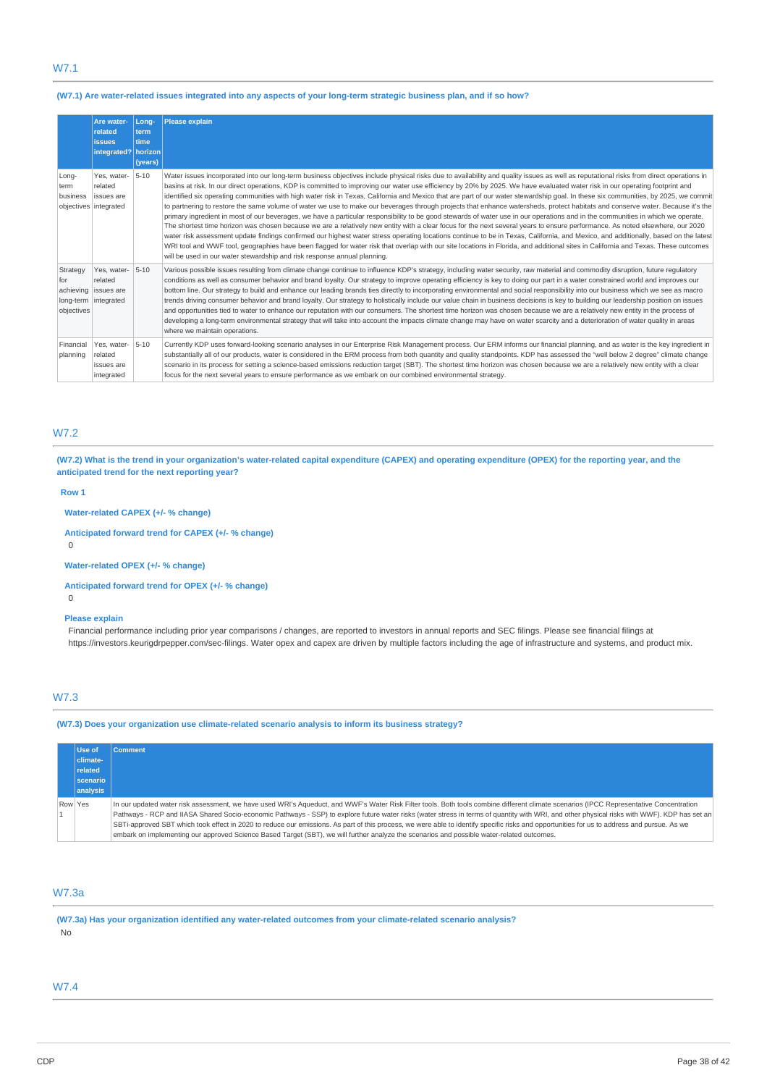# W7.1

## (W7.1) Are water-related issues integrated into any aspects of your long-term strategic business plan, and if so how?

|                               | Are water-<br>related<br><b>issues</b><br>integrated?   horizon          | Long-<br>term<br><b>time</b><br>(years) | <b>Please explain</b>                                                                                                                                                                                                                                                                                                                                                                                                                                                                                                                                                                                                                                                                                                                                                                                                                                                                                                                                                                                                                                                                                                                                                                                                                                                                                                                                                                                                                                                                                                                                                       |
|-------------------------------|--------------------------------------------------------------------------|-----------------------------------------|-----------------------------------------------------------------------------------------------------------------------------------------------------------------------------------------------------------------------------------------------------------------------------------------------------------------------------------------------------------------------------------------------------------------------------------------------------------------------------------------------------------------------------------------------------------------------------------------------------------------------------------------------------------------------------------------------------------------------------------------------------------------------------------------------------------------------------------------------------------------------------------------------------------------------------------------------------------------------------------------------------------------------------------------------------------------------------------------------------------------------------------------------------------------------------------------------------------------------------------------------------------------------------------------------------------------------------------------------------------------------------------------------------------------------------------------------------------------------------------------------------------------------------------------------------------------------------|
| Long-<br>term<br>business     | Yes, water-<br>related<br>issues are<br>objectives integrated            | $5 - 10$                                | Water issues incorporated into our long-term business objectives include physical risks due to availability and quality issues as well as reputational risks from direct operations in<br>basins at risk. In our direct operations, KDP is committed to improving our water use efficiency by 20% by 2025. We have evaluated water risk in our operating footprint and<br>identified six operating communities with high water risk in Texas, California and Mexico that are part of our water stewardship goal. In these six communities, by 2025, we commit<br>to partnering to restore the same volume of water we use to make our beverages through projects that enhance watersheds, protect habitats and conserve water. Because it's the<br>primary ingredient in most of our beverages, we have a particular responsibility to be good stewards of water use in our operations and in the communities in which we operate.<br>The shortest time horizon was chosen because we are a relatively new entity with a clear focus for the next several years to ensure performance. As noted elsewhere, our 2020<br>water risk assessment update findings confirmed our highest water stress operating locations continue to be in Texas, California, and Mexico, and additionally, based on the latest<br>WRI tool and WWF tool, geographies have been flagged for water risk that overlap with our site locations in Florida, and additional sites in California and Texas. These outcomes<br>will be used in our water stewardship and risk response annual planning. |
| Strategy<br>for<br>objectives | Yes, water-<br>related<br>achieving   issues are<br>long-term integrated | $5 - 10$                                | Various possible issues resulting from climate change continue to influence KDP's strategy, including water security, raw material and commodity disruption, future regulatory<br>conditions as well as consumer behavior and brand loyalty. Our strategy to improve operating efficiency is key to doing our part in a water constrained world and improves our<br>bottom line. Our strategy to build and enhance our leading brands ties directly to incorporating environmental and social responsibility into our business which we see as macro<br>trends driving consumer behavior and brand loyalty. Our strategy to holistically include our value chain in business decisions is key to building our leadership position on issues<br>and opportunities tied to water to enhance our reputation with our consumers. The shortest time horizon was chosen because we are a relatively new entity in the process of<br>developing a long-term environmental strategy that will take into account the impacts climate change may have on water scarcity and a deterioration of water quality in areas<br>where we maintain operations.                                                                                                                                                                                                                                                                                                                                                                                                                                |
| Financial<br>planning         | Yes, water-<br>related<br>issues are<br>integrated                       | $5 - 10$                                | Currently KDP uses forward-looking scenario analyses in our Enterprise Risk Management process. Our ERM informs our financial planning, and as water is the key ingredient in<br>substantially all of our products, water is considered in the ERM process from both quantity and quality standpoints. KDP has assessed the "well below 2 degree" climate change<br>scenario in its process for setting a science-based emissions reduction target (SBT). The shortest time horizon was chosen because we are a relatively new entity with a clear<br>focus for the next several years to ensure performance as we embark on our combined environmental strategy.                                                                                                                                                                                                                                                                                                                                                                                                                                                                                                                                                                                                                                                                                                                                                                                                                                                                                                           |

# W7.2

(W7.2) What is the trend in your organization's water-related capital expenditure (CAPEX) and operating expenditure (OPEX) for the reporting year, and the **anticipated trend for the next reporting year?**

## **Row 1**

## **Water-related CAPEX (+/- % change)**

**Anticipated forward trend for CAPEX (+/- % change)**

 $\Omega$ 

**Water-related OPEX (+/- % change)**

## **Anticipated forward trend for OPEX (+/- % change)**

0

## **Please explain**

Financial performance including prior year comparisons / changes, are reported to investors in annual reports and SEC filings. Please see financial filings at https://investors.keurigdrpepper.com/sec-filings. Water opex and capex are driven by multiple factors including the age of infrastructure and systems, and product mix.

# W7.3

**(W7.3) Does your organization use climate-related scenario analysis to inform its business strategy?**

|         | Use of          | <b>Comment</b>                                                                                                                                                                               |
|---------|-----------------|----------------------------------------------------------------------------------------------------------------------------------------------------------------------------------------------|
|         | climate-        |                                                                                                                                                                                              |
|         | related         |                                                                                                                                                                                              |
|         | <b>scenario</b> |                                                                                                                                                                                              |
|         | analysis        |                                                                                                                                                                                              |
| Row Yes |                 | In our updated water risk assessment, we have used WRI's Aqueduct, and WWF's Water Risk Filter tools. Both tools combine different climate scenarios (IPCC Representative Concentration      |
|         |                 | Pathways - RCP and IIASA Shared Socio-economic Pathways - SSP) to explore future water risks (water stress in terms of quantity with WRI, and other physical risks with WWF). KDP has set an |
|         |                 | SBTi-approved SBT which took effect in 2020 to reduce our emissions. As part of this process, we were able to identify specific risks and opportunities for us to address and pursue. As we  |
|         |                 | embark on implementing our approved Science Based Target (SBT), we will further analyze the scenarios and possible water-related outcomes.                                                   |

## W7.3a

**(W7.3a) Has your organization identified any water-related outcomes from your climate-related scenario analysis?** No

## W7.4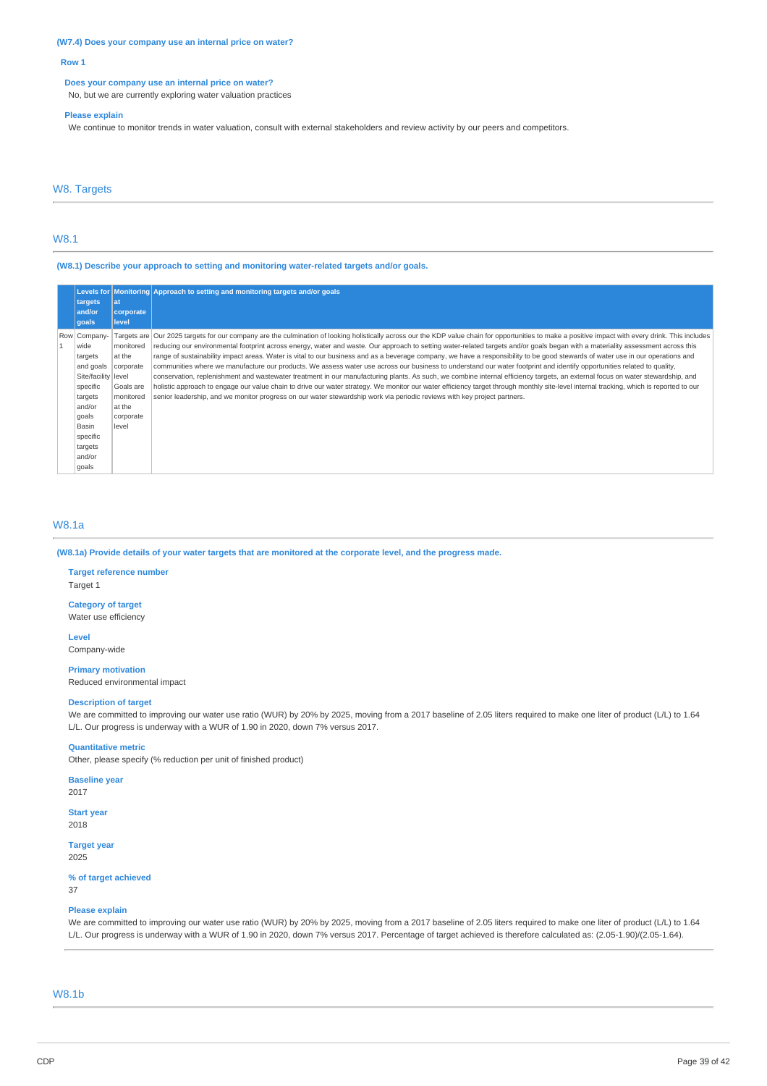**(W7.4) Does your company use an internal price on water?**

#### **Row 1**

#### **Does your company use an internal price on water?**

No, but we are currently exploring water valuation practices

#### **Please explain**

We continue to monitor trends in water valuation, consult with external stakeholders and review activity by our peers and competitors.

# W8. Targets

## W8.1

**(W8.1) Describe your approach to setting and monitoring water-related targets and/or goals.**

| Levels for<br>targets<br>and/or<br>goals                                                                                                                         | at<br>corporate<br>level                                                                   | Monitoring Approach to setting and monitoring targets and/or goals                                                                                                                                                                                                                                                                                                                                                                                                                                                                                                                                                                                                                                                                                                                                                                                                                                                                                                                                                                                                                                                                                                                                                                                           |
|------------------------------------------------------------------------------------------------------------------------------------------------------------------|--------------------------------------------------------------------------------------------|--------------------------------------------------------------------------------------------------------------------------------------------------------------------------------------------------------------------------------------------------------------------------------------------------------------------------------------------------------------------------------------------------------------------------------------------------------------------------------------------------------------------------------------------------------------------------------------------------------------------------------------------------------------------------------------------------------------------------------------------------------------------------------------------------------------------------------------------------------------------------------------------------------------------------------------------------------------------------------------------------------------------------------------------------------------------------------------------------------------------------------------------------------------------------------------------------------------------------------------------------------------|
| Row Company-<br>wide<br>targets<br>and goals<br>Site/facility level<br>specific<br>targets<br>and/or<br>qoals<br>Basin<br>specific<br>targets<br>and/or<br>qoals | monitored<br>at the<br>corporate<br>Goals are<br>monitored<br>at the<br>corporate<br>level | Targets are Our 2025 targets for our company are the culmination of looking holistically across our the KDP value chain for opportunities to make a positive impact with every drink. This includes<br>reducing our environmental footprint across energy, water and waste. Our approach to setting water-related targets and/or goals began with a materiality assessment across this<br>range of sustainability impact areas. Water is vital to our business and as a beverage company, we have a responsibility to be good stewards of water use in our operations and<br>communities where we manufacture our products. We assess water use across our business to understand our water footprint and identify opportunities related to quality,<br>conservation, replenishment and wastewater treatment in our manufacturing plants. As such, we combine internal efficiency targets, an external focus on water stewardship, and<br>holistic approach to engage our value chain to drive our water strategy. We monitor our water efficiency target through monthly site-level internal tracking, which is reported to our<br>senior leadership, and we monitor progress on our water stewardship work via periodic reviews with key project partners. |

## W8.1a

(W8.1a) Provide details of your water targets that are monitored at the corporate level, and the progress made.

#### **Target reference number** Target 1

### **Category of target**

Water use efficiency

# **Level**

Company-wide

# **Primary motivation**

Reduced environmental impact

## **Description of target**

We are committed to improving our water use ratio (WUR) by 20% by 2025, moving from a 2017 baseline of 2.05 liters required to make one liter of product (L/L) to 1.64 L/L. Our progress is underway with a WUR of 1.90 in 2020, down 7% versus 2017.

#### **Quantitative metric**

Other, please specify (% reduction per unit of finished product)

# **Baseline year**

2017

**Start year** 2018

## **Target year**

2025

#### **% of target achieved**

37

# **Please explain**

We are committed to improving our water use ratio (WUR) by 20% by 2025, moving from a 2017 baseline of 2.05 liters required to make one liter of product (L/L) to 1.64 L/L. Our progress is underway with a WUR of 1.90 in 2020, down 7% versus 2017. Percentage of target achieved is therefore calculated as: (2.05-1.90)/(2.05-1.64).

## W8.1b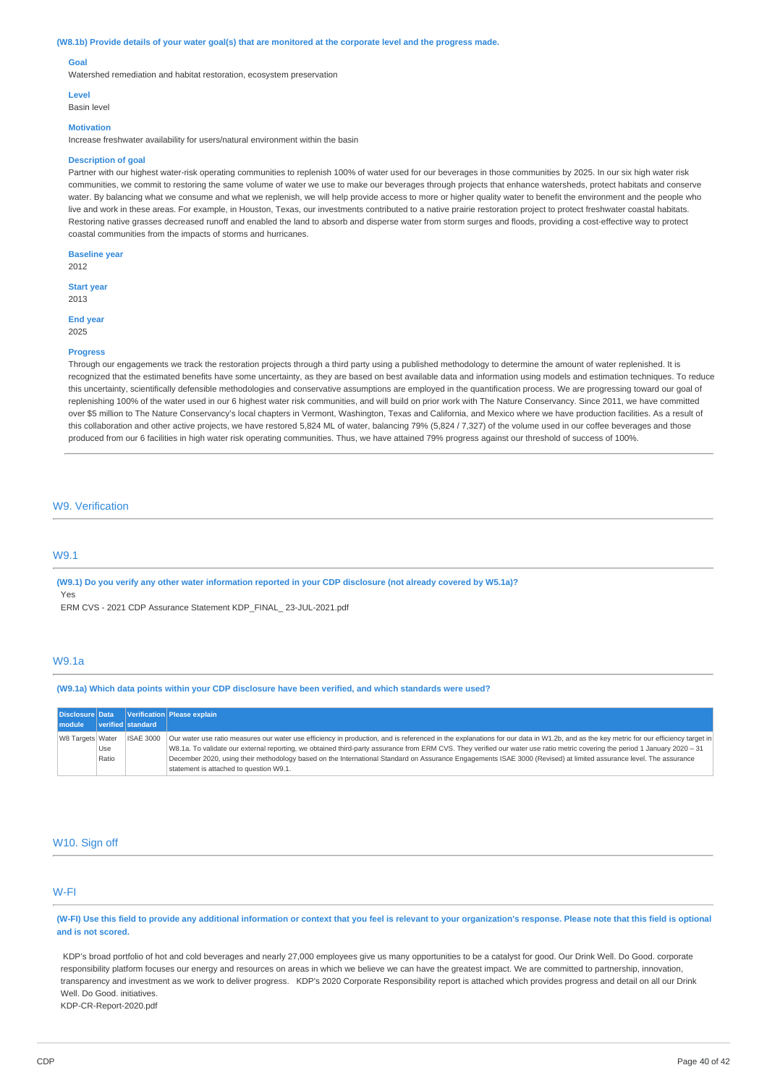#### (W8.1b) Provide details of your water goal(s) that are monitored at the corporate level and the progress made.

#### **Goal**

Watershed remediation and habitat restoration, ecosystem preservation

#### **Level**

Basin level

# **Motivation**

Increase freshwater availability for users/natural environment within the basin

#### **Description of goal**

Partner with our highest water-risk operating communities to replenish 100% of water used for our beverages in those communities by 2025. In our six high water risk communities, we commit to restoring the same volume of water we use to make our beverages through projects that enhance watersheds, protect habitats and conserve water. By balancing what we consume and what we replenish, we will help provide access to more or higher quality water to benefit the environment and the people who live and work in these areas. For example, in Houston, Texas, our investments contributed to a native prairie restoration project to protect freshwater coastal habitats. Restoring native grasses decreased runoff and enabled the land to absorb and disperse water from storm surges and floods, providing a cost-effective way to protect coastal communities from the impacts of storms and hurricanes.

**Baseline year** 2012

#### **Start year**

2013

**End year** 2025

# **Progress**

Through our engagements we track the restoration projects through a third party using a published methodology to determine the amount of water replenished. It is recognized that the estimated benefits have some uncertainty, as they are based on best available data and information using models and estimation techniques. To reduce this uncertainty, scientifically defensible methodologies and conservative assumptions are employed in the quantification process. We are progressing toward our goal of replenishing 100% of the water used in our 6 highest water risk communities, and will build on prior work with The Nature Conservancy. Since 2011, we have committed over \$5 million to The Nature Conservancy's local chapters in Vermont, Washington, Texas and California, and Mexico where we have production facilities. As a result of this collaboration and other active projects, we have restored 5,824 ML of water, balancing 79% (5,824 / 7,327) of the volume used in our coffee beverages and those produced from our 6 facilities in high water risk operating communities. Thus, we have attained 79% progress against our threshold of success of 100%.

## W9. Verification

## W9.1

(W9.1) Do you verify any other water information reported in your CDP disclosure (not already covered by W5.1a)? Yes

ERM CVS - 2021 CDP Assurance Statement KDP\_FINAL\_ 23-JUL-2021.pdf

#### W9.1a

#### **(W9.1a) Which data points within your CDP disclosure have been verified, and which standards were used?**

|                  |              |                   | Disclosure Data   Verification   Please explain                                                                                                                                                                                                                                                                                                                                                                                                                                                                                                                                     |
|------------------|--------------|-------------------|-------------------------------------------------------------------------------------------------------------------------------------------------------------------------------------------------------------------------------------------------------------------------------------------------------------------------------------------------------------------------------------------------------------------------------------------------------------------------------------------------------------------------------------------------------------------------------------|
| module           |              | verified standard |                                                                                                                                                                                                                                                                                                                                                                                                                                                                                                                                                                                     |
| W8 Targets Water | Use<br>Ratio | <b>ISAE 3000</b>  | Our water use ratio measures our water use efficiency in production, and is referenced in the explanations for our data in W1.2b, and as the key metric for our efficiency target in<br>W8.1a. To validate our external reporting, we obtained third-party assurance from ERM CVS. They verified our water use ratio metric covering the period 1 January 2020 - 31<br>December 2020, using their methodology based on the International Standard on Assurance Engagements ISAE 3000 (Revised) at limited assurance level. The assurance<br>statement is attached to question W9.1. |

## W<sub>10</sub>. Sign off

## W-FI

(W-FI) Use this field to provide any additional information or context that you feel is relevant to your organization's response. Please note that this field is optional **and is not scored.**

KDP's broad portfolio of hot and cold beverages and nearly 27,000 employees give us many opportunities to be a catalyst for good. Our Drink Well. Do Good. corporate responsibility platform focuses our energy and resources on areas in which we believe we can have the greatest impact. We are committed to partnership, innovation, transparency and investment as we work to deliver progress. KDP's 2020 Corporate Responsibility report is attached which provides progress and detail on all our Drink Well. Do Good. initiatives. KDP-CR-Report-2020.pdf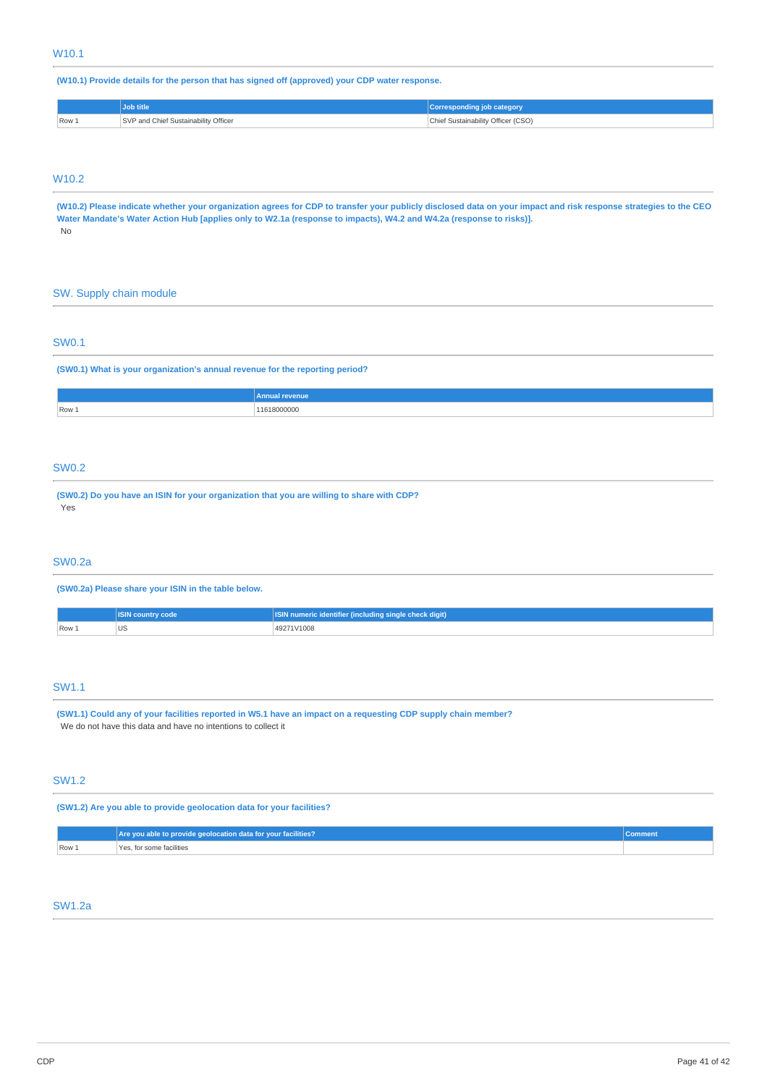# **(W10.1) Provide details for the person that has signed off (approved) your CDP water response.**

|       | <b>Job title</b>                     | <b>Corresponding job category</b>  |
|-------|--------------------------------------|------------------------------------|
| Row 1 | SVP and Chief Sustainability Officer | Chief Sustainability Officer (CSO) |

# W10.2

(W10.2) Please indicate whether your organization agrees for CDP to transfer your publicly disclosed data on your impact and risk response strategies to the CEO Water Mandate's Water Action Hub [applies only to W2.1a (response to impacts), W4.2 and W4.2a (response to risks)]. No

## SW. Supply chain module

## SW0.1

**(SW0.1) What is your organization's annual revenue for the reporting period?**

|       | <b>Annua</b><br>nue |
|-------|---------------------|
| Row 1 | 100000              |
|       |                     |

# SW0.2

**(SW0.2) Do you have an ISIN for your organization that you are willing to share with CDP?** Yes

# SW0.2a

**(SW0.2a) Please share your ISIN in the table below.**

|       | <b>ISIN country code</b> | ISIN numeric identifier (including single check digit) |
|-------|--------------------------|--------------------------------------------------------|
| Row 1 | $\sim$                   | 49271V1008                                             |

# SW1.1

(SW1.1) Could any of your facilities reported in W5.1 have an impact on a requesting CDP supply chain member? We do not have this data and have no intentions to collect it

# SW1.2

**(SW1.2) Are you able to provide geolocation data for your facilities?**

|       | Are you able to provide geolocation data for your facilities?<br>Comment |  |
|-------|--------------------------------------------------------------------------|--|
| Row 1 | Yes, for some facilities                                                 |  |

# SW1.2a